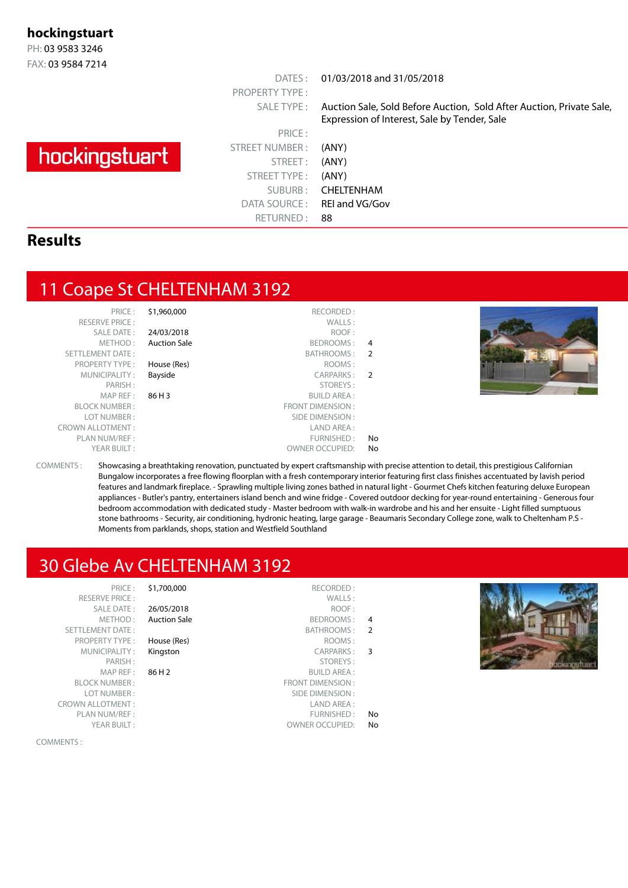#### **hockingstuart**

PH: 03 9583 3246 FAX: 03 9584 7214

## hockingstuart

PRICE : STREET NUMBER : (ANY) STREET: (ANY) STREET TYPE : (ANY) DATA SOURCE: REI and VG/Gov RETURNED: 88

PROPERTY TYPE :

DATES : 01/03/2018 and 31/05/2018

SALE TYPE : Auction Sale, Sold Before Auction, Sold After Auction, Private Sale, Expression of Interest, Sale by Tender, Sale

SUBURB : CHELTENHAM

#### **Results**

#### 11 Coape St CHELTENHAM 3192

YEAR BUILT :  $OWNER$  OWNER OCCUPIED: No

PRICE : \$1,960,000 RECORDED : ALE DATE : 24/03/2018<br>METHOD : Auction Sale

#### RESERVE PRICE :  $\begin{array}{ccc} \text{WALLS :} \\ \text{SALE DATE :} & \text{24/03/2018} \end{array}$ BEDROOMS : 4 SETTLEMENT DATE : BATHROOMS : 2 PROPERTY TYPE : **House (Res)** ROOMS : MUNICIPALITY: **Bayside CARPARKS: 2**<br>PARISH: **CARPARKS**: 2 STOREYS : MAP REF : **86 H 3** BUILD AREA :<br>BLOCK NUMBER : **86 H 3** BUILD AREA : **FRONT DIMENSION :** LOT NUMBER : SIDE DIMENSION : CROWN ALLOTMENT : LAND AREA : PLAN NUM/REF :  $\blacksquare$



COMMENTS : Showcasing a breathtaking renovation, punctuated by expert craftsmanship with precise attention to detail, this prestigious Californian Bungalow incorporates a free flowing floorplan with a fresh contemporary interior featuring first class finishes accentuated by lavish period features and landmark fireplace. - Sprawling multiple living zones bathed in natural light - Gourmet Chefs kitchen featuring deluxe European appliances - Butler's pantry, entertainers island bench and wine fridge - Covered outdoor decking for year-round entertaining - Generous four bedroom accommodation with dedicated study - Master bedroom with walk-in wardrobe and his and her ensuite - Light filled sumptuous stone bathrooms - Security, air conditioning, hydronic heating, large garage - Beaumaris Secondary College zone, walk to Cheltenham P.S - Moments from parklands, shops, station and Westfield Southland

#### 30 Glebe Av CHELTENHAM 3192

Auction Sale

PRICE: \$1,700,000 RESERVE PRICE : SALE DATE : 26/05/2018<br>METHOD : Auction Sal SETTLEMENT DATE :<br>PROPERTY TYPE : **House (Res)** PROPERTY TYPE : MUNICIPALITY : Kingston PARISH:  $MAP REF : 86 H2$ BLOCK NUMBER : LOT NUMBER : CROWN ALLOTMENT : PLAN NUM/REF  $\cdot$ YEAR BUILT:

|               | RECORDED:                |
|---------------|--------------------------|
|               | WALLS:                   |
|               | ROOF:                    |
| 4             | <b>BEDROOMS:</b>         |
| $\mathcal{P}$ | BATHROOMS:               |
|               | ROOMS:                   |
| 3             | <b>CARPARKS:</b>         |
|               | STORFYS:                 |
|               | <b>BUILD AREA:</b>       |
|               | <b>FRONT DIMENSION :</b> |
|               | SIDE DIMENSION :         |
|               | LAND AREA :              |
| N٥            | FURNISHED:               |
| Nο            | <b>OWNER OCCUPIED:</b>   |
|               |                          |

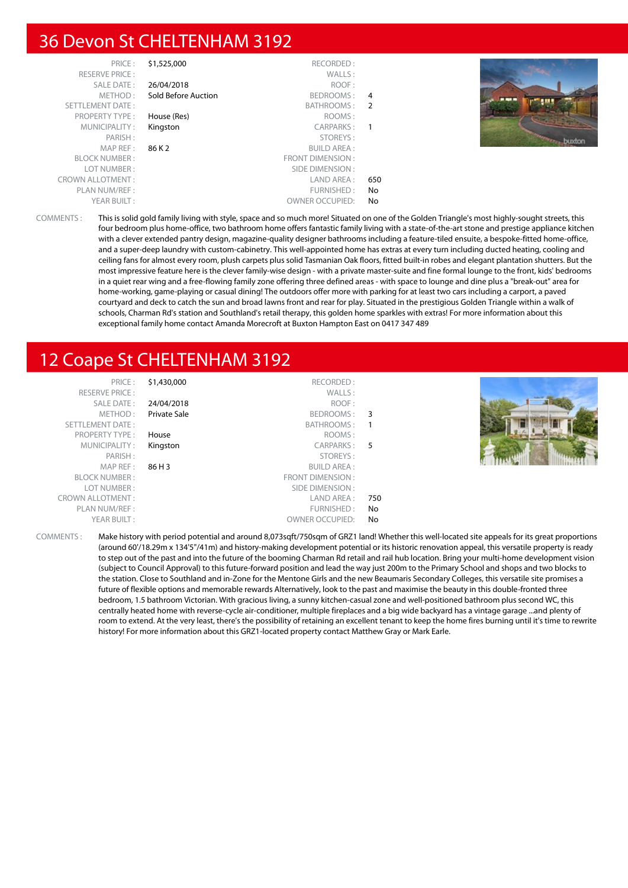#### 36 Devon St CHELTENHAM 3192

| PRICE:                  | \$1,525,000         | RECORDED:              |     |  |
|-------------------------|---------------------|------------------------|-----|--|
| <b>RESERVE PRICE:</b>   |                     | WALLS:                 |     |  |
| SALE DATE:              | 26/04/2018          | ROOF:                  |     |  |
| METHOD:                 | Sold Before Auction | BEDROOMS:              | 4   |  |
| <b>SETTLEMENT DATE:</b> |                     | BATHROOMS:             | -2  |  |
| <b>PROPERTY TYPE:</b>   | House (Res)         | ROOMS:                 |     |  |
| MUNICIPALITY:           | Kingston            | CARPARKS:              | -1  |  |
| PARISH:                 |                     | STOREYS:               |     |  |
| MAP REF:                | 86 K 2              | <b>BUILD AREA:</b>     |     |  |
| <b>BLOCK NUMBER:</b>    |                     | FRONT DIMENSION:       |     |  |
| LOT NUMBER:             |                     | SIDE DIMENSION:        |     |  |
| <b>CROWN ALLOTMENT:</b> |                     | LAND AREA :            | 650 |  |
| PLAN NUM/REF:           |                     | FURNISHED:             | No  |  |
| YEAR BUILT:             |                     | <b>OWNER OCCUPIED:</b> | No  |  |



COMMENTS : This is solid gold family living with style, space and so much more! Situated on one of the Golden Triangle's most highly-sought streets, this four bedroom plus home-office, two bathroom home offers fantastic family living with a state-of-the-art stone and prestige appliance kitchen with a clever extended pantry design, magazine-quality designer bathrooms including a feature-tiled ensuite, a bespoke-fitted home-office, and a super-deep laundry with custom-cabinetry. This well-appointed home has extras at every turn including ducted heating, cooling and ceiling fans for almost every room, plush carpets plus solid Tasmanian Oak floors, fitted built-in robes and elegant plantation shutters. But the most impressive feature here is the clever family-wise design - with a private master-suite and fine formal lounge to the front, kids' bedrooms in a quiet rear wing and a free-flowing family zone offering three defined areas - with space to lounge and dine plus a "break-out" area for home-working, game-playing or casual dining! The outdoors offer more with parking for at least two cars including a carport, a paved courtyard and deck to catch the sun and broad lawns front and rear for play. Situated in the prestigious Golden Triangle within a walk of schools, Charman Rd's station and Southland's retail therapy, this golden home sparkles with extras! For more information about this exceptional family home contact Amanda Morecroft at Buxton Hampton East on 0417 347 489

### 12 Coape St CHELTENHAM 3192

| PRICE:<br><b>RESERVE PRICE:</b> | \$1,430,000  | RECORDED:<br>WALLS:    |     |  |
|---------------------------------|--------------|------------------------|-----|--|
| <b>SALE DATE:</b>               | 24/04/2018   | ROOF:                  |     |  |
| METHOD:                         | Private Sale | BEDROOMS: 3            |     |  |
| SETTLEMENT DATE:                |              | BATHROOMS: 1           |     |  |
| <b>PROPERTY TYPE:</b>           | House        | ROOMS:                 |     |  |
| MUNICIPALITY:                   | Kingston     | CARPARKS: 5            |     |  |
| PARISH:                         |              | STOREYS:               |     |  |
| MAP REF:                        | 86 H 3       | <b>BUILD AREA:</b>     |     |  |
| <b>BLOCK NUMBER:</b>            |              | FRONT DIMENSION:       |     |  |
| LOT NUMBER:                     |              | SIDE DIMENSION :       |     |  |
| <b>CROWN ALLOTMENT:</b>         |              | LAND AREA :            | 750 |  |
| PLAN NUM/REF:                   |              | FURNISHED:             | No  |  |
| YEAR BUILT:                     |              | <b>OWNER OCCUPIED:</b> | No  |  |

COMMENTS : Make history with period potential and around 8,073sqft/750sqm of GRZ1 land! Whether this well-located site appeals for its great proportions (around 60'/18.29m x 134'5"/41m) and history-making development potential or its historic renovation appeal, this versatile property is ready to step out of the past and into the future of the booming Charman Rd retail and rail hub location. Bring your multi-home development vision (subject to Council Approval) to this future-forward position and lead the way just 200m to the Primary School and shops and two blocks to the station. Close to Southland and in-Zone for the Mentone Girls and the new Beaumaris Secondary Colleges, this versatile site promises a future of flexible options and memorable rewards Alternatively, look to the past and maximise the beauty in this double-fronted three bedroom, 1.5 bathroom Victorian. With gracious living, a sunny kitchen-casual zone and well-positioned bathroom plus second WC, this centrally heated home with reverse-cycle air-conditioner, multiple fireplaces and a big wide backyard has a vintage garage ...and plenty of room to extend. At the very least, there's the possibility of retaining an excellent tenant to keep the home fires burning until it's time to rewrite history! For more information about this GRZ1-located property contact Matthew Gray or Mark Earle.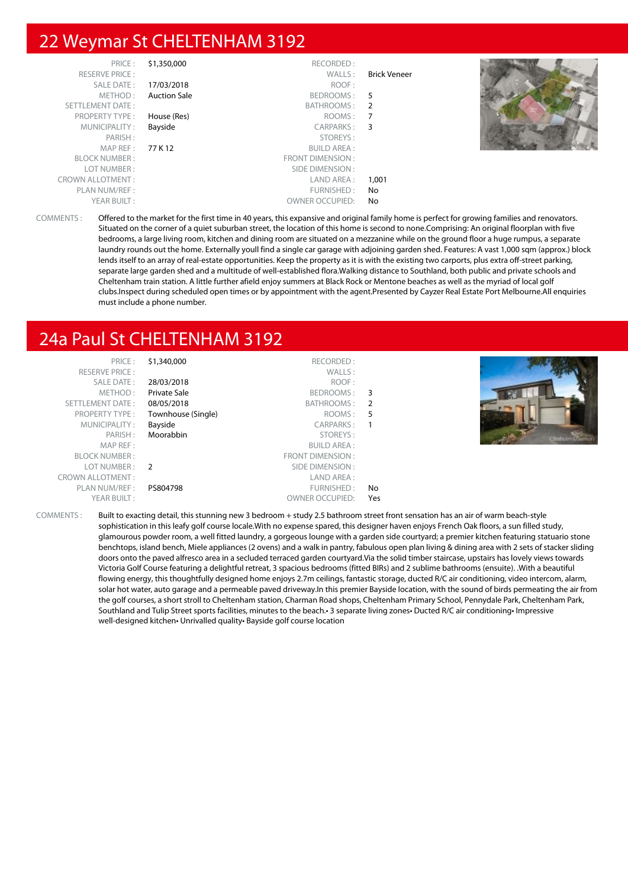#### 22 Weymar St CHELTENHAM 3192

| PRICE:                  | \$1,350,000         | RECORDED:               |                     |  |
|-------------------------|---------------------|-------------------------|---------------------|--|
| <b>RESERVE PRICE:</b>   |                     | WALLS:                  | <b>Brick Veneer</b> |  |
| SALE DATE:              | 17/03/2018          | ROOF:                   |                     |  |
| METHOD:                 | <b>Auction Sale</b> | BEDROOMS:               | - 5                 |  |
| SETTLEMENT DATE:        |                     | BATHROOMS:              | - 2                 |  |
| <b>PROPERTY TYPE:</b>   | House (Res)         | ROOMS:                  | - 7                 |  |
| MUNICIPALITY:           | Bayside             | CARPARKS:               | $\overline{3}$      |  |
| PARISH:                 |                     | STOREYS:                |                     |  |
| MAPREF:                 | 77 K 12             | <b>BUILD AREA:</b>      |                     |  |
| <b>BLOCK NUMBER:</b>    |                     | <b>FRONT DIMENSION:</b> |                     |  |
| LOT NUMBER:             |                     | SIDE DIMENSION :        |                     |  |
| <b>CROWN ALLOTMENT:</b> |                     | LAND AREA :             | 1,001               |  |
| PLAN NUM/REF:           |                     | FURNISHED:              | No                  |  |
| YEAR BUILT:             |                     | <b>OWNER OCCUPIED:</b>  | No                  |  |

COMMENTS : Offered to the market for the first time in 40 years, this expansive and original family home is perfect for growing families and renovators. Situated on the corner of a quiet suburban street, the location of this home is second to none.Comprising: An original floorplan with five bedrooms, a large living room, kitchen and dining room are situated on a mezzanine while on the ground floor a huge rumpus, a separate laundry rounds out the home. Externally youll find a single car garage with adjoining garden shed. Features: A vast 1,000 sqm (approx.) block lends itself to an array of real-estate opportunities. Keep the property as it is with the existing two carports, plus extra off-street parking, separate large garden shed and a multitude of well-established flora.Walking distance to Southland, both public and private schools and Cheltenham train station. A little further afield enjoy summers at Black Rock or Mentone beaches as well as the myriad of local golf clubs.Inspect during scheduled open times or by appointment with the agent.Presented by Cayzer Real Estate Port Melbourne.All enquiries must include a phone number.

## 24a Paul St CHELTENHAM 3192

| PRICE:                  | \$1,340,000        | RECORDED:              |     |
|-------------------------|--------------------|------------------------|-----|
| <b>RESERVE PRICE:</b>   |                    | WALLS:                 |     |
| SALE DATE:              | 28/03/2018         | ROOF:                  |     |
| METHOD:                 | Private Sale       | BEDROOMS:              | -3  |
| SETTLEMENT DATE:        | 08/05/2018         | BATHROOMS:             | -2  |
| <b>PROPERTY TYPE:</b>   | Townhouse (Single) | ROOMS:                 | 5   |
| MUNICIPALITY:           | Bayside            | CARPARKS:              |     |
| PARISH:                 | Moorabbin          | STOREYS:               |     |
| MAP REF:                |                    | <b>BUILD AREA:</b>     |     |
| <b>BLOCK NUMBER:</b>    |                    | FRONT DIMENSION:       |     |
| LOT NUMBER:             | $\mathcal{L}$      | SIDE DIMENSION:        |     |
| <b>CROWN ALLOTMENT:</b> |                    | LAND AREA:             |     |
| PLAN NUM/REF :          | PS804798           | FURNISHED:             | No  |
| YEAR BUILT:             |                    | <b>OWNER OCCUPIED:</b> | Yes |



COMMENTS : Built to exacting detail, this stunning new 3 bedroom + study 2.5 bathroom street front sensation has an air of warm beach-style sophistication in this leafy golf course locale.With no expense spared, this designer haven enjoys French Oak floors, a sun filled study, glamourous powder room, a well fitted laundry, a gorgeous lounge with a garden side courtyard; a premier kitchen featuring statuario stone benchtops, island bench, Miele appliances (2 ovens) and a walk in pantry, fabulous open plan living & dining area with 2 sets of stacker sliding doors onto the paved alfresco area in a secluded terraced garden courtyard.Via the solid timber staircase, upstairs has lovely views towards Victoria Golf Course featuring a delightful retreat, 3 spacious bedrooms (fitted BIRs) and 2 sublime bathrooms (ensuite). .With a beautiful flowing energy, this thoughtfully designed home enjoys 2.7m ceilings, fantastic storage, ducted R/C air conditioning, video intercom, alarm, solar hot water, auto garage and a permeable paved driveway.In this premier Bayside location, with the sound of birds permeating the air from the golf courses, a short stroll to Cheltenham station, Charman Road shops, Cheltenham Primary School, Pennydale Park, Cheltenham Park, Southland and Tulip Street sports facilities, minutes to the beach.• 3 separate living zones• Ducted R/C air conditioning• Impressive well-designed kitchen• Unrivalled quality• Bayside golf course location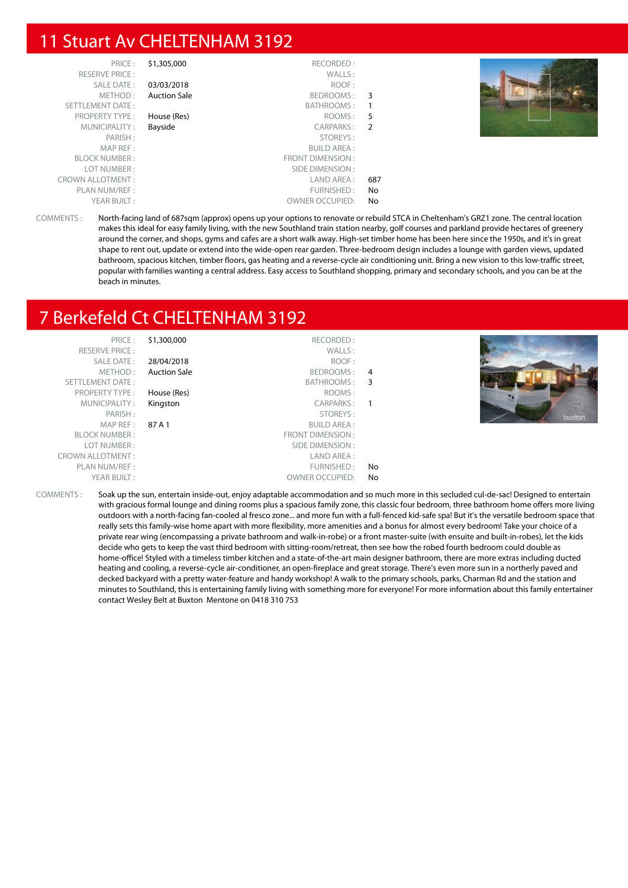#### 11 Stuart Av CHELTENHAM 3192

| PRICE:                  | \$1,305,000         | RECORDED:               |     |  |
|-------------------------|---------------------|-------------------------|-----|--|
| <b>RESERVE PRICE:</b>   |                     | WALLS:                  |     |  |
| SALE DATE:              | 03/03/2018          | ROOF:                   |     |  |
| METHOD:                 | <b>Auction Sale</b> | BEDROOMS:               | 3   |  |
| SETTLEMENT DATE:        |                     | BATHROOMS:              |     |  |
| <b>PROPERTY TYPE:</b>   | House (Res)         | ROOMS:                  | 5   |  |
| MUNICIPALITY:           | Bayside             | CARPARKS:               | 2   |  |
| PARISH:                 |                     | STOREYS:                |     |  |
| MAP REF:                |                     | <b>BUILD AREA:</b>      |     |  |
| <b>BLOCK NUMBER:</b>    |                     | <b>FRONT DIMENSION:</b> |     |  |
| LOT NUMBER:             |                     | SIDE DIMENSION:         |     |  |
| <b>CROWN ALLOTMENT:</b> |                     | LAND AREA :             | 687 |  |
| PLAN NUM/REF :          |                     | FURNISHED:              | No  |  |
| YEAR BUILT:             |                     | <b>OWNER OCCUPIED:</b>  | No  |  |



COMMENTS : North-facing land of 687sqm (approx) opens up your options to renovate or rebuild STCA in Cheltenham's GRZ1 zone. The central location makes this ideal for easy family living, with the new Southland train station nearby, golf courses and parkland provide hectares of greenery around the corner, and shops, gyms and cafes are a short walk away. High-set timber home has been here since the 1950s, and it's in great shape to rent out, update or extend into the wide-open rear garden. Three-bedroom design includes a lounge with garden views, updated bathroom, spacious kitchen, timber floors, gas heating and a reverse-cycle air conditioning unit. Bring a new vision to this low-traffic street, popular with families wanting a central address. Easy access to Southland shopping, primary and secondary schools, and you can be at the beach in minutes.

## 7 Berkefeld Ct CHELTENHAM 3192

| PRICE:                  | \$1,300,000         | RECORDED:              |    |                                                                                                                                          |
|-------------------------|---------------------|------------------------|----|------------------------------------------------------------------------------------------------------------------------------------------|
| <b>RESERVE PRICE:</b>   |                     | WALLS:                 |    |                                                                                                                                          |
| SALE DATE:              | 28/04/2018          | ROOF:                  |    |                                                                                                                                          |
| METHOD:                 | <b>Auction Sale</b> | BEDROOMS:              | -4 |                                                                                                                                          |
| SETTLEMENT DATE:        |                     | BATHROOMS: 3           |    |                                                                                                                                          |
| <b>PROPERTY TYPE:</b>   | House (Res)         | ROOMS:                 |    |                                                                                                                                          |
| MUNICIPALITY:           | Kingston            | CARPARKS:              |    |                                                                                                                                          |
| PARISH:                 |                     | STOREYS:               |    | buxton                                                                                                                                   |
| MAP REF:                | 87 A 1              | <b>BUILD AREA:</b>     |    |                                                                                                                                          |
| <b>BLOCK NUMBER:</b>    |                     | FRONT DIMENSION:       |    |                                                                                                                                          |
| LOT NUMBER:             |                     | SIDE DIMENSION :       |    |                                                                                                                                          |
| <b>CROWN ALLOTMENT:</b> |                     | LAND AREA:             |    |                                                                                                                                          |
| PLAN NUM/REF :          |                     | FURNISHED:             | No |                                                                                                                                          |
| YEAR BUILT:             |                     | <b>OWNER OCCUPIED:</b> | No |                                                                                                                                          |
| COMMENTS :              |                     |                        |    | Soak up the sun, entertain inside-out, enjoy adaptable accommodation and so much more in this secluded cul-de-sac! Designed to entertain |

with gracious formal lounge and dining rooms plus a spacious family zone, this classic four bedroom, three bathroom home offers more living outdoors with a north-facing fan-cooled al fresco zone... and more fun with a full-fenced kid-safe spa! But it's the versatile bedroom space that really sets this family-wise home apart with more flexibility, more amenities and a bonus for almost every bedroom! Take your choice of a private rear wing (encompassing a private bathroom and walk-in-robe) or a front master-suite (with ensuite and built-in-robes), let the kids decide who gets to keep the vast third bedroom with sitting-room/retreat, then see how the robed fourth bedroom could double as home-office! Styled with a timeless timber kitchen and a state-of-the-art main designer bathroom, there are more extras including ducted heating and cooling, a reverse-cycle air-conditioner, an open-fireplace and great storage. There's even more sun in a northerly paved and decked backyard with a pretty water-feature and handy workshop! A walk to the primary schools, parks, Charman Rd and the station and minutes to Southland, this is entertaining family living with something more for everyone! For more information about this family entertainer contact Wesley Belt at Buxton Mentone on 0418 310 753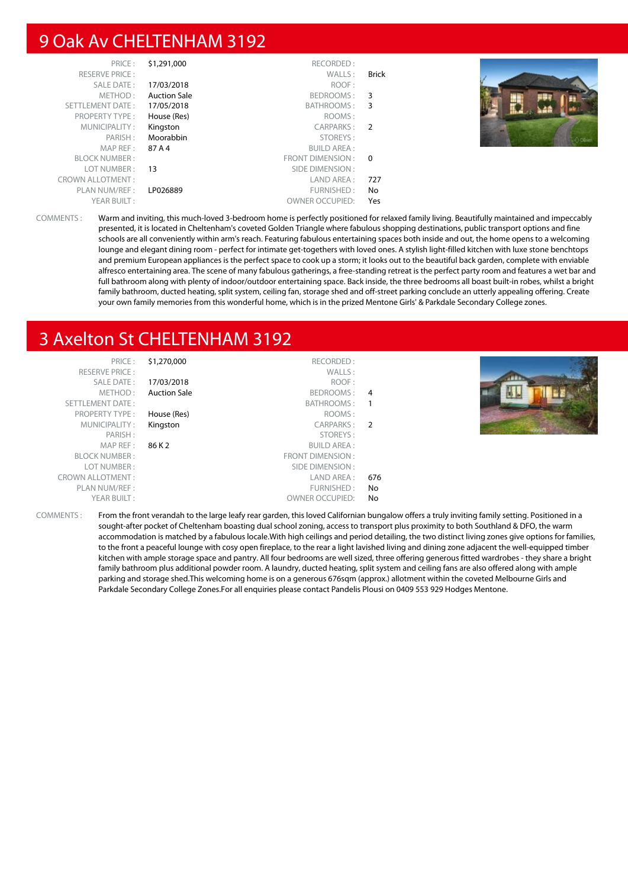#### 9 Oak Av CHELTENHAM 3192

| PRICE:                  | \$1,291,000         | RECORDED:              |                |  |
|-------------------------|---------------------|------------------------|----------------|--|
| <b>RESERVE PRICE:</b>   |                     | WALLS:                 | <b>Brick</b>   |  |
| SALE DATE:              | 17/03/2018          | ROOF:                  |                |  |
| METHOD:                 | <b>Auction Sale</b> | BEDROOMS:              | -3             |  |
| SETTLEMENT DATE:        | 17/05/2018          | BATHROOMS:             | 3              |  |
| <b>PROPERTY TYPE:</b>   | House (Res)         | ROOMS:                 |                |  |
| MUNICIPALITY:           | Kingston            | CARPARKS:              | $\overline{2}$ |  |
| PARISH:                 | Moorabbin           | STOREYS:               |                |  |
| MAP REF:                | 87 A 4              | BUILD AREA :           |                |  |
| <b>BLOCK NUMBER:</b>    |                     | FRONT DIMENSION :      | $\overline{0}$ |  |
| LOT NUMBER :            | 13                  | SIDE DIMENSION :       |                |  |
| <b>CROWN ALLOTMENT:</b> |                     | LAND AREA:             | 727            |  |
| PLAN NUM/REF :          | LP026889            | FURNISHED:             | No             |  |
| YEAR BUILT:             |                     | <b>OWNER OCCUPIED:</b> | Yes            |  |

COMMENTS : Warm and inviting, this much-loved 3-bedroom home is perfectly positioned for relaxed family living. Beautifully maintained and impeccably presented, it is located in Cheltenham's coveted Golden Triangle where fabulous shopping destinations, public transport options and fine schools are all conveniently within arm's reach. Featuring fabulous entertaining spaces both inside and out, the home opens to a welcoming lounge and elegant dining room - perfect for intimate get-togethers with loved ones. A stylish light-filled kitchen with luxe stone benchtops and premium European appliances is the perfect space to cook up a storm; it looks out to the beautiful back garden, complete with enviable alfresco entertaining area. The scene of many fabulous gatherings, a free-standing retreat is the perfect party room and features a wet bar and full bathroom along with plenty of indoor/outdoor entertaining space. Back inside, the three bedrooms all boast built-in robes, whilst a bright family bathroom, ducted heating, split system, ceiling fan, storage shed and off-street parking conclude an utterly appealing offering. Create your own family memories from this wonderful home, which is in the prized Mentone Girls' & Parkdale Secondary College zones.

#### 3 Axelton St CHELTENHAM 3192

| PRICE:                  | \$1,270,000         | RECORDED:              |     |        |
|-------------------------|---------------------|------------------------|-----|--------|
| <b>RESERVE PRICE:</b>   |                     | WALLS:                 |     |        |
| SALE DATE:              | 17/03/2018          | ROOF:                  |     | 20 E I |
| METHOD:                 | <b>Auction Sale</b> | BEDROOMS:              | -4  |        |
| SETTLEMENT DATE:        |                     | BATHROOMS:             |     |        |
| <b>PROPERTY TYPE:</b>   | House (Res)         | ROOMS:                 |     |        |
| MUNICIPALITY:           | Kingston            | CARPARKS:              | 2   |        |
| PARISH:                 |                     | STOREYS:               |     |        |
| MAP REF :               | 86 K 2              | <b>BUILD AREA:</b>     |     |        |
| <b>BLOCK NUMBER:</b>    |                     | FRONT DIMENSION:       |     |        |
| LOT NUMBER:             |                     | SIDE DIMENSION :       |     |        |
| <b>CROWN ALLOTMENT:</b> |                     | LAND AREA :            | 676 |        |
| PLAN NUM/REF :          |                     | FURNISHED:             | No  |        |
| YEAR BUILT:             |                     | <b>OWNER OCCUPIED:</b> | No. |        |
|                         |                     |                        |     |        |

COMMENTS : From the front verandah to the large leafy rear garden, this loved Californian bungalow offers a truly inviting family setting. Positioned in a sought-after pocket of Cheltenham boasting dual school zoning, access to transport plus proximity to both Southland & DFO, the warm accommodation is matched by a fabulous locale.With high ceilings and period detailing, the two distinct living zones give options for families, to the front a peaceful lounge with cosy open fireplace, to the rear a light lavished living and dining zone adjacent the well-equipped timber kitchen with ample storage space and pantry. All four bedrooms are well sized, three offering generous fitted wardrobes - they share a bright family bathroom plus additional powder room. A laundry, ducted heating, split system and ceiling fans are also offered along with ample parking and storage shed.This welcoming home is on a generous 676sqm (approx.) allotment within the coveted Melbourne Girls and Parkdale Secondary College Zones.For all enquiries please contact Pandelis Plousi on 0409 553 929 Hodges Mentone.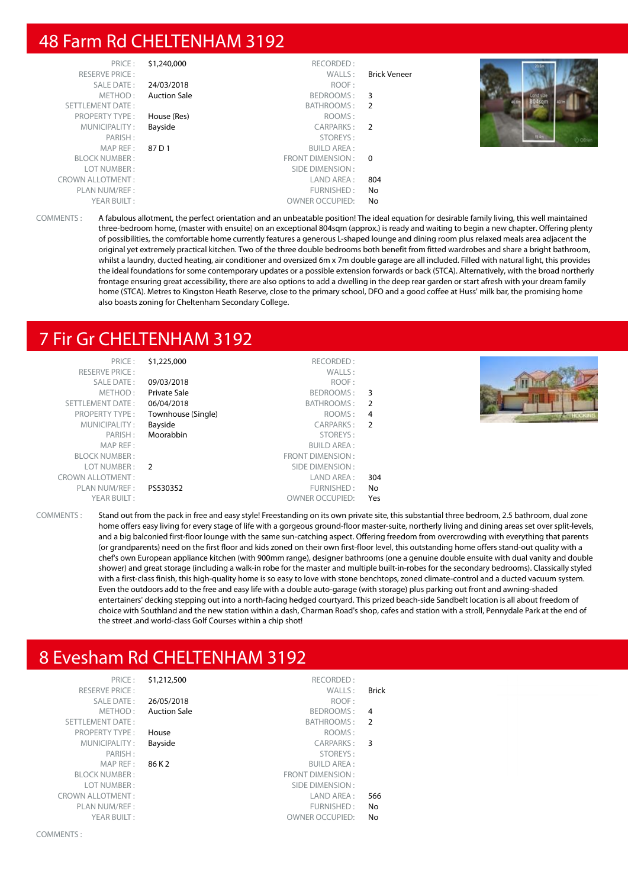#### 48 Farm Rd CHELTENHAM 3192

| 20.6m         |                     | RECORDED:              | \$1,240,000         | PRICE:                  |
|---------------|---------------------|------------------------|---------------------|-------------------------|
|               | <b>Brick Veneer</b> | WALLS:                 |                     | <b>RESERVE PRICE:</b>   |
|               |                     | ROOF:                  | 24/03/2018          | SALE DATE:              |
|               | 3                   | BEDROOMS:              | <b>Auction Sale</b> | METHOD:                 |
| <b>Sterne</b> |                     | BATHROOMS: 2           |                     | SETTLEMENT DATE:        |
|               |                     | ROOMS:                 | House (Res)         | <b>PROPERTY TYPE:</b>   |
|               |                     | CARPARKS: 2            | Bayside             | MUNICIPALITY:           |
| O OBrien      |                     | STOREYS:               |                     | PARISH:                 |
|               |                     | <b>BUILD AREA:</b>     | 87 D 1              | MAP REF :               |
|               | $\Omega$            | FRONT DIMENSION :      |                     | <b>BLOCK NUMBER:</b>    |
|               |                     | SIDE DIMENSION :       |                     | LOT NUMBER:             |
|               | 804                 | LAND AREA :            |                     | <b>CROWN ALLOTMENT:</b> |
|               | No                  | FURNISHED:             |                     | PLAN NUM/REF :          |
|               | No                  | <b>OWNER OCCUPIED:</b> |                     | YEAR BUILT:             |

COMMENTS : A fabulous allotment, the perfect orientation and an unbeatable position! The ideal equation for desirable family living, this well maintained three-bedroom home, (master with ensuite) on an exceptional 804sqm (approx.) is ready and waiting to begin a new chapter. Offering plenty of possibilities, the comfortable home currently features a generous L-shaped lounge and dining room plus relaxed meals area adjacent the original yet extremely practical kitchen. Two of the three double bedrooms both benefit from fitted wardrobes and share a bright bathroom, whilst a laundry, ducted heating, air conditioner and oversized 6m x 7m double garage are all included. Filled with natural light, this provides the ideal foundations for some contemporary updates or a possible extension forwards or back (STCA). Alternatively, with the broad northerly frontage ensuring great accessibility, there are also options to add a dwelling in the deep rear garden or start afresh with your dream family home (STCA). Metres to Kingston Heath Reserve, close to the primary school, DFO and a good coffee at Huss' milk bar, the promising home also boasts zoning for Cheltenham Secondary College.

#### 7 Fir Gr CHELTENHAM 3192

| PRICE:                  | \$1,225,000         | RECORDED:               |                         |  |
|-------------------------|---------------------|-------------------------|-------------------------|--|
| <b>RESERVE PRICE:</b>   |                     | WALLS:                  |                         |  |
| SALE DATE:              | 09/03/2018          | ROOF:                   |                         |  |
| METHOD:                 | <b>Private Sale</b> | BEDROOMS:               | $\overline{\mathbf{3}}$ |  |
| SETTLEMENT DATE:        | 06/04/2018          | BATHROOMS: 2            |                         |  |
| <b>PROPERTY TYPE:</b>   | Townhouse (Single)  | ROOMS: 4                |                         |  |
| MUNICIPALITY:           | Bayside             | CARPARKS: 2             |                         |  |
| PARISH:                 | Moorabbin           | STOREYS:                |                         |  |
| MAP REF:                |                     | <b>BUILD AREA:</b>      |                         |  |
| <b>BLOCK NUMBER:</b>    |                     | <b>FRONT DIMENSION:</b> |                         |  |
| LOT NUMBER: 2           |                     | SIDE DIMENSION:         |                         |  |
| <b>CROWN ALLOTMENT:</b> |                     | LAND AREA:              | 304                     |  |
| PLAN NUM/REF:           | PS530352            | FURNISHED:              | No                      |  |
| YEAR BUILT:             |                     | <b>OWNER OCCUPIED:</b>  | Yes                     |  |

COMMENTS : Stand out from the pack in free and easy style! Freestanding on its own private site, this substantial three bedroom, 2.5 bathroom, dual zone home offers easy living for every stage of life with a gorgeous ground-floor master-suite, northerly living and dining areas set over split-levels, and a big balconied first-floor lounge with the same sun-catching aspect. Offering freedom from overcrowding with everything that parents (or grandparents) need on the first floor and kids zoned on their own first-floor level, this outstanding home offers stand-out quality with a chef's own European appliance kitchen (with 900mm range), designer bathrooms (one a genuine double ensuite with dual vanity and double shower) and great storage (including a walk-in robe for the master and multiple built-in-robes for the secondary bedrooms). Classically styled with a first-class finish, this high-quality home is so easy to love with stone benchtops, zoned climate-control and a ducted vacuum system. Even the outdoors add to the free and easy life with a double auto-garage (with storage) plus parking out front and awning-shaded entertainers' decking stepping out into a north-facing hedged courtyard. This prized beach-side Sandbelt location is all about freedom of choice with Southland and the new station within a dash, Charman Road's shop, cafes and station with a stroll, Pennydale Park at the end of the street .and world-class Golf Courses within a chip shot!

OWNER OCCUPIED: No

### 8 Evesham Rd CHELTENHAM 3192

| PRICE:                  | \$1,212,500         | RECORDED:               |
|-------------------------|---------------------|-------------------------|
| <b>RESERVE PRICE:</b>   |                     | WALLS:                  |
| SALE DATE:              | 26/05/2018          | ROOF:                   |
| METHOD:                 | <b>Auction Sale</b> | BEDROOMS:               |
| <b>SETTLEMENT DATE:</b> |                     | <b>BATHROOMS:</b>       |
| <b>PROPERTY TYPE:</b>   | House               | ROOMS:                  |
| MUNICIPALITY:           | Bayside             | <b>CARPARKS:</b>        |
| PARISH:                 |                     | STOREYS:                |
| MAP REF:                | 86 K 2              | <b>BUILD AREA:</b>      |
| <b>BLOCK NUMBER:</b>    |                     | <b>FRONT DIMENSION:</b> |
| LOT NUMBER:             |                     | SIDE DIMENSION:         |
| CROWN ALLOTMENT :       |                     | LAND AREA:              |
| PLAN NUM/REF:           |                     | FURNISHED:              |
| YEAR BUILT:             |                     | <b>OWNER OCCUPIED:</b>  |

RESERVE PRICE : WALLS : **Brick 26/05/2018** ROOF : Auction Sale **Auction Sale Contract Contract BEDROOMS** : 4 BATHROOMS : 2 PROPERTY TYPE : **House COMPLITE IN THE SET ASSESSED FOOMS** : Bayside **CARPARKS**: 3 STOREYS: BUILD AREA : FRONT DIMENSION : SIDE DIMENSION : CROWN ALLOTMENT : LAND AREA : 566 FURNISHED : No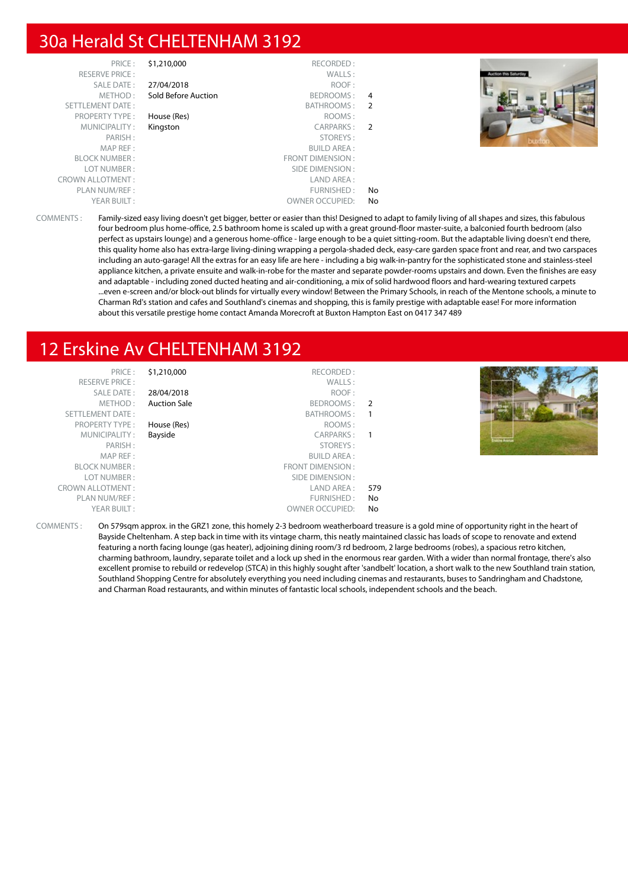#### 30a Herald St CHELTENHAM 3192

| PRICE:                  | \$1,210,000         | RECORDED:              |                |  |  |
|-------------------------|---------------------|------------------------|----------------|--|--|
| <b>RESERVE PRICE:</b>   |                     | WALLS:                 |                |  |  |
| SALE DATE:              | 27/04/2018          | ROOF:                  |                |  |  |
| METHOD:                 | Sold Before Auction | BEDROOMS:              | 4              |  |  |
| SETTLEMENT DATE:        |                     | BATHROOMS:             | -2             |  |  |
| <b>PROPERTY TYPE:</b>   | House (Res)         | ROOMS:                 |                |  |  |
| MUNICIPALITY:           | Kingston            | CARPARKS:              | $\overline{2}$ |  |  |
| PARISH:                 |                     | STOREYS:               |                |  |  |
| MAP REF:                |                     | <b>BUILD AREA:</b>     |                |  |  |
| <b>BLOCK NUMBER:</b>    |                     | FRONT DIMENSION:       |                |  |  |
| LOT NUMBER:             |                     | SIDE DIMENSION :       |                |  |  |
| <b>CROWN ALLOTMENT:</b> |                     | LAND AREA :            |                |  |  |
| PLAN NUM/REF :          |                     | FURNISHED:             | No             |  |  |
| YEAR BUILT:             |                     | <b>OWNER OCCUPIED:</b> | No             |  |  |
|                         |                     |                        |                |  |  |



COMMENTS : Family-sized easy living doesn't get bigger, better or easier than this! Designed to adapt to family living of all shapes and sizes, this fabulous four bedroom plus home-office, 2.5 bathroom home is scaled up with a great ground-floor master-suite, a balconied fourth bedroom (also perfect as upstairs lounge) and a generous home-office - large enough to be a quiet sitting-room. But the adaptable living doesn't end there, this quality home also has extra-large living-dining wrapping a pergola-shaded deck, easy-care garden space front and rear, and two carspaces including an auto-garage! All the extras for an easy life are here - including a big walk-in-pantry for the sophisticated stone and stainless-steel appliance kitchen, a private ensuite and walk-in-robe for the master and separate powder-rooms upstairs and down. Even the finishes are easy and adaptable - including zoned ducted heating and air-conditioning, a mix of solid hardwood floors and hard-wearing textured carpets ...even e-screen and/or block-out blinds for virtually every window! Between the Primary Schools, in reach of the Mentone schools, a minute to Charman Rd's station and cafes and Southland's cinemas and shopping, this is family prestige with adaptable ease! For more information about this versatile prestige home contact Amanda Morecroft at Buxton Hampton East on 0417 347 489

## 12 Erskine Av CHELTENHAM 3192

| PRIL F'                 |
|-------------------------|
| <b>RESERVE PRICE:</b>   |
| <b>SALE DATE:</b>       |
| MFTHOD:                 |
| <b>SETTLEMENT DATE:</b> |
| <b>PROPERTY TYPE:</b>   |
| MUNICIPALITY:           |
| PARISH:                 |
| MAP RFF:                |
| <b>BI OCK NUMBER:</b>   |
| LOT NUMBER :            |
| ROWN ALLOTMENT:         |
| PLAN NUM/REF:           |
| YEAR BUILT:             |

| RECORDED:               | \$1,210,000         | PRICE:                  |
|-------------------------|---------------------|-------------------------|
| WALLS:                  |                     | <b>RESERVE PRICE:</b>   |
| ROOF:                   | 28/04/2018          | SALE DATE:              |
| BEDROOMS:               | <b>Auction Sale</b> | METHOD:                 |
| BATHROOMS:              |                     | <b>SETTLEMENT DATE:</b> |
| ROOMS:                  | House (Res)         | <b>PROPERTY TYPE:</b>   |
| <b>CARPARKS:</b>        | Bayside             | MUNICIPALITY:           |
| STOREYS:                |                     | PARISH:                 |
| <b>BUILD AREA:</b>      |                     | MAP REF:                |
| <b>FRONT DIMENSION:</b> |                     | <b>BLOCK NUMBER:</b>    |
| SIDE DIMENSION:         |                     | LOT NUMBER:             |
| LAND AREA:              |                     | <b>CROWN ALLOTMENT:</b> |
| FURNISHED:              |                     | PLAN NUM/REF :          |
| <b>OWNER OCCUPIED:</b>  |                     | YEAR BUILT:             |
|                         |                     |                         |



COMMENTS : On 579sqm approx. in the GRZ1 zone, this homely 2-3 bedroom weatherboard treasure is a gold mine of opportunity right in the heart of Bayside Cheltenham. A step back in time with its vintage charm, this neatly maintained classic has loads of scope to renovate and extend featuring a north facing lounge (gas heater), adjoining dining room/3 rd bedroom, 2 large bedrooms (robes), a spacious retro kitchen, charming bathroom, laundry, separate toilet and a lock up shed in the enormous rear garden. With a wider than normal frontage, there's also excellent promise to rebuild or redevelop (STCA) in this highly sought after 'sandbelt' location, a short walk to the new Southland train station, Southland Shopping Centre for absolutely everything you need including cinemas and restaurants, buses to Sandringham and Chadstone, and Charman Road restaurants, and within minutes of fantastic local schools, independent schools and the beach.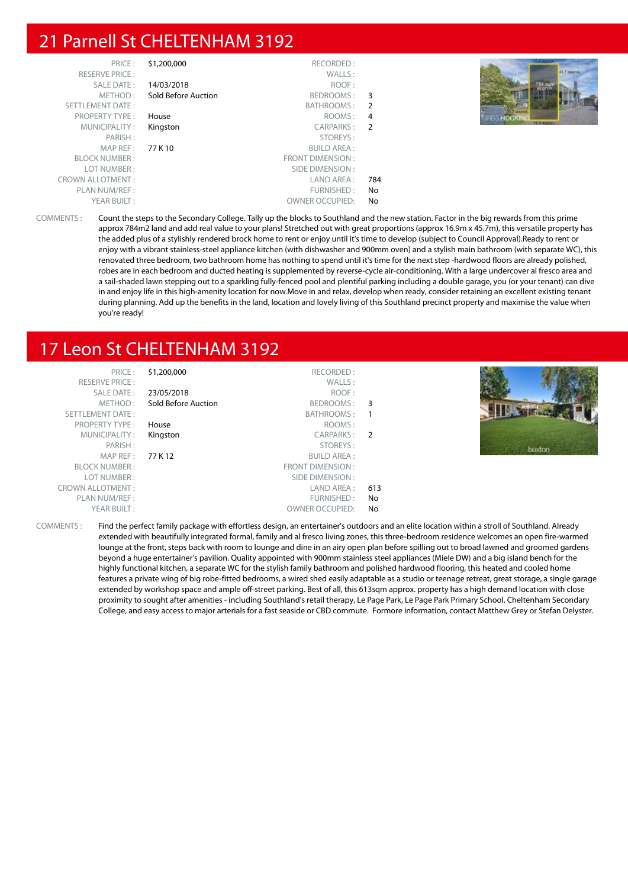#### 21 Parnell St CHELTENHAM 3192

| PRICE:<br><b>RESERVE PRICE:</b> | \$1,200,000         | RECORDED:<br>WALLS:    |                | 45.7 app         |
|---------------------------------|---------------------|------------------------|----------------|------------------|
| SALE DATE:                      | 14/03/2018          | ROOF:                  |                |                  |
| METHOD:                         | Sold Before Auction | BEDROOMS:              | 3              |                  |
| SETTLEMENT DATE:                |                     | BATHROOMS: 2           |                |                  |
| PROPERTY TYPE:                  | House               | ROOMS:                 | $\overline{4}$ |                  |
| MUNICIPALITY:                   | Kingston            | CARPARKS:              | $\overline{2}$ | <b>HERMITTEN</b> |
| PARISH:                         |                     | STOREYS:               |                |                  |
| MAP REF :                       | 77 K 10             | <b>BUILD AREA:</b>     |                |                  |
| <b>BLOCK NUMBER:</b>            |                     | FRONT DIMENSION:       |                |                  |
| LOT NUMBER:                     |                     | SIDE DIMENSION :       |                |                  |
| <b>CROWN ALLOTMENT:</b>         |                     | LAND AREA :            | 784            |                  |
| PLAN NUM/REF :                  |                     | FURNISHED:             | No             |                  |
| YEAR BUILT:                     |                     | <b>OWNER OCCUPIED:</b> | No             |                  |

COMMENTS : Count the steps to the Secondary College. Tally up the blocks to Southland and the new station. Factor in the big rewards from this prime approx 784m2 land and add real value to your plans! Stretched out with great proportions (approx 16.9m x 45.7m), this versatile property has the added plus of a stylishly rendered brock home to rent or enjoy until it's time to develop (subject to Council Approval).Ready to rent or enjoy with a vibrant stainless-steel appliance kitchen (with dishwasher and 900mm oven) and a stylish main bathroom (with separate WC), this renovated three bedroom, two bathroom home has nothing to spend until it's time for the next step -hardwood floors are already polished, robes are in each bedroom and ducted heating is supplemented by reverse-cycle air-conditioning. With a large undercover al fresco area and a sail-shaded lawn stepping out to a sparkling fully-fenced pool and plentiful parking including a double garage, you (or your tenant) can dive in and enjoy life in this high-amenity location for now.Move in and relax, develop when ready, consider retaining an excellent existing tenant during planning. Add up the benefits in the land, location and lovely living of this Southland precinct property and maximise the value when you're ready!

## 17 Leon St CHELTENHAM 3192

| 31.ZU  | PRIUT :                 |
|--------|-------------------------|
|        | <b>RESERVE PRICE:</b>   |
| 23/05  | SALE DATE:              |
| Sold I | METHOD :                |
|        | <b>SETTLEMENT DATE:</b> |
| Hous   | PROPERTY TYPE:          |
| Kings  | MUNICIPALITY:           |
|        | PARISH:                 |
|        | MAP REF: $77 K$         |
|        | <b>BLOCK NUMBER:</b>    |
|        | LOT NUMBER:             |
|        | <b>CROWN ALLOTMENT:</b> |
|        | PLAN NUM/REF :          |
|        | VEAR RIIIIT •           |

|               | RECORDED:               | \$1,200,000         | PRICE:                  |
|---------------|-------------------------|---------------------|-------------------------|
|               | WALLS:                  |                     | <b>RESERVE PRICE:</b>   |
|               | ROOF:                   | 23/05/2018          | SALE DATE:              |
| 3             | BEDROOMS:               | Sold Before Auction | METHOD:                 |
|               | BATHROOMS:              |                     | <b>SETTLEMENT DATE:</b> |
|               | ROOMS:                  | House               | <b>PROPERTY TYPE:</b>   |
| $\mathcal{P}$ | CARPARKS:               | Kingston            | MUNICIPALITY:           |
|               | STOREYS:                |                     | PARISH:                 |
|               | <b>BUILD AREA:</b>      | 77 K 12             | MAP REF:                |
|               | <b>FRONT DIMENSION:</b> |                     | <b>BLOCK NUMBER:</b>    |
|               | SIDE DIMENSION:         |                     | LOT NUMBER:             |
| 613           | LAND AREA:              |                     | <b>CROWN ALLOTMENT:</b> |
| No            | FURNISHED:              |                     | PLAN NUM/REF :          |
| No            | <b>OWNER OCCUPIED:</b>  |                     | YEAR BUILT:             |
|               |                         |                     |                         |



COMMENTS : Find the perfect family package with effortless design, an entertainer's outdoors and an elite location within a stroll of Southland. Already extended with beautifully integrated formal, family and al fresco living zones, this three-bedroom residence welcomes an open fire-warmed lounge at the front, steps back with room to lounge and dine in an airy open plan before spilling out to broad lawned and groomed gardens beyond a huge entertainer's pavilion. Quality appointed with 900mm stainless steel appliances (Miele DW) and a big island bench for the highly functional kitchen, a separate WC for the stylish family bathroom and polished hardwood flooring, this heated and cooled home features a private wing of big robe-fitted bedrooms, a wired shed easily adaptable as a studio or teenage retreat, great storage, a single garage extended by workshop space and ample off-street parking. Best of all, this 613sqm approx. property has a high demand location with close proximity to sought after amenities - including Southland's retail therapy, Le Page Park, Le Page Park Primary School, Cheltenham Secondary College, and easy access to major arterials for a fast seaside or CBD commute. Formore information, contact Matthew Grey or Stefan Delyster.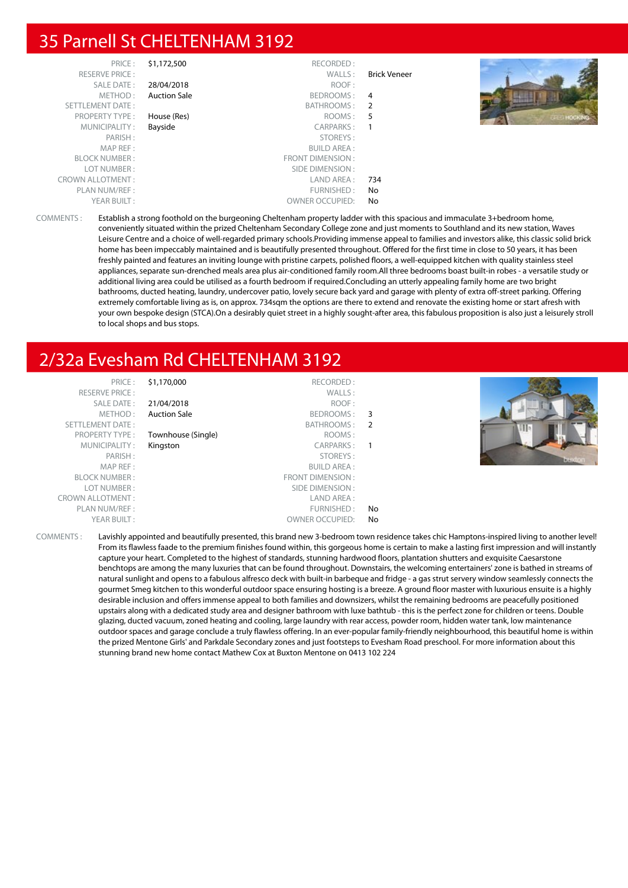#### 35 Parnell St CHELTENHAM 3192

|        |              | RECORDED:               | \$1,172,500         | PRICE:                  |
|--------|--------------|-------------------------|---------------------|-------------------------|
|        | Brick Veneer | WALLS:                  |                     | <b>RESERVE PRICE:</b>   |
|        |              | ROOF:                   | 28/04/2018          | SALE DATE:              |
|        | 4            | BEDROOMS :              | <b>Auction Sale</b> | METHOD:                 |
|        |              | BATHROOMS: 2            |                     | SETTLEMENT DATE:        |
| HOCKIN | 5            | ROOMS :                 | House (Res)         | <b>PROPERTY TYPE:</b>   |
|        |              | CARPARKS:               | Bayside             | MUNICIPALITY:           |
|        |              | STOREYS:                |                     | PARISH:                 |
|        |              | <b>BUILD AREA:</b>      |                     | MAP REF:                |
|        |              | <b>FRONT DIMENSION:</b> |                     | <b>BLOCK NUMBER:</b>    |
|        |              | SIDE DIMENSION :        |                     | LOT NUMBER:             |
|        | 734          | LAND AREA :             |                     | <b>CROWN ALLOTMENT:</b> |
|        | No           | FURNISHED:              |                     | PLAN NUM/REF:           |
|        | No           | <b>OWNER OCCUPIED:</b>  |                     | YEAR BUILT:             |

COMMENTS : Establish a strong foothold on the burgeoning Cheltenham property ladder with this spacious and immaculate 3+bedroom home, conveniently situated within the prized Cheltenham Secondary College zone and just moments to Southland and its new station, Waves Leisure Centre and a choice of well-regarded primary schools.Providing immense appeal to families and investors alike, this classic solid brick home has been impeccably maintained and is beautifully presented throughout. Offered for the first time in close to 50 years, it has been freshly painted and features an inviting lounge with pristine carpets, polished floors, a well-equipped kitchen with quality stainless steel appliances, separate sun-drenched meals area plus air-conditioned family room.All three bedrooms boast built-in robes - a versatile study or additional living area could be utilised as a fourth bedroom if required.Concluding an utterly appealing family home are two bright bathrooms, ducted heating, laundry, undercover patio, lovely secure back yard and garage with plenty of extra off-street parking. Offering extremely comfortable living as is, on approx. 734sqm the options are there to extend and renovate the existing home or start afresh with your own bespoke design (STCA).On a desirably quiet street in a highly sought-after area, this fabulous proposition is also just a leisurely stroll to local shops and bus stops.

## 2/32a Evesham Rd CHELTENHAM 3192

| PRICE:                  | \$1,170,000         | RECORDED:              |                          |  |
|-------------------------|---------------------|------------------------|--------------------------|--|
| <b>RESERVE PRICE:</b>   |                     | WALLS:                 |                          |  |
| <b>SALE DATE:</b>       | 21/04/2018          | ROOF:                  |                          |  |
| METHOD:                 | <b>Auction Sale</b> | BEDROOMS:              | $\overline{\phantom{a}}$ |  |
| SETTLEMENT DATE:        |                     | BATHROOMS:             | $\overline{2}$           |  |
| <b>PROPERTY TYPE:</b>   | Townhouse (Single)  | ROOMS:                 |                          |  |
| MUNICIPALITY:           | Kingston            | CARPARKS:              | - 1                      |  |
| PARISH:                 |                     | STOREYS:               |                          |  |
| MAP REF:                |                     | <b>BUILD AREA:</b>     |                          |  |
| <b>BLOCK NUMBER:</b>    |                     | FRONT DIMENSION:       |                          |  |
| LOT NUMBER:             |                     | SIDE DIMENSION :       |                          |  |
| <b>CROWN ALLOTMENT:</b> |                     | LAND AREA:             |                          |  |
| PLAN NUM/REF :          |                     | FURNISHED:             | No                       |  |
| YEAR BUILT:             |                     | <b>OWNER OCCUPIED:</b> | No                       |  |

COMMENTS : Lavishly appointed and beautifully presented, this brand new 3-bedroom town residence takes chic Hamptons-inspired living to another level! From its flawless faade to the premium finishes found within, this gorgeous home is certain to make a lasting first impression and will instantly capture your heart. Completed to the highest of standards, stunning hardwood floors, plantation shutters and exquisite Caesarstone benchtops are among the many luxuries that can be found throughout. Downstairs, the welcoming entertainers' zone is bathed in streams of natural sunlight and opens to a fabulous alfresco deck with built-in barbeque and fridge - a gas strut servery window seamlessly connects the gourmet Smeg kitchen to this wonderful outdoor space ensuring hosting is a breeze. A ground floor master with luxurious ensuite is a highly desirable inclusion and offers immense appeal to both families and downsizers, whilst the remaining bedrooms are peacefully positioned upstairs along with a dedicated study area and designer bathroom with luxe bathtub - this is the perfect zone for children or teens. Double glazing, ducted vacuum, zoned heating and cooling, large laundry with rear access, powder room, hidden water tank, low maintenance outdoor spaces and garage conclude a truly flawless offering. In an ever-popular family-friendly neighbourhood, this beautiful home is within the prized Mentone Girls' and Parkdale Secondary zones and just footsteps to Evesham Road preschool. For more information about this stunning brand new home contact Mathew Cox at Buxton Mentone on 0413 102 224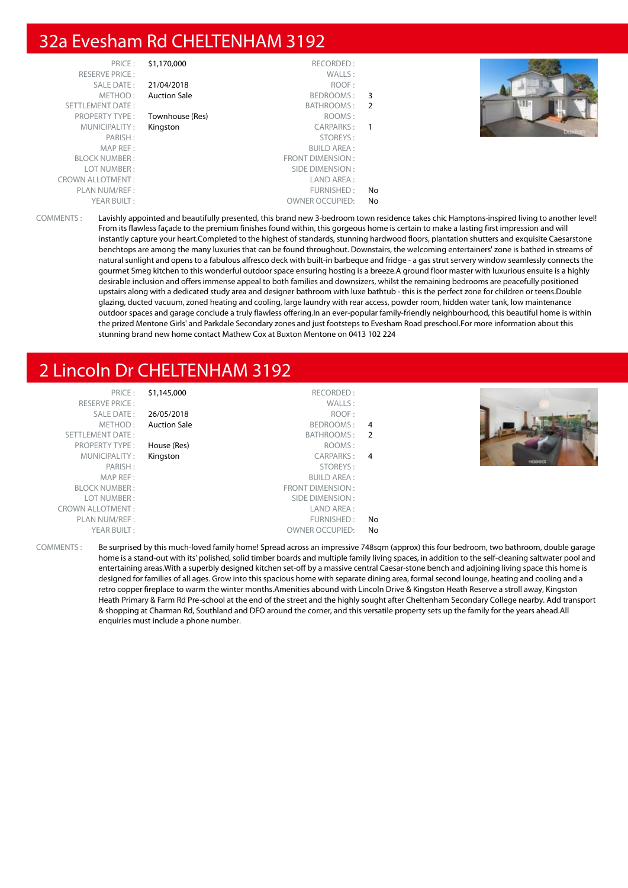#### 32a Evesham Rd CHELTENHAM 3192

| PRICE:                  | \$1,170,000         | RECORDED:               |    |
|-------------------------|---------------------|-------------------------|----|
| <b>RESERVE PRICE:</b>   |                     | WALLS:                  |    |
| SALE DATE:              | 21/04/2018          | ROOF:                   |    |
| METHOD:                 | <b>Auction Sale</b> | BEDROOMS:               | 3  |
| <b>SETTLEMENT DATE:</b> |                     | BATHROOMS:              | 2  |
| <b>PROPERTY TYPE:</b>   | Townhouse (Res)     | ROOMS:                  |    |
| MUNICIPALITY:           | Kingston            | <b>CARPARKS:</b>        |    |
| PARISH:                 |                     | STOREYS:                |    |
| MAP REF:                |                     | <b>BUILD AREA:</b>      |    |
| <b>BLOCK NUMBER:</b>    |                     | <b>FRONT DIMENSION:</b> |    |
| LOT NUMBER:             |                     | SIDE DIMENSION:         |    |
| <b>CROWN ALLOTMENT:</b> |                     | LAND AREA:              |    |
| PLAN NUM/REF :          |                     | FURNISHED:              | No |
| YEAR BUILT:             |                     | <b>OWNER OCCUPIED:</b>  | No |



COMMENTS : Lavishly appointed and beautifully presented, this brand new 3-bedroom town residence takes chic Hamptons-inspired living to another level! From its flawless façade to the premium finishes found within, this gorgeous home is certain to make a lasting first impression and will instantly capture your heart.Completed to the highest of standards, stunning hardwood floors, plantation shutters and exquisite Caesarstone benchtops are among the many luxuries that can be found throughout. Downstairs, the welcoming entertainers' zone is bathed in streams of natural sunlight and opens to a fabulous alfresco deck with built-in barbeque and fridge - a gas strut servery window seamlessly connects the gourmet Smeg kitchen to this wonderful outdoor space ensuring hosting is a breeze.A ground floor master with luxurious ensuite is a highly desirable inclusion and offers immense appeal to both families and downsizers, whilst the remaining bedrooms are peacefully positioned upstairs along with a dedicated study area and designer bathroom with luxe bathtub - this is the perfect zone for children or teens.Double glazing, ducted vacuum, zoned heating and cooling, large laundry with rear access, powder room, hidden water tank, low maintenance outdoor spaces and garage conclude a truly flawless offering.In an ever-popular family-friendly neighbourhood, this beautiful home is within the prized Mentone Girls' and Parkdale Secondary zones and just footsteps to Evesham Road preschool.For more information about this stunning brand new home contact Mathew Cox at Buxton Mentone on 0413 102 224

#### 2 Lincoln Dr CHELTENHAM 3192

| PRICE:<br><b>RESERVE PRICE:</b><br>SALE DATE:<br>METHOD:<br>SETTLEMENT DATE:<br><b>PROPERTY TYPE:</b><br>MUNICIPALITY:<br>PARISH: | \$1,145,000<br>26/05/2018<br><b>Auction Sale</b><br>House (Res)<br>Kingston | RECORDED:<br>WALLS:<br>ROOF:<br>BEDROOMS:<br>BATHROOMS: 2<br>ROOMS:<br>CARPARKS: 4<br>STOREYS:                  | $\overline{4}$ | 4800043 |
|-----------------------------------------------------------------------------------------------------------------------------------|-----------------------------------------------------------------------------|-----------------------------------------------------------------------------------------------------------------|----------------|---------|
| MAP REF:<br><b>BLOCK NUMBER:</b><br>LOT NUMBER:<br><b>CROWN ALLOTMENT:</b><br>PLAN NUM/REF :<br>YEAR BUILT:                       |                                                                             | <b>BUILD AREA:</b><br>FRONT DIMENSION:<br>SIDE DIMENSION:<br>LAND AREA:<br>FURNISHED:<br><b>OWNER OCCUPIED:</b> | No<br>No       |         |

COMMENTS : Be surprised by this much-loved family home! Spread across an impressive 748sqm (approx) this four bedroom, two bathroom, double garage home is a stand-out with its' polished, solid timber boards and multiple family living spaces, in addition to the self-cleaning saltwater pool and entertaining areas.With a superbly designed kitchen set-off by a massive central Caesar-stone bench and adjoining living space this home is designed for families of all ages. Grow into this spacious home with separate dining area, formal second lounge, heating and cooling and a retro copper fireplace to warm the winter months.Amenities abound with Lincoln Drive & Kingston Heath Reserve a stroll away, Kingston Heath Primary & Farm Rd Pre-school at the end of the street and the highly sought after Cheltenham Secondary College nearby. Add transport & shopping at Charman Rd, Southland and DFO around the corner, and this versatile property sets up the family for the years ahead.All enquiries must include a phone number.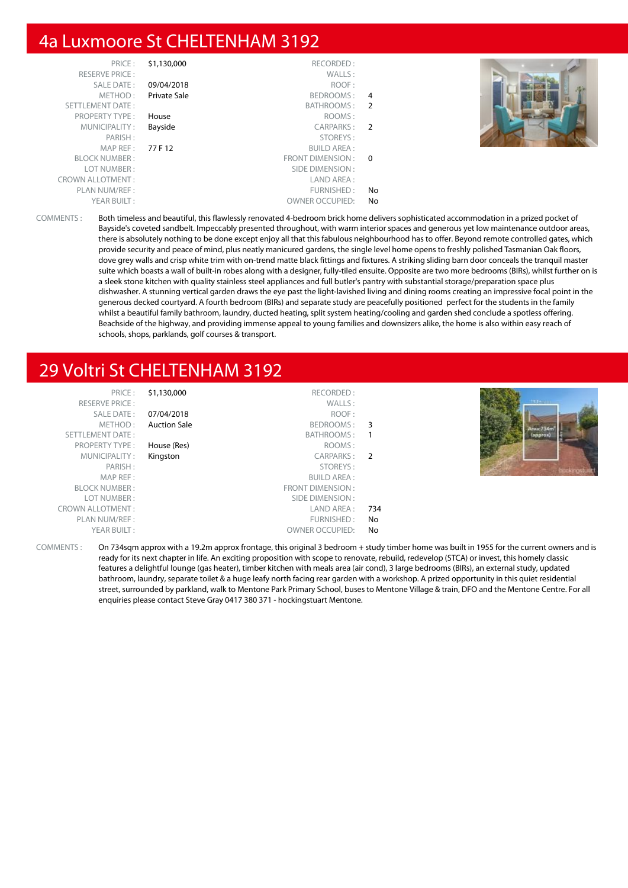#### 4a Luxmoore St CHELTENHAM 3192

| PRICE:<br><b>RESERVE PRICE:</b> | \$1,130,000  | RECORDED:<br>WALLS:    |                |  |
|---------------------------------|--------------|------------------------|----------------|--|
| SALE DATE:                      | 09/04/2018   | ROOF:                  |                |  |
| METHOD:                         | Private Sale | BEDROOMS:              | -4             |  |
| SETTLEMENT DATE:                |              | BATHROOMS:             | 2              |  |
| <b>PROPERTY TYPE:</b>           | House        | ROOMS:                 |                |  |
| MUNICIPALITY:                   | Bayside      | CARPARKS:              | $\overline{2}$ |  |
| PARISH:                         |              | STOREYS:               |                |  |
| MAPREF:                         | 77 F 12      | <b>BUILD AREA:</b>     |                |  |
| <b>BLOCK NUMBER:</b>            |              | FRONT DIMENSION : 0    |                |  |
| LOT NUMBER:                     |              | SIDE DIMENSION :       |                |  |
| <b>CROWN ALLOTMENT:</b>         |              | LAND AREA :            |                |  |
| PLAN NUM/REF :                  |              | FURNISHED:             | No.            |  |
| YEAR BUILT:                     |              | <b>OWNER OCCUPIED:</b> | No             |  |

COMMENTS : Both timeless and beautiful, this flawlessly renovated 4-bedroom brick home delivers sophisticated accommodation in a prized pocket of Bayside's coveted sandbelt. Impeccably presented throughout, with warm interior spaces and generous yet low maintenance outdoor areas, there is absolutely nothing to be done except enjoy all that this fabulous neighbourhood has to offer. Beyond remote controlled gates, which provide security and peace of mind, plus neatly manicured gardens, the single level home opens to freshly polished Tasmanian Oak floors, dove grey walls and crisp white trim with on-trend matte black fittings and fixtures. A striking sliding barn door conceals the tranquil master suite which boasts a wall of built-in robes along with a designer, fully-tiled ensuite. Opposite are two more bedrooms (BIRs), whilst further on is a sleek stone kitchen with quality stainless steel appliances and full butler's pantry with substantial storage/preparation space plus dishwasher. A stunning vertical garden draws the eye past the light-lavished living and dining rooms creating an impressive focal point in the generous decked courtyard. A fourth bedroom (BIRs) and separate study are peacefully positioned perfect for the students in the family whilst a beautiful family bathroom, laundry, ducted heating, split system heating/cooling and garden shed conclude a spotless offering. Beachside of the highway, and providing immense appeal to young families and downsizers alike, the home is also within easy reach of schools, shops, parklands, golf courses & transport.

### 29 Voltri St CHELTENHAM 3192

| PRICE:<br><b>RESERVE PRICE:</b><br>SALE DATE:<br>METHOD: | \$1,130,000<br>07/04/2018<br><b>Auction Sale</b> | RECORDED:<br>WALLS:<br>ROOF:<br>BEDROOMS: 3 |     | 12.2mmm  |
|----------------------------------------------------------|--------------------------------------------------|---------------------------------------------|-----|----------|
| SETTLEMENT DATE:                                         |                                                  | BATHROOMS:                                  |     | (approx) |
| <b>PROPERTY TYPE:</b>                                    | House (Res)                                      | ROOMS:                                      |     |          |
| MUNICIPALITY:                                            | Kingston                                         | CARPARKS: 2                                 |     |          |
| PARISH:                                                  |                                                  | STOREYS:                                    |     |          |
| MAP REF:                                                 |                                                  | BUILD AREA :                                |     |          |
| <b>BLOCK NUMBER:</b>                                     |                                                  | FRONT DIMENSION:                            |     |          |
| LOT NUMBER:                                              |                                                  | SIDE DIMENSION :                            |     |          |
| <b>CROWN ALLOTMENT:</b>                                  |                                                  | LAND AREA :                                 | 734 |          |
| PLAN NUM/REF :                                           |                                                  | FURNISHED:                                  | No  |          |
| YEAR BUILT:                                              |                                                  | <b>OWNER OCCUPIED:</b>                      | No  |          |

COMMENTS : On 734sqm approx with a 19.2m approx frontage, this original 3 bedroom + study timber home was built in 1955 for the current owners and is ready for its next chapter in life. An exciting proposition with scope to renovate, rebuild, redevelop (STCA) or invest, this homely classic features a delightful lounge (gas heater), timber kitchen with meals area (air cond), 3 large bedrooms (BIRs), an external study, updated bathroom, laundry, separate toilet & a huge leafy north facing rear garden with a workshop. A prized opportunity in this quiet residential street, surrounded by parkland, walk to Mentone Park Primary School, buses to Mentone Village & train, DFO and the Mentone Centre. For all enquiries please contact Steve Gray 0417 380 371 - hockingstuart Mentone.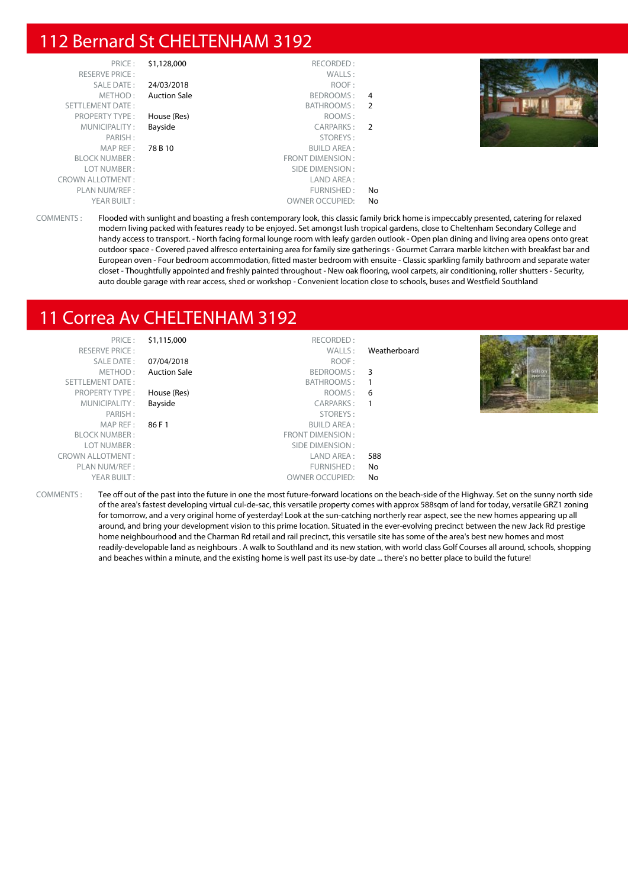#### 112 Bernard St CHELTENHAM 3192

| PRICE:                  | \$1,128,000         | RECORDED:              |     |  |
|-------------------------|---------------------|------------------------|-----|--|
| <b>RESERVE PRICE:</b>   |                     | WALLS:                 |     |  |
| SALE DATE:              | 24/03/2018          | ROOF:                  |     |  |
| METHOD:                 | <b>Auction Sale</b> | BEDROOMS:              | 4   |  |
| <b>SETTLEMENT DATE:</b> |                     | BATHROOMS:             | -2  |  |
| <b>PROPERTY TYPE:</b>   | House (Res)         | ROOMS:                 |     |  |
| MUNICIPALITY:           | Bayside             | CARPARKS:              | - 2 |  |
| PARISH:                 |                     | STOREYS:               |     |  |
| MAP REF:                | 78 B 10             | <b>BUILD AREA:</b>     |     |  |
| <b>BLOCK NUMBER:</b>    |                     | FRONT DIMENSION:       |     |  |
| LOT NUMBER:             |                     | SIDE DIMENSION:        |     |  |
| <b>CROWN ALLOTMENT:</b> |                     | LAND AREA:             |     |  |
| PLAN NUM/REF:           |                     | FURNISHED:             | No  |  |
| YEAR BUILT:             |                     | <b>OWNER OCCUPIED:</b> | No  |  |



COMMENTS : Flooded with sunlight and boasting a fresh contemporary look, this classic family brick home is impeccably presented, catering for relaxed modern living packed with features ready to be enjoyed. Set amongst lush tropical gardens, close to Cheltenham Secondary College and handy access to transport. - North facing formal lounge room with leafy garden outlook - Open plan dining and living area opens onto great outdoor space - Covered paved alfresco entertaining area for family size gatherings - Gourmet Carrara marble kitchen with breakfast bar and European oven - Four bedroom accommodation, fitted master bedroom with ensuite - Classic sparkling family bathroom and separate water closet - Thoughtfully appointed and freshly painted throughout - New oak flooring, wool carpets, air conditioning, roller shutters - Security, auto double garage with rear access, shed or workshop - Convenient location close to schools, buses and Westfield Southland

## 11 Correa Av CHELTENHAM 3192

| PRICE:                  | \$1,115,000         | RECORDED:              |              |  |
|-------------------------|---------------------|------------------------|--------------|--|
| <b>RESERVE PRICE:</b>   |                     | WALLS:                 | Weatherboard |  |
| SALE DATE:              | 07/04/2018          | ROOF:                  |              |  |
| METHOD:                 | <b>Auction Sale</b> | BEDROOMS: 3            |              |  |
| SETTLEMENT DATE:        |                     | BATHROOMS: 1           |              |  |
| PROPERTY TYPE:          | House (Res)         | ROOMS: 6               |              |  |
| MUNICIPALITY:           | Bayside             | CARPARKS: 1            |              |  |
| PARISH:                 |                     | STOREYS:               |              |  |
| MAPREF:                 | 86 F 1              | <b>BUILD AREA:</b>     |              |  |
| <b>BLOCK NUMBER:</b>    |                     | FRONT DIMENSION:       |              |  |
| LOT NUMBER:             |                     | SIDE DIMENSION :       |              |  |
| <b>CROWN ALLOTMENT:</b> |                     | LAND AREA :            | 588          |  |
| PLAN NUM/REF :          |                     | FURNISHED:             | No           |  |
| YEAR BUILT:             |                     | <b>OWNER OCCUPIED:</b> | No           |  |
|                         |                     |                        |              |  |

COMMENTS : Tee off out of the past into the future in one the most future-forward locations on the beach-side of the Highway. Set on the sunny north side of the area's fastest developing virtual cul-de-sac, this versatile property comes with approx 588sqm of land for today, versatile GRZ1 zoning for tomorrow, and a very original home of yesterday! Look at the sun-catching northerly rear aspect, see the new homes appearing up all around, and bring your development vision to this prime location. Situated in the ever-evolving precinct between the new Jack Rd prestige home neighbourhood and the Charman Rd retail and rail precinct, this versatile site has some of the area's best new homes and most readily-developable land as neighbours . A walk to Southland and its new station, with world class Golf Courses all around, schools, shopping and beaches within a minute, and the existing home is well past its use-by date ... there's no better place to build the future!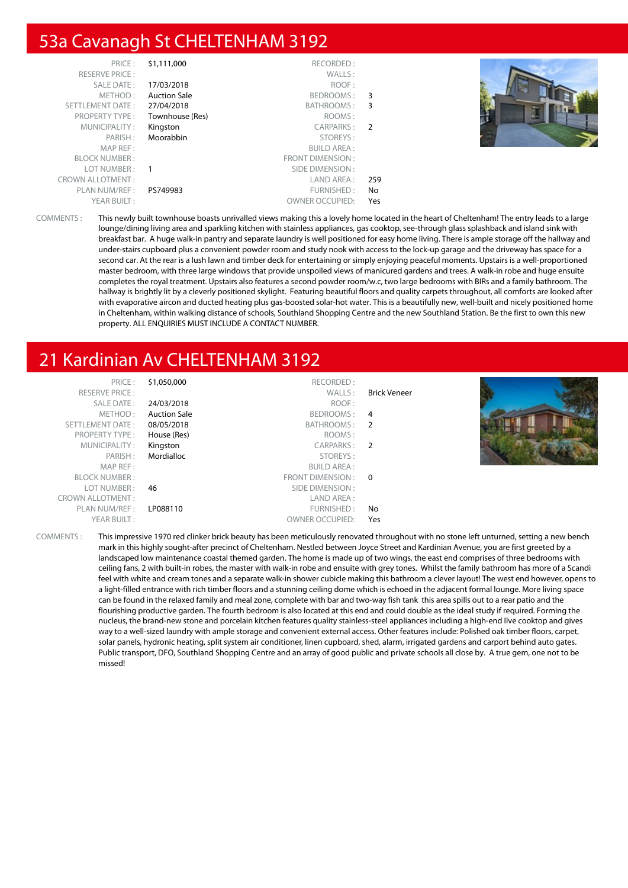### 53a Cavanagh St CHELTENHAM 3192

| PRICE:                  | \$1,111,000         | RECORDED:               |     |  |
|-------------------------|---------------------|-------------------------|-----|--|
| <b>RESERVE PRICE:</b>   |                     | WALLS:                  |     |  |
| SALE DATE:              | 17/03/2018          | ROOF:                   |     |  |
| METHOD:                 | <b>Auction Sale</b> | BEDROOMS:               | 3   |  |
| SETTLEMENT DATE:        | 27/04/2018          | BATHROOMS:              | 3   |  |
| <b>PROPERTY TYPE:</b>   | Townhouse (Res)     | ROOMS:                  |     |  |
| MUNICIPALITY:           | Kingston            | CARPARKS:               | -2  |  |
| PARISH:                 | Moorabbin           | STOREYS:                |     |  |
| MAP REF:                |                     | <b>BUILD AREA:</b>      |     |  |
| <b>BLOCK NUMBER:</b>    |                     | <b>FRONT DIMENSION:</b> |     |  |
| LOT NUMBER :            | $\overline{1}$      | SIDE DIMENSION:         |     |  |
| <b>CROWN ALLOTMENT:</b> |                     | LAND AREA :             | 259 |  |
| PLAN NUM/REF:           | PS749983            | FURNISHED:              | No  |  |
| YEAR BUILT:             |                     | <b>OWNER OCCUPIED:</b>  | Yes |  |



COMMENTS : This newly built townhouse boasts unrivalled views making this a lovely home located in the heart of Cheltenham! The entry leads to a large lounge/dining living area and sparkling kitchen with stainless appliances, gas cooktop, see-through glass splashback and island sink with breakfast bar. A huge walk-in pantry and separate laundry is well positioned for easy home living. There is ample storage off the hallway and under-stairs cupboard plus a convenient powder room and study nook with access to the lock-up garage and the driveway has space for a second car. At the rear is a lush lawn and timber deck for entertaining or simply enjoying peaceful moments. Upstairs is a well-proportioned master bedroom, with three large windows that provide unspoiled views of manicured gardens and trees. A walk-in robe and huge ensuite completes the royal treatment. Upstairs also features a second powder room/w.c, two large bedrooms with BIRs and a family bathroom. The hallway is brightly lit by a cleverly positioned skylight. Featuring beautiful floors and quality carpets throughout, all comforts are looked after with evaporative aircon and ducted heating plus gas-boosted solar-hot water. This is a beautifully new, well-built and nicely positioned home in Cheltenham, within walking distance of schools, Southland Shopping Centre and the new Southland Station. Be the first to own this new property. ALL ENQUIRIES MUST INCLUDE A CONTACT NUMBER.

### 21 Kardinian Av CHELTENHAM 3192

| PRICE:                  | \$1,050,000         | RECORDED:              |                     |  |
|-------------------------|---------------------|------------------------|---------------------|--|
| <b>RESERVE PRICE:</b>   |                     | WALLS:                 | <b>Brick Veneer</b> |  |
| SALE DATE:              | 24/03/2018          | ROOF:                  |                     |  |
| METHOD:                 | <b>Auction Sale</b> | BEDROOMS: 4            |                     |  |
| SETTLEMENT DATE:        | 08/05/2018          | BATHROOMS: 2           |                     |  |
| <b>PROPERTY TYPE:</b>   | House (Res)         | ROOMS:                 |                     |  |
| MUNICIPALITY:           | Kingston            | CARPARKS: 2            |                     |  |
| PARISH:                 | Mordialloc          | STOREYS:               |                     |  |
| MAP REF:                |                     | BUILD AREA :           |                     |  |
| <b>BLOCK NUMBER:</b>    |                     | FRONT DIMENSION : 0    |                     |  |
| LOT NUMBER:             | 46                  | SIDE DIMENSION :       |                     |  |
| <b>CROWN ALLOTMENT:</b> |                     | LAND AREA :            |                     |  |
| PLAN NUM/REF :          | LP088110            | FURNISHED:             | No                  |  |
| YEAR BUILT:             |                     | <b>OWNER OCCUPIED:</b> | Yes                 |  |

COMMENTS : This impressive 1970 red clinker brick beauty has been meticulously renovated throughout with no stone left unturned, setting a new bench mark in this highly sought-after precinct of Cheltenham. Nestled between Joyce Street and Kardinian Avenue, you are first greeted by a landscaped low maintenance coastal themed garden. The home is made up of two wings, the east end comprises of three bedrooms with ceiling fans, 2 with built-in robes, the master with walk-in robe and ensuite with grey tones. Whilst the family bathroom has more of a Scandi feel with white and cream tones and a separate walk-in shower cubicle making this bathroom a clever layout! The west end however, opens to a light-filled entrance with rich timber floors and a stunning ceiling dome which is echoed in the adjacent formal lounge. More living space can be found in the relaxed family and meal zone, complete with bar and two-way fish tank this area spills out to a rear patio and the flourishing productive garden. The fourth bedroom is also located at this end and could double as the ideal study if required. Forming the nucleus, the brand-new stone and porcelain kitchen features quality stainless-steel appliances including a high-end Ilve cooktop and gives way to a well-sized laundry with ample storage and convenient external access. Other features include: Polished oak timber floors, carpet, solar panels, hydronic heating, split system air conditioner, linen cupboard, shed, alarm, irrigated gardens and carport behind auto gates. Public transport, DFO, Southland Shopping Centre and an array of good public and private schools all close by. A true gem, one not to be missed!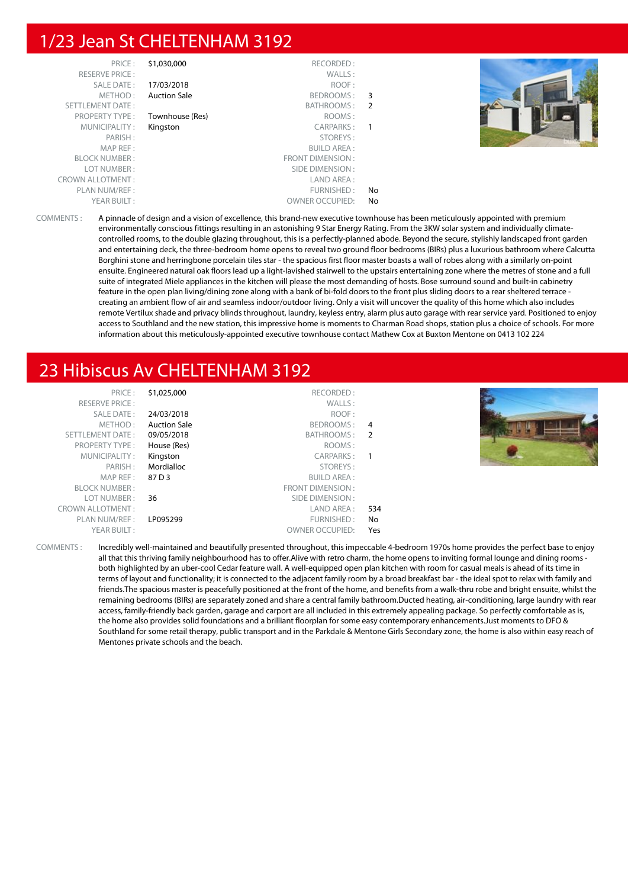#### 1/23 Jean St CHELTENHAM 3192

|                | RECORDED:               | \$1,030,000         | PRICE:                  |
|----------------|-------------------------|---------------------|-------------------------|
|                | WALLS:                  |                     | <b>RESERVE PRICE:</b>   |
|                | ROOF:                   | 17/03/2018          | SALE DATE:              |
| 3              | BEDROOMS:               | <b>Auction Sale</b> | METHOD:                 |
| $\overline{2}$ | BATHROOMS:              |                     | <b>SETTLEMENT DATE:</b> |
|                | ROOMS:                  | Townhouse (Res)     | <b>PROPERTY TYPE:</b>   |
| 1              | CARPARKS:               | Kingston            | MUNICIPALITY:           |
|                | STOREYS:                |                     | PARISH:                 |
|                | <b>BUILD AREA:</b>      |                     | MAP REF:                |
|                | <b>FRONT DIMENSION:</b> |                     | <b>BLOCK NUMBER:</b>    |
|                | SIDE DIMENSION:         |                     | LOT NUMBER:             |
|                | LAND AREA:              |                     | <b>CROWN ALLOTMENT:</b> |
| No             | FURNISHED:              |                     | PLAN NUM/REF:           |
| No             | <b>OWNER OCCUPIED:</b>  |                     | YEAR BUILT:             |
|                |                         |                     |                         |



COMMENTS : A pinnacle of design and a vision of excellence, this brand-new executive townhouse has been meticulously appointed with premium environmentally conscious fittings resulting in an astonishing 9 Star Energy Rating. From the 3KW solar system and individually climatecontrolled rooms, to the double glazing throughout, this is a perfectly-planned abode. Beyond the secure, stylishly landscaped front garden and entertaining deck, the three-bedroom home opens to reveal two ground floor bedrooms (BIRs) plus a luxurious bathroom where Calcutta Borghini stone and herringbone porcelain tiles star - the spacious first floor master boasts a wall of robes along with a similarly on-point ensuite. Engineered natural oak floors lead up a light-lavished stairwell to the upstairs entertaining zone where the metres of stone and a full suite of integrated Miele appliances in the kitchen will please the most demanding of hosts. Bose surround sound and built-in cabinetry feature in the open plan living/dining zone along with a bank of bi-fold doors to the front plus sliding doors to a rear sheltered terrace creating an ambient flow of air and seamless indoor/outdoor living. Only a visit will uncover the quality of this home which also includes remote Vertilux shade and privacy blinds throughout, laundry, keyless entry, alarm plus auto garage with rear service yard. Positioned to enjoy access to Southland and the new station, this impressive home is moments to Charman Road shops, station plus a choice of schools. For more information about this meticulously-appointed executive townhouse contact Mathew Cox at Buxton Mentone on 0413 102 224

### 23 Hibiscus Av CHELTENHAM 3192

| PRICE:<br><b>RESERVE PRICE:</b><br><b>SALE DATE:</b><br>METHOD:<br><b>SETTLEMENT DATE:</b><br><b>PROPERTY TYPE:</b> | \$1,025,000<br>24/03/2018<br><b>Auction Sale</b><br>09/05/2018<br>House (Res) | RECORDED:<br>WALLS:<br>ROOF:<br>BEDROOMS:<br>BATHROOMS:<br>ROOMS: | 4<br>- 2 |  |
|---------------------------------------------------------------------------------------------------------------------|-------------------------------------------------------------------------------|-------------------------------------------------------------------|----------|--|
|                                                                                                                     |                                                                               |                                                                   |          |  |
|                                                                                                                     |                                                                               |                                                                   |          |  |
|                                                                                                                     |                                                                               |                                                                   |          |  |
|                                                                                                                     |                                                                               |                                                                   |          |  |
|                                                                                                                     |                                                                               |                                                                   |          |  |
| MUNICIPALITY:                                                                                                       | Kingston                                                                      | <b>CARPARKS:</b>                                                  |          |  |
| PARISH:                                                                                                             | Mordialloc                                                                    | STOREYS:                                                          |          |  |
| MAP REF :                                                                                                           | 87 D 3                                                                        | <b>BUILD AREA:</b>                                                |          |  |
| <b>BLOCK NUMBER:</b>                                                                                                |                                                                               | FRONT DIMENSION:                                                  |          |  |
| LOT NUMBER :                                                                                                        | 36                                                                            | SIDE DIMENSION :                                                  |          |  |
| <b>CROWN ALLOTMENT:</b>                                                                                             |                                                                               | LAND AREA :                                                       | 534      |  |
| PLAN NUM/REF :                                                                                                      | LP095299                                                                      | FURNISHED:                                                        | No       |  |
| YEAR BUILT:                                                                                                         |                                                                               | <b>OWNER OCCUPIED:</b>                                            | Yes      |  |
|                                                                                                                     |                                                                               |                                                                   |          |  |

COMMENTS : Incredibly well-maintained and beautifully presented throughout, this impeccable 4-bedroom 1970s home provides the perfect base to enjoy all that this thriving family neighbourhood has to offer.Alive with retro charm, the home opens to inviting formal lounge and dining rooms both highlighted by an uber-cool Cedar feature wall. A well-equipped open plan kitchen with room for casual meals is ahead of its time in terms of layout and functionality; it is connected to the adjacent family room by a broad breakfast bar - the ideal spot to relax with family and friends.The spacious master is peacefully positioned at the front of the home, and benefits from a walk-thru robe and bright ensuite, whilst the remaining bedrooms (BIRs) are separately zoned and share a central family bathroom.Ducted heating, air-conditioning, large laundry with rear access, family-friendly back garden, garage and carport are all included in this extremely appealing package. So perfectly comfortable as is, the home also provides solid foundations and a brilliant floorplan for some easy contemporary enhancements.Just moments to DFO & Southland for some retail therapy, public transport and in the Parkdale & Mentone Girls Secondary zone, the home is also within easy reach of Mentones private schools and the beach.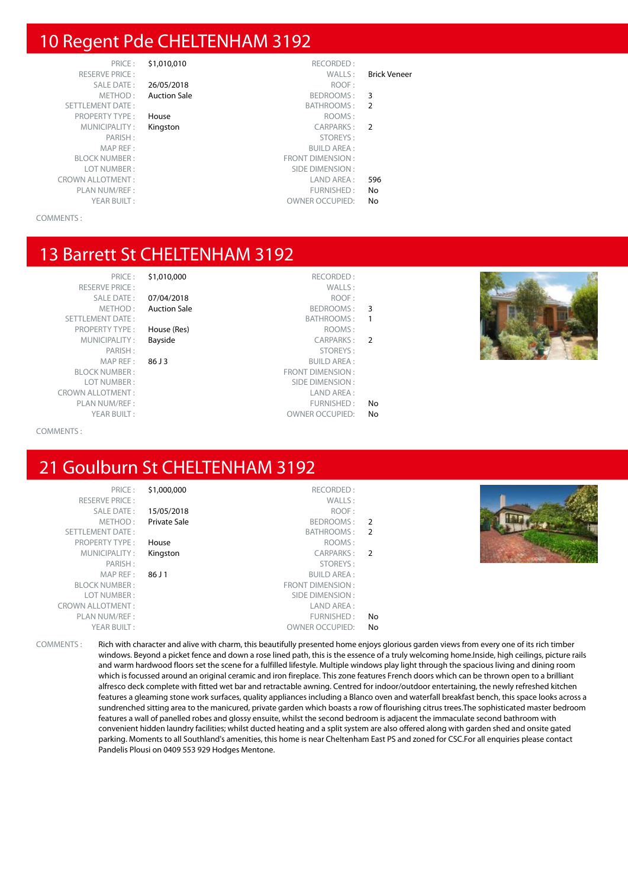#### 10 Regent Pde CHELTENHAM 3192

PRICE : \$1,010,010 RECORDED :<br>PRICE : WALLS : RESERVE PRICE : WALLS : Brick Veneer SETTLEMENT DATE : BATHROOMS : 2 PROPERTY TYPE : **House** ROOMS : MUNICIPALITY : **Kingston** CARPARKS : 2 BLOCK NUMBER : FRONT DIMENSION : CROWN ALLOTMENT :<br>
PLAN NUM/REF : 
PLAN NUM/REF : PLAN NUM/REF :<br>
YEAR BUILT : THE STATE OWNER OCCUPIED: No

#### SALE DATE : 26/05/2018 ROOF : METHOD: Auction Sale BEDROOMS: 3

- PARISH : STOREYS :
- 

#### COMMENTS :

#### 13 Barrett St CHELTENHAM 3192

#### PRICE : \$1,010,000 RECORDED :

RESERVE PRICE : WALLS : SETTLEMENT DATE : SETTLEMENT DATE : SATHROOMS : 1

SALE DATE : **07/04/2018** ROOF :<br>METHOD : **Auction Sale** Reproduced by BEDROOMS : Auction Sale **BEDROOMS** : 3

- 
- 

- PROPERTY TYPE : **House (Res)** ROOMS : ROOMS : ROOMS : ROOMS : ROOMS : ROOMS : ROOMS : ROOMS : ROOMS : ROOMS : ROOMS : ROOMS : ROOMS : ROOMS : ROOMS : ROOMS : ROOMS : ROOMS : ROOMS : ROOMS : ROOMS : ROOMS : ROOMS : ROOMS : MUNICIPALITY : **Bayside CARPARKS** : **2** PARISH : STOREYS : MAP REF : 86 J 3 BUILD AREA : FRONT DIMENSION : LOT NUMBER : SIDE DIMENSION : CROWN ALLOTMENT : LAND AREA :
	- PLAN NUM/REF :  $\blacksquare$ YEAR BUILT :  $OWNER$  OWNER OCCUPIED: No

**BUILD AREA:** 

OWNER OCCUPIED: No

SIDE DIMENSION :



#### COMMENTS :

## 21 Goulburn St CHELTENHAM 3192

RESERVE PRICE : PLAN NUM/REF : FURNISHED : No

PRICE : \$1,000,000 RECORDED :<br>PRICE : WALLS : SALE DATE : **15/05/2018** ROOF : METHOD : **Private Sale BEDROOMS** : 2 SETTLEMENT DATE : BATHROOMS : 2 PROPERTY TYPE : **House** ROOMS : MUNICIPALITY : **Kingston** CARPARKS : 2 PARISH : STOREYS : 86 J 1 BUILD AREA :



OWNER OCCUPIED: No



COMMENTS : Rich with character and alive with charm, this beautifully presented home enjoys glorious garden views from every one of its rich timber windows. Beyond a picket fence and down a rose lined path, this is the essence of a truly welcoming home.Inside, high ceilings, picture rails and warm hardwood floors set the scene for a fulfilled lifestyle. Multiple windows play light through the spacious living and dining room which is focussed around an original ceramic and iron fireplace. This zone features French doors which can be thrown open to a brilliant alfresco deck complete with fitted wet bar and retractable awning. Centred for indoor/outdoor entertaining, the newly refreshed kitchen features a gleaming stone work surfaces, quality appliances including a Blanco oven and waterfall breakfast bench, this space looks across a sundrenched sitting area to the manicured, private garden which boasts a row of flourishing citrus trees.The sophisticated master bedroom features a wall of panelled robes and glossy ensuite, whilst the second bedroom is adjacent the immaculate second bathroom with convenient hidden laundry facilities; whilst ducted heating and a split system are also offered along with garden shed and onsite gated parking. Moments to all Southland's amenities, this home is near Cheltenham East PS and zoned for CSC.For all enquiries please contact Pandelis Plousi on 0409 553 929 Hodges Mentone.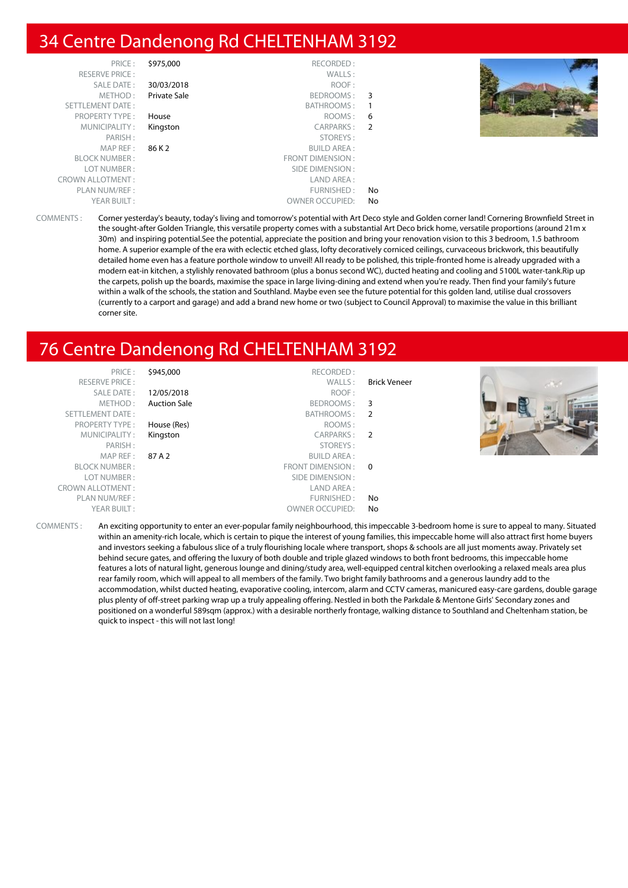#### 34 Centre Dandenong Rd CHELTENHAM 3192

| PRICE:                  | \$975,000    | RECORDED:              |     |  |
|-------------------------|--------------|------------------------|-----|--|
| <b>RESERVE PRICE:</b>   |              | WALLS:                 |     |  |
| SALE DATE:              | 30/03/2018   | ROOF:                  |     |  |
| METHOD:                 | Private Sale | BEDROOMS:              | - 3 |  |
| SETTLEMENT DATE:        |              | BATHROOMS:             | - 1 |  |
| PROPERTY TYPE:          | House        | ROOMS:                 | -6  |  |
| MUNICIPALITY:           | Kingston     | CARPARKS:              | - 2 |  |
| PARISH:                 |              | STOREYS:               |     |  |
| MAPREF:                 | 86 K 2       | BUILD AREA :           |     |  |
| <b>BLOCK NUMBER:</b>    |              | FRONT DIMENSION :      |     |  |
| LOT NUMBER:             |              | SIDE DIMENSION :       |     |  |
| <b>CROWN ALLOTMENT:</b> |              | LAND AREA :            |     |  |
| PLAN NUM/REF :          |              | FURNISHED:             | No. |  |
| YEAR BUILT:             |              | <b>OWNER OCCUPIED:</b> | No  |  |

COMMENTS : Corner yesterday's beauty, today's living and tomorrow's potential with Art Deco style and Golden corner land! Cornering Brownfield Street in the sought-after Golden Triangle, this versatile property comes with a substantial Art Deco brick home, versatile proportions (around 21m x 30m) and inspiring potential.See the potential, appreciate the position and bring your renovation vision to this 3 bedroom, 1.5 bathroom home. A superior example of the era with eclectic etched glass, lofty decoratively corniced ceilings, curvaceous brickwork, this beautifully detailed home even has a feature porthole window to unveil! All ready to be polished, this triple-fronted home is already upgraded with a modern eat-in kitchen, a stylishly renovated bathroom (plus a bonus second WC), ducted heating and cooling and 5100L water-tank.Rip up the carpets, polish up the boards, maximise the space in large living-dining and extend when you're ready. Then find your family's future within a walk of the schools, the station and Southland. Maybe even see the future potential for this golden land, utilise dual crossovers (currently to a carport and garage) and add a brand new home or two (subject to Council Approval) to maximise the value in this brilliant corner site.

### 76 Centre Dandenong Rd CHELTENHAM 3192

| PRICE:                  | \$945,000           | RECORDED:              |                          |                                          |
|-------------------------|---------------------|------------------------|--------------------------|------------------------------------------|
| <b>RESERVE PRICE:</b>   |                     | WALLS:                 | <b>Brick Veneer</b>      | $\mathcal{L}^{\mathcal{A}}(\mathcal{M})$ |
| SALE DATE:              | 12/05/2018          | ROOF:                  |                          |                                          |
| METHOD:                 | <b>Auction Sale</b> | BEDROOMS:              | - 3                      |                                          |
| SETTLEMENT DATE:        |                     | BATHROOMS:             | - 2                      |                                          |
| <b>PROPERTY TYPE:</b>   | House (Res)         | ROOMS:                 |                          |                                          |
| MUNICIPALITY:           | Kingston            | CARPARKS:              | $\overline{\phantom{a}}$ |                                          |
| PARISH:                 |                     | STOREYS:               |                          |                                          |
| MAP REF :               | 87 A 2              | <b>BUILD AREA:</b>     |                          |                                          |
| <b>BLOCK NUMBER:</b>    |                     | FRONT DIMENSION :      | $\Omega$                 |                                          |
| LOT NUMBER:             |                     | SIDE DIMENSION :       |                          |                                          |
| <b>CROWN ALLOTMENT:</b> |                     | LAND AREA:             |                          |                                          |
| PLAN NUM/REF:           |                     | FURNISHED:             | No                       |                                          |
| YEAR BUILT:             |                     | <b>OWNER OCCUPIED:</b> | No                       |                                          |

COMMENTS : An exciting opportunity to enter an ever-popular family neighbourhood, this impeccable 3-bedroom home is sure to appeal to many. Situated within an amenity-rich locale, which is certain to pique the interest of young families, this impeccable home will also attract first home buyers and investors seeking a fabulous slice of a truly flourishing locale where transport, shops & schools are all just moments away. Privately set behind secure gates, and offering the luxury of both double and triple glazed windows to both front bedrooms, this impeccable home features a lots of natural light, generous lounge and dining/study area, well-equipped central kitchen overlooking a relaxed meals area plus rear family room, which will appeal to all members of the family. Two bright family bathrooms and a generous laundry add to the accommodation, whilst ducted heating, evaporative cooling, intercom, alarm and CCTV cameras, manicured easy-care gardens, double garage plus plenty of off-street parking wrap up a truly appealing offering. Nestled in both the Parkdale & Mentone Girls' Secondary zones and positioned on a wonderful 589sqm (approx.) with a desirable northerly frontage, walking distance to Southland and Cheltenham station, be quick to inspect - this will not last long!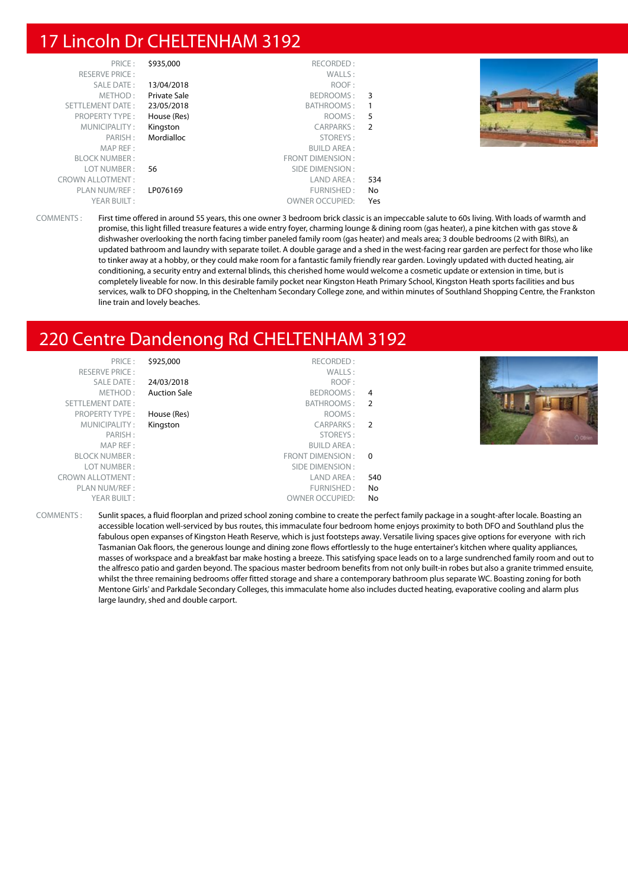#### 17 Lincoln Dr CHELTENHAM 3192

| PRICE:                  | \$935,000    | RECORDED:              |     |  |
|-------------------------|--------------|------------------------|-----|--|
| <b>RESERVE PRICE:</b>   |              | WALLS:                 |     |  |
| SALE DATE:              | 13/04/2018   | ROOF:                  |     |  |
| METHOD:                 | Private Sale | BEDROOMS: 3            |     |  |
| SETTLEMENT DATE:        | 23/05/2018   | BATHROOMS:             |     |  |
| <b>PROPERTY TYPE:</b>   | House (Res)  | ROOMS:                 | 5   |  |
| MUNICIPALITY:           | Kingston     | CARPARKS: 2            |     |  |
| PARISH:                 | Mordialloc   | STOREYS:               |     |  |
| MAP REF :               |              | <b>BUILD AREA:</b>     |     |  |
| <b>BLOCK NUMBER:</b>    |              | FRONT DIMENSION:       |     |  |
| LOT NUMBER :            | 56           | SIDE DIMENSION :       |     |  |
| <b>CROWN ALLOTMENT:</b> |              | LAND AREA :            | 534 |  |
| PLAN NUM/REF :          | LP076169     | FURNISHED:             | No  |  |
| YEAR BUILT:             |              | <b>OWNER OCCUPIED:</b> | Yes |  |

COMMENTS : First time offered in around 55 years, this one owner 3 bedroom brick classic is an impeccable salute to 60s living. With loads of warmth and promise, this light filled treasure features a wide entry foyer, charming lounge & dining room (gas heater), a pine kitchen with gas stove & dishwasher overlooking the north facing timber paneled family room (gas heater) and meals area; 3 double bedrooms (2 with BIRs), an updated bathroom and laundry with separate toilet. A double garage and a shed in the west-facing rear garden are perfect for those who like to tinker away at a hobby, or they could make room for a fantastic family friendly rear garden. Lovingly updated with ducted heating, air conditioning, a security entry and external blinds, this cherished home would welcome a cosmetic update or extension in time, but is completely liveable for now. In this desirable family pocket near Kingston Heath Primary School, Kingston Heath sports facilities and bus services, walk to DFO shopping, in the Cheltenham Secondary College zone, and within minutes of Southland Shopping Centre, the Frankston line train and lovely beaches.

#### 220 Centre Dandenong Rd CHELTENHAM 3192

|          | RECORDED:              | \$925,000           | PRICE:                  |
|----------|------------------------|---------------------|-------------------------|
|          | WALLS:                 |                     | <b>RESERVE PRICE:</b>   |
|          | ROOF:                  | 24/03/2018          | SALE DATE:              |
| 4        | BEDROOMS:              | <b>Auction Sale</b> | METHOD:                 |
| -2       | BATHROOMS :            |                     | SETTLEMENT DATE:        |
|          | ROOMS:                 | House (Res)         | <b>PROPERTY TYPE:</b>   |
|          | CARPARKS: 2            | Kingston            | MUNICIPALITY:           |
|          | STOREYS:               |                     | PARISH:                 |
|          | <b>BUILD AREA:</b>     |                     | MAP REF:                |
| $\Omega$ | FRONT DIMENSION :      |                     | <b>BLOCK NUMBER:</b>    |
|          | SIDE DIMENSION :       |                     | LOT NUMBER:             |
| 540      | LAND AREA :            |                     | <b>CROWN ALLOTMENT:</b> |
| No       | FURNISHED:             |                     | PLAN NUM/REF :          |
| No.      | <b>OWNER OCCUPIED:</b> |                     | YEAR BUILT:             |



COMMENTS : Sunlit spaces, a fluid floorplan and prized school zoning combine to create the perfect family package in a sought-after locale. Boasting an accessible location well-serviced by bus routes, this immaculate four bedroom home enjoys proximity to both DFO and Southland plus the fabulous open expanses of Kingston Heath Reserve, which is just footsteps away. Versatile living spaces give options for everyone with rich Tasmanian Oak floors, the generous lounge and dining zone flows effortlessly to the huge entertainer's kitchen where quality appliances, masses of workspace and a breakfast bar make hosting a breeze. This satisfying space leads on to a large sundrenched family room and out to the alfresco patio and garden beyond. The spacious master bedroom benefits from not only built-in robes but also a granite trimmed ensuite, whilst the three remaining bedrooms offer fitted storage and share a contemporary bathroom plus separate WC. Boasting zoning for both Mentone Girls' and Parkdale Secondary Colleges, this immaculate home also includes ducted heating, evaporative cooling and alarm plus large laundry, shed and double carport.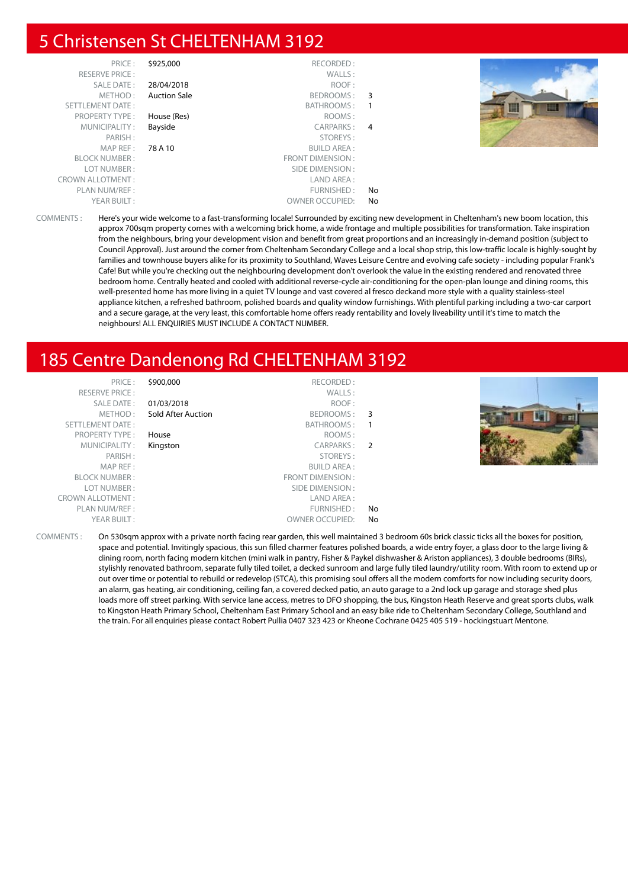#### 5 Christensen St CHELTENHAM 3192

| PRICE:                  | \$925,000           | RECORDED:               |    |  |
|-------------------------|---------------------|-------------------------|----|--|
| <b>RESERVE PRICE:</b>   |                     | WALLS:                  |    |  |
| SALE DATE:              | 28/04/2018          | ROOF:                   |    |  |
| METHOD:                 | <b>Auction Sale</b> | BEDROOMS: 3             |    |  |
| SETTLEMENT DATE:        |                     | BATHROOMS:              |    |  |
| <b>PROPERTY TYPE:</b>   | House (Res)         | ROOMS:                  |    |  |
| MUNICIPALITY:           | Bayside             | CARPARKS: 4             |    |  |
| PARISH:                 |                     | STOREYS:                |    |  |
| MAP REF:                | 78 A 10             | <b>BUILD AREA:</b>      |    |  |
| <b>BLOCK NUMBER:</b>    |                     | <b>FRONT DIMENSION:</b> |    |  |
| LOT NUMBER:             |                     | SIDE DIMENSION :        |    |  |
| <b>CROWN ALLOTMENT:</b> |                     | LAND AREA:              |    |  |
| PLAN NUM/REF :          |                     | FURNISHED:              | No |  |
| YEAR BUILT:             |                     | <b>OWNER OCCUPIED:</b>  | No |  |

COMMENTS : Here's your wide welcome to a fast-transforming locale! Surrounded by exciting new development in Cheltenham's new boom location, this approx 700sqm property comes with a welcoming brick home, a wide frontage and multiple possibilities for transformation. Take inspiration from the neighbours, bring your development vision and benefit from great proportions and an increasingly in-demand position (subject to Council Approval). Just around the corner from Cheltenham Secondary College and a local shop strip, this low-traffic locale is highly-sought by families and townhouse buyers alike for its proximity to Southland, Waves Leisure Centre and evolving cafe society - including popular Frank's Cafe! But while you're checking out the neighbouring development don't overlook the value in the existing rendered and renovated three bedroom home. Centrally heated and cooled with additional reverse-cycle air-conditioning for the open-plan lounge and dining rooms, this well-presented home has more living in a quiet TV lounge and vast covered al fresco deckand more style with a quality stainless-steel appliance kitchen, a refreshed bathroom, polished boards and quality window furnishings. With plentiful parking including a two-car carport and a secure garage, at the very least, this comfortable home offers ready rentability and lovely liveability until it's time to match the neighbours! ALL ENQUIRIES MUST INCLUDE A CONTACT NUMBER.

#### 185 Centre Dandenong Rd CHELTENHAM 3192

| PRICE:                  | \$900,000          | RECORDED:               |     |                                                                                                                                              |
|-------------------------|--------------------|-------------------------|-----|----------------------------------------------------------------------------------------------------------------------------------------------|
| <b>RESERVE PRICE:</b>   |                    | WALLS:                  |     |                                                                                                                                              |
| SALE DATE:              | 01/03/2018         | ROOF:                   |     |                                                                                                                                              |
| METHOD :                | Sold After Auction | BEDROOMS: 3             |     |                                                                                                                                              |
| SETTLEMENT DATE:        |                    | BATHROOMS:              |     |                                                                                                                                              |
| <b>PROPERTY TYPE:</b>   | House              | ROOMS:                  |     |                                                                                                                                              |
| MUNICIPALITY:           | Kingston           | CARPARKS: 2             |     |                                                                                                                                              |
| PARISH:                 |                    | STOREYS:                |     |                                                                                                                                              |
| MAP REF:                |                    | BUILD AREA :            |     |                                                                                                                                              |
| <b>BLOCK NUMBER:</b>    |                    | <b>FRONT DIMENSION:</b> |     |                                                                                                                                              |
| LOT NUMBER :            |                    | SIDE DIMENSION :        |     |                                                                                                                                              |
| <b>CROWN ALLOTMENT:</b> |                    | LAND AREA:              |     |                                                                                                                                              |
| PLAN NUM/REF:           |                    | FURNISHED:              | No. |                                                                                                                                              |
| YEAR BUILT:             |                    | <b>OWNER OCCUPIED:</b>  | No. |                                                                                                                                              |
| COMMENTS:               |                    |                         |     | On 530sqm approx with a private north facing rear garden, this well maintained 3 bedroom 60s brick classic ticks all the boxes for position, |

COMMENTS : On 530sqm approx with a private north facing rear garden, this well maintained 3 bedroom 60s brick classic ticks all the boxes for position, space and potential. Invitingly spacious, this sun filled charmer features polished boards, a wide entry foyer, a glass door to the large living & dining room, north facing modern kitchen (mini walk in pantry, Fisher & Paykel dishwasher & Ariston appliances), 3 double bedrooms (BIRs), stylishly renovated bathroom, separate fully tiled toilet, a decked sunroom and large fully tiled laundry/utility room. With room to extend up or out over time or potential to rebuild or redevelop (STCA), this promising soul offers all the modern comforts for now including security doors, an alarm, gas heating, air conditioning, ceiling fan, a covered decked patio, an auto garage to a 2nd lock up garage and storage shed plus loads more off street parking. With service lane access, metres to DFO shopping, the bus, Kingston Heath Reserve and great sports clubs, walk to Kingston Heath Primary School, Cheltenham East Primary School and an easy bike ride to Cheltenham Secondary College, Southland and the train. For all enquiries please contact Robert Pullia 0407 323 423 or Kheone Cochrane 0425 405 519 - hockingstuart Mentone.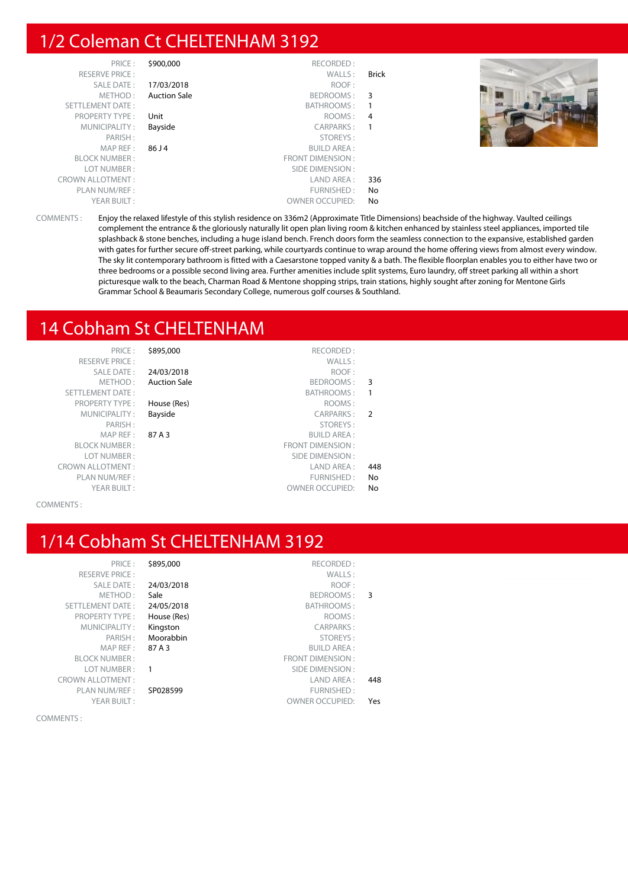### 1/2 Coleman Ct CHELTENHAM 3192

| PRICE:                  | \$900,000           | RECORDED:              |                |  |
|-------------------------|---------------------|------------------------|----------------|--|
| <b>RESERVE PRICE:</b>   |                     | WALLS:                 | <b>Brick</b>   |  |
| SALE DATE:              | 17/03/2018          | ROOF:                  |                |  |
| METHOD:                 | <b>Auction Sale</b> | BEDROOMS:              | -3             |  |
| <b>SETTLEMENT DATE:</b> |                     | BATHROOMS:             |                |  |
| <b>PROPERTY TYPE:</b>   | Unit                | ROOMS:                 | $\overline{4}$ |  |
| MUNICIPALITY:           | Bayside             | CARPARKS:              |                |  |
| PARISH:                 |                     | STOREYS:               |                |  |
| MAP REF:                | 86 J 4              | <b>BUILD AREA:</b>     |                |  |
| <b>BLOCK NUMBER:</b>    |                     | FRONT DIMENSION:       |                |  |
| LOT NUMBER:             |                     | SIDE DIMENSION :       |                |  |
| <b>CROWN ALLOTMENT:</b> |                     | LAND AREA :            | 336            |  |
| PLAN NUM/REF:           |                     | FURNISHED:             | No             |  |
| YEAR BUILT:             |                     | <b>OWNER OCCUPIED:</b> | No             |  |

 ${\small \begin{array}{c} \texttt{RECORDED:} \\ \texttt{WALLS:} \end{array}}$ 

COMMENTS : Enjoy the relaxed lifestyle of this stylish residence on 336m2 (Approximate Title Dimensions) beachside of the highway. Vaulted ceilings complement the entrance & the gloriously naturally lit open plan living room & kitchen enhanced by stainless steel appliances, imported tile splashback & stone benches, including a huge island bench. French doors form the seamless connection to the expansive, established garden with gates for further secure off-street parking, while courtyards continue to wrap around the home offering views from almost every window. The sky lit contemporary bathroom is fitted with a Caesarstone topped vanity & a bath. The flexible floorplan enables you to either have two or three bedrooms or a possible second living area. Further amenities include split systems, Euro laundry, off street parking all within a short picturesque walk to the beach, Charman Road & Mentone shopping strips, train stations, highly sought after zoning for Mentone Girls Grammar School & Beaumaris Secondary College, numerous golf courses & Southland.

#### 14 Cobham St CHELTENHAM

| PRICE:                                      | 5895,000            | RECORDED:               |
|---------------------------------------------|---------------------|-------------------------|
| <b>RESERVE PRICE:</b>                       |                     | WALLS:                  |
| SALE DATE:                                  | 24/03/2018          | ROOF:                   |
| METHOD:                                     | <b>Auction Sale</b> | <b>BEDROOMS</b>         |
| <b>SETTLEMENT DATE:</b>                     |                     | <b>BATHROOMS</b>        |
| <b>PROPERTY TYPE:</b>                       | House (Res)         | ROOMS:                  |
| MUNICIPALITY:                               | Bayside             | <b>CARPARKS:</b>        |
| PARISH:                                     |                     | STOREYS:                |
| MAP REF: $87A3$                             |                     | <b>BUILD AREA:</b>      |
| <b>BLOCK NUMBER:</b>                        |                     | <b>FRONT DIMENSION:</b> |
| LOT NUMBER:                                 |                     | <b>SIDE DIMENSION:</b>  |
| <b>CROWN ALLOTMENT:</b>                     |                     | <b>LAND AREA</b>        |
| PLAN NUM/REF:                               |                     | <b>FURNISHED:</b>       |
| $V\Gamma$ $\Lambda$ $D$ $D$ $I$ $H$ $T$ $.$ |                     | <b>OUVED OCCUPIED</b>   |

Auction Sale **BEDROOMS** : 3 **PROPERTY TYPE :** House (Res) ROOMS :

Bayside **CARPARKS** : 2 STOREYS :<br>PARISH : STOREYS : SUILD AREA : **BUILD AREA:** FRONT DIMENSION : SIDE DIMENSION : LAND AREA: 448 FURNISHED : No YEAR BUILT :  $\qquad \qquad \text{OWNER OCCUPIED:} \qquad \textbf{No}$ 

RECORDED :<br>WALLS :

BATHROOMS: 1

#### COMMENTS :

## 1/14 Cobham St CHELTENHAM 3192

| PRICE:                  | \$895,000   | RECORDED:               |     |
|-------------------------|-------------|-------------------------|-----|
| <b>RESERVE PRICE:</b>   |             | WALLS:                  |     |
| <b>SALE DATE:</b>       | 24/03/2018  | ROOF:                   |     |
| METHOD:                 | Sale        | BEDROOMS:               | 3   |
| SETTLEMENT DATE:        | 24/05/2018  | <b>BATHROOMS:</b>       |     |
| <b>PROPERTY TYPE:</b>   | House (Res) | ROOMS:                  |     |
| MUNICIPALITY:           | Kingston    | <b>CARPARKS:</b>        |     |
| PARISH:                 | Moorabbin   | STOREYS:                |     |
| MAP REF:                | 87 A 3      | <b>BUILD AREA:</b>      |     |
| <b>BLOCK NUMBER:</b>    |             | <b>FRONT DIMENSION:</b> |     |
| LOT NUMBER:             |             | SIDE DIMENSION:         |     |
| <b>CROWN ALLOTMENT:</b> |             | LAND AREA:              | 448 |
| PLAN NUM/REF :          | SP028599    | FURNISHED:              |     |
| YEAR BUILT:             |             | <b>OWNER OCCUPIED:</b>  | Yes |
|                         |             |                         |     |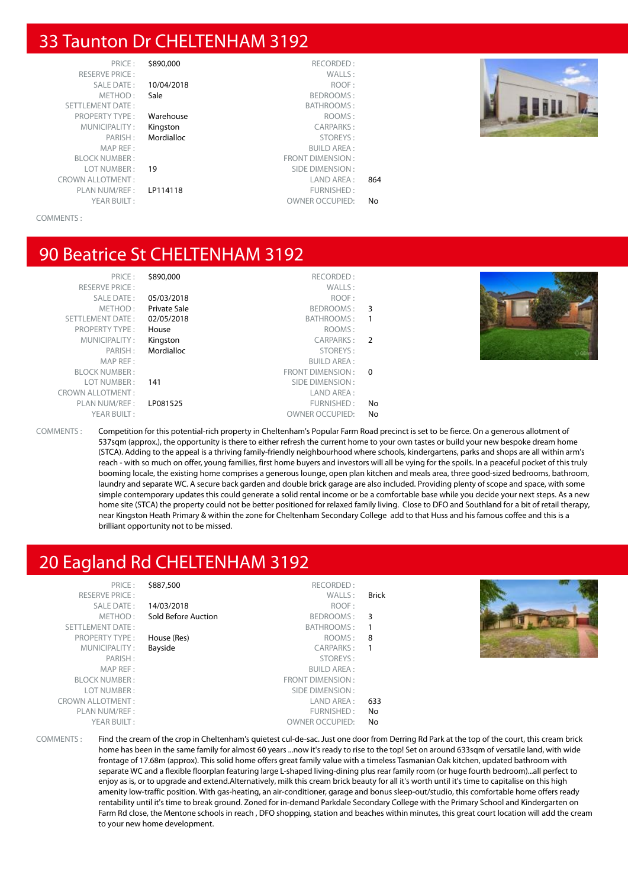#### 33 Taunton Dr CHELTENHAM 3192

RESERVE PRICE : PLAN NUM/REF :

PRICE : \$890,000 RECORDED :<br>PRICE : WALLS : SALE DATE : 10/04/2018 ROOF : METHOD : Sale BEDROOMS : SETTLEMENT DATE : BATHROOMS : PROPERTY TYPE : **Warehouse ROOMS** : MUNICIPALITY: Kingston CARPARKS: PARISH : Mordialloc STOREYS :  $R$ I III D AREA  $\cdot$ BLOCK NUMBER : FRONT DIMENSION : **19** SIDE DIMENSION : CROWN ALLOTMENT : LAND AREA : 864 YEAR BUILT : OWNER OCCUPIED: No



COMMENTS :

#### 90 Beatrice St CHELTENHAM 3192

|     | \$890,000<br>RECORDED:      |     |
|-----|-----------------------------|-----|
|     | WALLS:                      |     |
|     | 05/03/2018<br>ROOF:         |     |
|     | Private Sale<br>BEDROOMS: 3 |     |
|     | 02/05/2018<br>BATHROOMS:    |     |
|     | ROOMS:<br>House             |     |
|     | CARPARKS: 2<br>Kingston     |     |
|     | Mordialloc<br>STOREYS:      | ⊙08 |
|     | <b>BUILD AREA:</b>          |     |
|     | FRONT DIMENSION: 0          |     |
|     | 141<br>SIDE DIMENSION :     |     |
|     | LAND AREA:                  |     |
| No. | LP081525<br>FURNISHED:      |     |
| No. | <b>OWNER OCCUPIED:</b>      |     |

COMMENTS : Competition for this potential-rich property in Cheltenham's Popular Farm Road precinct is set to be fierce. On a generous allotment of 537sqm (approx.), the opportunity is there to either refresh the current home to your own tastes or build your new bespoke dream home (STCA). Adding to the appeal is a thriving family-friendly neighbourhood where schools, kindergartens, parks and shops are all within arm's reach - with so much on offer, young families, first home buyers and investors will all be vying for the spoils. In a peaceful pocket of this truly booming locale, the existing home comprises a generous lounge, open plan kitchen and meals area, three good-sized bedrooms, bathroom, laundry and separate WC. A secure back garden and double brick garage are also included. Providing plenty of scope and space, with some simple contemporary updates this could generate a solid rental income or be a comfortable base while you decide your next steps. As a new home site (STCA) the property could not be better positioned for relaxed family living. Close to DFO and Southland for a bit of retail therapy, near Kingston Heath Primary & within the zone for Cheltenham Secondary College add to that Huss and his famous coffee and this is a brilliant opportunity not to be missed.

## 20 Eagland Rd CHELTENHAM 3192

| \$887,500           | RECORDED:              |        |           |
|---------------------|------------------------|--------|-----------|
|                     |                        | Brick  |           |
| 14/03/2018          | ROOF:                  |        |           |
| Sold Before Auction |                        | 3      |           |
|                     | BATHROOMS:             |        |           |
| House (Res)         | ROOMS:                 | 8      |           |
| Bayside             | <b>CARPARKS:</b>       |        |           |
|                     | STOREYS:               |        |           |
|                     | <b>BUILD AREA:</b>     |        |           |
|                     | FRONT DIMENSION:       |        |           |
|                     | SIDE DIMENSION :       |        |           |
|                     | LAND AREA :            | 633    |           |
|                     | FURNISHED:             | No.    |           |
|                     | <b>OWNER OCCUPIED:</b> | No.    |           |
|                     |                        | WALLS: | BEDROOMS: |

COMMENTS : Find the cream of the crop in Cheltenham's quietest cul-de-sac. Just one door from Derring Rd Park at the top of the court, this cream brick home has been in the same family for almost 60 years ...now it's ready to rise to the top! Set on around 633sqm of versatile land, with wide frontage of 17.68m (approx). This solid home offers great family value with a timeless Tasmanian Oak kitchen, updated bathroom with separate WC and a flexible floorplan featuring large L-shaped living-dining plus rear family room (or huge fourth bedroom)...all perfect to enjoy as is, or to upgrade and extend.Alternatively, milk this cream brick beauty for all it's worth until it's time to capitalise on this high amenity low-traffic position. With gas-heating, an air-conditioner, garage and bonus sleep-out/studio, this comfortable home offers ready rentability until it's time to break ground. Zoned for in-demand Parkdale Secondary College with the Primary School and Kindergarten on Farm Rd close, the Mentone schools in reach , DFO shopping, station and beaches within minutes, this great court location will add the cream to your new home development.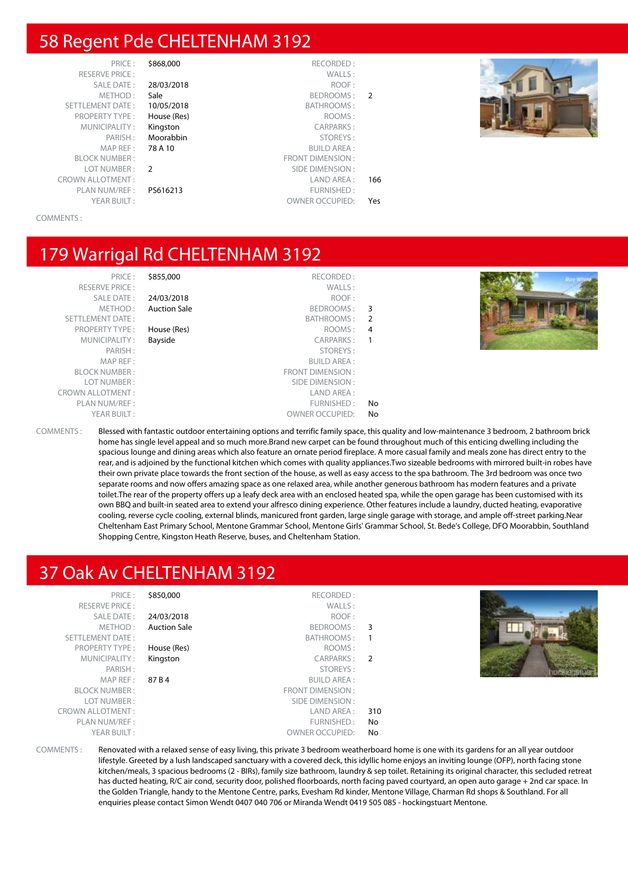#### 58 Regent Pde CHELTENHAM 3192

RESERVE PRICE : METHOD: Sale SETTLEMENT DATE: 10/05/2018 PROPERTY TYPE : House (Res) MUNICIPALITY: Kinaston MAP REF : 78 A 10 BLOCK NUMBER : LOT NUMBER : 2 PLAN NUM/REF :

# SALE DATE: 28/03/2018 PARISH : Moorabbin

- 
- 

|               | \$868,000<br>RECORDED:           | PRICE:                  |
|---------------|----------------------------------|-------------------------|
|               | WALLS:                           | <b>RESERVE PRICE:</b>   |
|               | 28/03/2018<br>ROOF:              | <b>SALE DATE:</b>       |
| $\mathcal{P}$ | Sale<br>BEDROOMS:                | METHOD:                 |
|               | BATHROOMS:<br>10/05/2018         | <b>SETTLEMENT DATE:</b> |
|               | ROOMS:<br>House (Res)            | <b>PROPERTY TYPE:</b>   |
|               | <b>CARPARKS:</b><br>Kingston     | MUNICIPALITY:           |
|               | Moorabbin<br>STOREYS:            | PARISH:                 |
|               | 78 A 10<br><b>BUILD AREA:</b>    | MAP REF:                |
|               | <b>FRONT DIMENSION:</b>          | <b>BLOCK NUMBER:</b>    |
|               | $\mathcal{P}$<br>SIDE DIMENSION: | LOT NUMBER:             |
| 166           | LAND AREA:                       | <b>CROWN ALLOTMENT:</b> |
|               | PS616213<br>FURNISHED:           | PLAN NUM/REF:           |
| Yes           | <b>OWNER OCCUPIED:</b>           | YEAR BUILT:             |



COMMENTS :

#### 179 Warrigal Rd CHELTENHAM 3192

| PRICE:<br><b>RESERVE PRICE:</b><br>SALE DATE:<br>METHOD:<br>SETTLEMENT DATE:<br><b>PROPERTY TYPE:</b><br>MUNICIPALITY:<br>PARISH:<br>MAP REF: | \$855,000<br>24/03/2018<br><b>Auction Sale</b><br>House (Res)<br>Bayside | RECORDED:<br>WALLS:<br>ROOF:<br>BEDROOMS: 3<br>BATHROOMS:<br>ROOMS:<br>CARPARKS:<br>STOREYS:<br><b>BUILD AREA:</b> | - 2<br>4  | <b>Ray Whit</b> |
|-----------------------------------------------------------------------------------------------------------------------------------------------|--------------------------------------------------------------------------|--------------------------------------------------------------------------------------------------------------------|-----------|-----------------|
| <b>BLOCK NUMBER:</b>                                                                                                                          |                                                                          | FRONT DIMENSION :                                                                                                  |           |                 |
| LOT NUMBER:<br><b>CROWN ALLOTMENT:</b>                                                                                                        |                                                                          | SIDE DIMENSION :<br>LAND AREA :                                                                                    |           |                 |
| PLAN NUM/REF :<br>YEAR BUILT:                                                                                                                 |                                                                          | FURNISHED:<br><b>OWNER OCCUPIED:</b>                                                                               | No.<br>No |                 |

COMMENTS : Blessed with fantastic outdoor entertaining options and terrific family space, this quality and low-maintenance 3 bedroom, 2 bathroom brick home has single level appeal and so much more.Brand new carpet can be found throughout much of this enticing dwelling including the spacious lounge and dining areas which also feature an ornate period fireplace. A more casual family and meals zone has direct entry to the rear, and is adjoined by the functional kitchen which comes with quality appliances.Two sizeable bedrooms with mirrored built-in robes have their own private place towards the front section of the house, as well as easy access to the spa bathroom. The 3rd bedroom was once two separate rooms and now offers amazing space as one relaxed area, while another generous bathroom has modern features and a private toilet.The rear of the property offers up a leafy deck area with an enclosed heated spa, while the open garage has been customised with its own BBQ and built-in seated area to extend your alfresco dining experience. Other features include a laundry, ducted heating, evaporative cooling, reverse cycle cooling, external blinds, manicured front garden, large single garage with storage, and ample off-street parking.Near Cheltenham East Primary School, Mentone Grammar School, Mentone Girls' Grammar School, St. Bede's College, DFO Moorabbin, Southland Shopping Centre, Kingston Heath Reserve, buses, and Cheltenham Station.

#### 37 Oak Av CHELTENHAM 3192

PRICE : \$850,000 RECORDED : RESERVE PRICE : WALLS : SALE DATE : 24/03/2018 ROOF : METHOD : **Auction Sale** BEDROOMS : 3 SETTI EMENT DATE : SETTI EMENT DATE : SETTI EMENT DATE : SETTI EMENT DATE : SETTI EMENT DATE : SETTI EMENT DATE : SETTI EMENT DATE : SETTI EMENT DATE : SETTI EMENT DATE : SETTI EMENT DATE : SETTI EMENT DATE : SETTI EMENT D PROPERTY TYPE : **House (Res)** ROOMS : MUNICIPALITY: Kingston CARPARKS: 2 PARISH : STOREYS : MAP REF : 87 B 4 BUILD AREA : LOT NUMBER : SIDE DIMENSION : CROWN ALLOTMENT : THE SERVICE OF STREET STREET AND AREA : 310 PLAN NUM/REF : The state of the state of the state of the state of the state of the state of the state of the state of the state of the state of the state of the state of the state of the state of the state of the state of YEAR RUILT : OWNER OCCUPIED: No





COMMENTS : Renovated with a relaxed sense of easy living, this private 3 bedroom weatherboard home is one with its gardens for an all year outdoor lifestyle. Greeted by a lush landscaped sanctuary with a covered deck, this idyllic home enjoys an inviting lounge (OFP), north facing stone kitchen/meals, 3 spacious bedrooms (2 - BIRs), family size bathroom, laundry & sep toilet. Retaining its original character, this secluded retreat has ducted heating, R/C air cond, security door, polished floorboards, north facing paved courtyard, an open auto garage + 2nd car space. In the Golden Triangle, handy to the Mentone Centre, parks, Evesham Rd kinder, Mentone Village, Charman Rd shops & Southland. For all enquiries please contact Simon Wendt 0407 040 706 or Miranda Wendt 0419 505 085 - hockingstuart Mentone.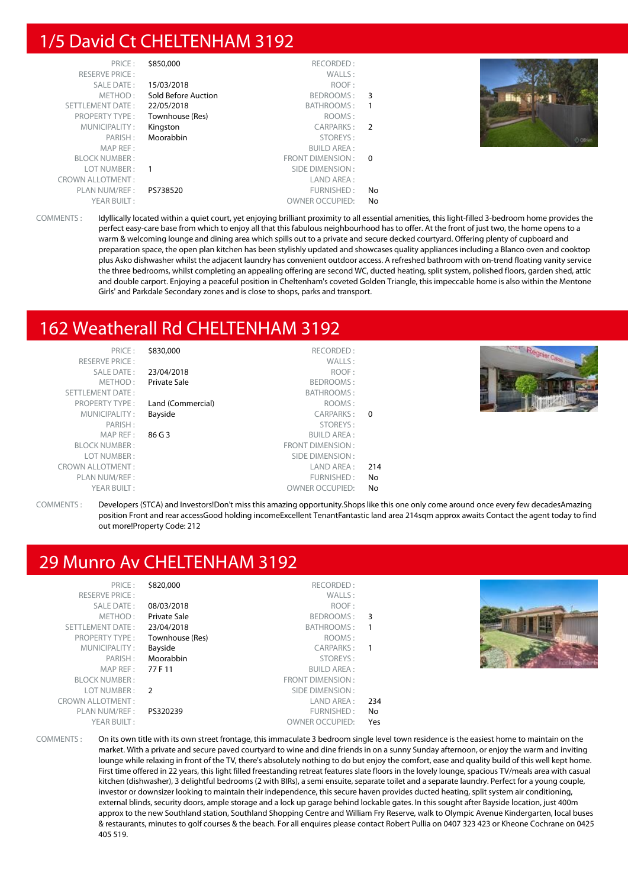#### 1/5 David Ct CHELTENHAM 3192

| PRICE:                  | \$850,000           | RECORDED:              |                |          |
|-------------------------|---------------------|------------------------|----------------|----------|
| <b>RESERVE PRICE:</b>   |                     | WALLS:                 |                |          |
| SALE DATE:              | 15/03/2018          | ROOF:                  |                |          |
| METHOD:                 | Sold Before Auction | BEDROOMS:              | 3              |          |
| <b>SETTLEMENT DATE:</b> | 22/05/2018          | BATHROOMS:             |                |          |
| <b>PROPERTY TYPE:</b>   | Townhouse (Res)     | ROOMS:                 |                |          |
| MUNICIPALITY:           | Kingston            | CARPARKS:              | $\overline{2}$ |          |
| PARISH:                 | Moorabbin           | STOREYS:               |                | O OBrien |
| MAP REF:                |                     | <b>BUILD AREA:</b>     |                |          |
| <b>BLOCK NUMBER:</b>    |                     | FRONT DIMENSION: 0     |                |          |
| LOT NUMBER:             |                     | SIDE DIMENSION :       |                |          |
| <b>CROWN ALLOTMENT:</b> |                     | LAND AREA :            |                |          |
| PLAN NUM/REF:           | PS738520            | FURNISHED:             | No             |          |
| YEAR BUILT:             |                     | <b>OWNER OCCUPIED:</b> | No             |          |

COMMENTS : Idyllically located within a quiet court, yet enjoying brilliant proximity to all essential amenities, this light-filled 3-bedroom home provides the perfect easy-care base from which to enjoy all that this fabulous neighbourhood has to offer. At the front of just two, the home opens to a warm & welcoming lounge and dining area which spills out to a private and secure decked courtyard. Offering plenty of cupboard and preparation space, the open plan kitchen has been stylishly updated and showcases quality appliances including a Blanco oven and cooktop plus Asko dishwasher whilst the adjacent laundry has convenient outdoor access. A refreshed bathroom with on-trend floating vanity service the three bedrooms, whilst completing an appealing offering are second WC, ducted heating, split system, polished floors, garden shed, attic and double carport. Enjoying a peaceful position in Cheltenham's coveted Golden Triangle, this impeccable home is also within the Mentone Girls' and Parkdale Secondary zones and is close to shops, parks and transport.

#### 162 Weatherall Rd CHELTENHAM 3192

| PRICE:<br><b>RESERVE PRICE:</b><br>SALE DATE:<br>METHOD:<br>SETTLEMENT DATE:<br><b>PROPERTY TYPE:</b><br>MUNICIPALITY:<br>PARISH:<br>MAP REF :<br><b>BLOCK NUMBER:</b><br>LOT NUMBER:<br><b>CROWN ALLOTMENT:</b><br>PLAN NUM/REF : | \$830,000<br>23/04/2018<br>Private Sale<br>Land (Commercial)<br>Bayside<br>86 G 3 | RECORDED:<br>WALLS:<br>ROOF:<br>BEDROOMS:<br>BATHROOMS:<br>ROOMS:<br>CARPARKS:<br>STOREYS:<br><b>BUILD AREA:</b><br>FRONT DIMENSION:<br>SIDE DIMENSION :<br>LAND AREA :<br>FURNISHED: | $\Omega$<br>214<br>No | Regnier Cares |
|------------------------------------------------------------------------------------------------------------------------------------------------------------------------------------------------------------------------------------|-----------------------------------------------------------------------------------|---------------------------------------------------------------------------------------------------------------------------------------------------------------------------------------|-----------------------|---------------|
|                                                                                                                                                                                                                                    |                                                                                   |                                                                                                                                                                                       |                       |               |
| YEAR BUILT:                                                                                                                                                                                                                        |                                                                                   | <b>OWNER OCCUPIED:</b>                                                                                                                                                                | No                    |               |

COMMENTS : Developers (STCA) and Investors!Don't miss this amazing opportunity.Shops like this one only come around once every few decadesAmazing position Front and rear accessGood holding incomeExcellent TenantFantastic land area 214sqm approx awaits Contact the agent today to find out more!Property Code: 212

### 29 Munro Av CHELTENHAM 3192

| PRICE:<br><b>RESERVE PRICE:</b><br><b>SALE DATE:</b><br>METHOD:<br>SETTLEMENT DATE:<br><b>PROPERTY TYPE:</b><br>MUNICIPALITY:<br>PARISH:<br>MAPREF:<br><b>BLOCK NUMBER:</b><br>LOT NUMBER :<br><b>CROWN ALLOTMENT:</b><br>PLAN NUM/REF :<br>YEAR BUILT: | \$820,000<br>08/03/2018<br><b>Private Sale</b><br>23/04/2018<br>Townhouse (Res)<br>Bayside<br>Moorabbin<br>77 F 11<br>$\overline{2}$<br>PS320239 | RECORDED:<br>WALLS:<br>ROOF:<br>BEDROOMS: 3<br>BATHROOMS:<br>ROOMS:<br>CARPARKS: 1<br>STOREYS:<br><b>BUILD AREA:</b><br>FRONT DIMENSION:<br>SIDE DIMENSION :<br>LAND AREA :<br>FURNISHED:<br><b>OWNER OCCUPIED:</b> | 234<br>No<br>Yes |  |  |
|---------------------------------------------------------------------------------------------------------------------------------------------------------------------------------------------------------------------------------------------------------|--------------------------------------------------------------------------------------------------------------------------------------------------|---------------------------------------------------------------------------------------------------------------------------------------------------------------------------------------------------------------------|------------------|--|--|
|---------------------------------------------------------------------------------------------------------------------------------------------------------------------------------------------------------------------------------------------------------|--------------------------------------------------------------------------------------------------------------------------------------------------|---------------------------------------------------------------------------------------------------------------------------------------------------------------------------------------------------------------------|------------------|--|--|

COMMENTS : On its own title with its own street frontage, this immaculate 3 bedroom single level town residence is the easiest home to maintain on the market. With a private and secure paved courtyard to wine and dine friends in on a sunny Sunday afternoon, or enjoy the warm and inviting lounge while relaxing in front of the TV, there's absolutely nothing to do but enjoy the comfort, ease and quality build of this well kept home. First time offered in 22 years, this light filled freestanding retreat features slate floors in the lovely lounge, spacious TV/meals area with casual kitchen (dishwasher), 3 delightful bedrooms (2 with BIRs), a semi ensuite, separate toilet and a separate laundry. Perfect for a young couple, investor or downsizer looking to maintain their independence, this secure haven provides ducted heating, split system air conditioning, external blinds, security doors, ample storage and a lock up garage behind lockable gates. In this sought after Bayside location, just 400m approx to the new Southland station, Southland Shopping Centre and William Fry Reserve, walk to Olympic Avenue Kindergarten, local buses & restaurants, minutes to golf courses & the beach. For all enquires please contact Robert Pullia on 0407 323 423 or Kheone Cochrane on 0425 405 519.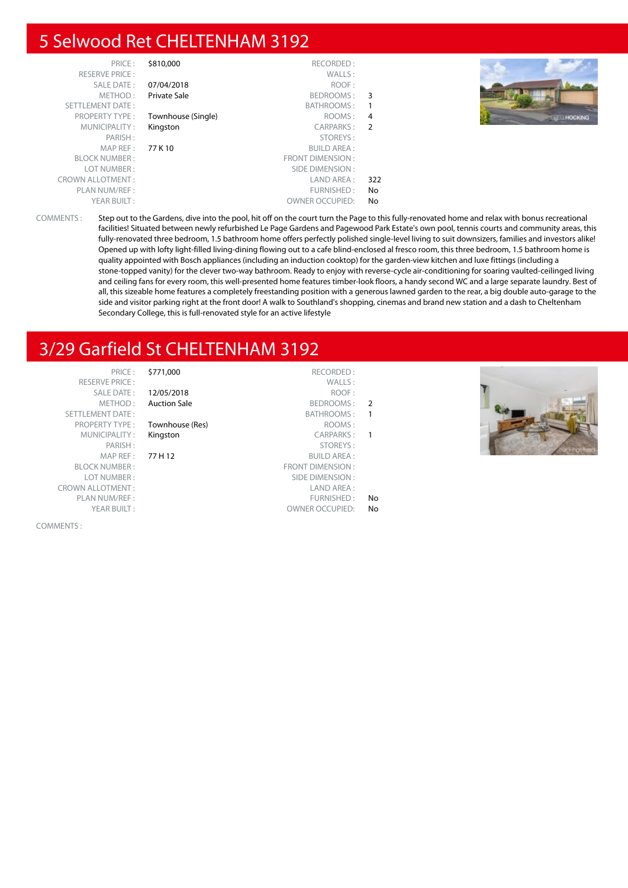#### 5 Selwood Ret CHELTENHAM 3192

| PRICE:                  | \$810,000          | RECORDED:              |                |                    |
|-------------------------|--------------------|------------------------|----------------|--------------------|
| <b>RESERVE PRICE:</b>   |                    | WALLS:                 |                |                    |
| SALE DATE:              | 07/04/2018         | ROOF:                  |                |                    |
| METHOD:                 | Private Sale       | BEDROOMS: 3            |                |                    |
| <b>SETTLEMENT DATE:</b> |                    | <b>BATHROOMS:</b>      |                |                    |
| <b>PROPERTY TYPE:</b>   | Townhouse (Single) | ROOMS:                 | $\overline{4}$ | <b>BEE-MOCKING</b> |
| MUNICIPALITY:           | Kingston           | CARPARKS: 2            |                |                    |
| PARISH:                 |                    | STOREYS:               |                |                    |
| MAP REF:                | 77 K 10            | <b>BUILD AREA:</b>     |                |                    |
| <b>BLOCK NUMBER:</b>    |                    | FRONT DIMENSION:       |                |                    |
| LOT NUMBER:             |                    | SIDE DIMENSION :       |                |                    |
| <b>CROWN ALLOTMENT:</b> |                    | LAND AREA :            | 322            |                    |
| PLAN NUM/REF :          |                    | FURNISHED:             | No             |                    |
| YEAR BUILT:             |                    | <b>OWNER OCCUPIED:</b> | No             |                    |

COMMENTS : Step out to the Gardens, dive into the pool, hit off on the court turn the Page to this fully-renovated home and relax with bonus recreational facilities! Situated between newly refurbished Le Page Gardens and Pagewood Park Estate's own pool, tennis courts and community areas, this fully-renovated three bedroom, 1.5 bathroom home offers perfectly polished single-level living to suit downsizers, families and investors alike! Opened up with lofty light-filled living-dining flowing out to a cafe blind-enclosed al fresco room, this three bedroom, 1.5 bathroom home is quality appointed with Bosch appliances (including an induction cooktop) for the garden-view kitchen and luxe fittings (including a stone-topped vanity) for the clever two-way bathroom. Ready to enjoy with reverse-cycle air-conditioning for soaring vaulted-ceilinged living and ceiling fans for every room, this well-presented home features timber-look floors, a handy second WC and a large separate laundry. Best of all, this sizeable home features a completely freestanding position with a generous lawned garden to the rear, a big double auto-garage to the side and visitor parking right at the front door! A walk to Southland's shopping, cinemas and brand new station and a dash to Cheltenham Secondary College, this is full-renovated style for an active lifestyle

## 3/29 Garfield St CHELTENHAM 3192

|                         | -------             |                         |
|-------------------------|---------------------|-------------------------|
| <b>RESERVE PRICE:</b>   |                     | WALLS:                  |
| SALE DATE:              | 12/05/2018          | ROOF:                   |
| METHOD:                 | <b>Auction Sale</b> | BEDROOMS:               |
| <b>SETTLEMENT DATE:</b> |                     | BATHROOMS:              |
| <b>PROPERTY TYPE:</b>   | Townhouse (Res)     | ROOMS:                  |
| MUNICIPALITY:           | Kingston            | <b>CARPARKS:</b>        |
| PARISH:                 |                     | STOREYS:                |
| MAP REF:                | 77 H 12             | <b>BUILD AREA:</b>      |
| <b>BLOCK NUMBER:</b>    |                     | <b>FRONT DIMENSION:</b> |
| LOT NUMBER:             |                     | SIDE DIMENSION:         |
| <b>CROWN ALLOTMENT:</b> |                     | LAND AREA:              |
| PLAN NUM/REF :          |                     | FURNISHED:              |
|                         |                     |                         |

COMMENTS :

#### PRICE : \$771,000 RECORDED :

#### **Townhouse (Res)** ROOMS :

- 
- **12/05/2018** ROOF : Auction Sale **BEDROOMS** : 2 BATHROOMS : 1 Kingston CARPARKS : 1 STOREYS :<br>PARISH : STOREYS : STOREYS : SUILD AREA : **BUILD AREA:** FRONT DIMENSION : SIDE DIMENSION : FURNISHED: No YEAR BUILT : OWNER OCCUPIED: No

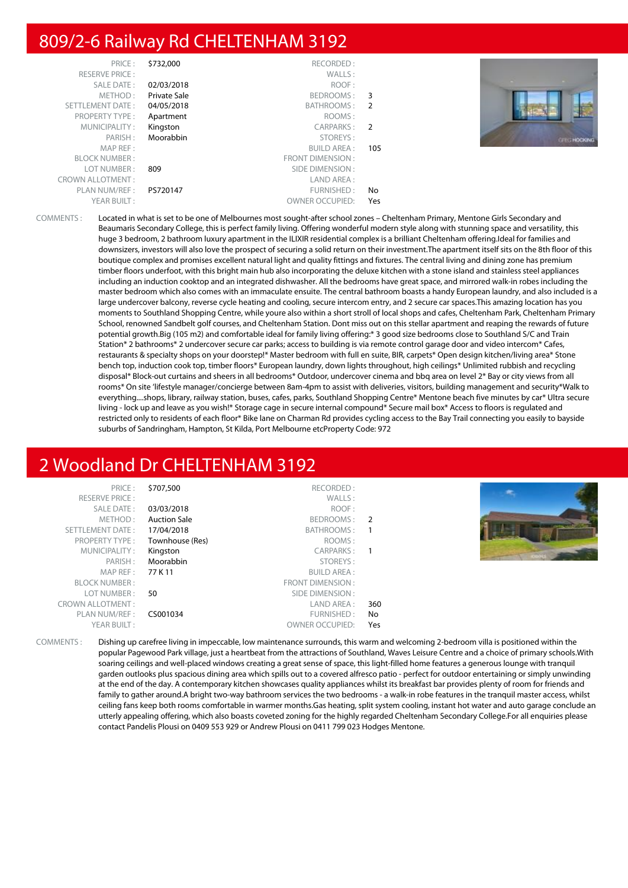#### 809/2-6 Railway Rd CHELTENHAM 3192

YEAR BUILT : THE STATE OF STATE OF STATE OF STATE OF STATE OF STATE OF STATE OF STATE OF STATE OF STATE OF STATE OF STATE OF STATE OF STATE OF STATE OF STATE OF STATE OF STATE OF STATE OF STATE OF STATE OF STATE OF STATE O

| PRICE:                  | \$732,000           | RECORDED:         |                            |        |
|-------------------------|---------------------|-------------------|----------------------------|--------|
| <b>RESERVE PRICE:</b>   |                     | WALLS:            |                            |        |
| <b>SALE DATE:</b>       | 02/03/2018          | ROOF:             |                            |        |
| METHOD:                 | <b>Private Sale</b> | BEDROOMS:         | 3                          |        |
| SETTLEMENT DATE:        | 04/05/2018          | BATHROOMS:        | $\overline{2}$             |        |
| <b>PROPERTY TYPE:</b>   | Apartment           | ROOMS:            |                            |        |
| MUNICIPALITY:           | Kingston            | CARPARKS:         | $\overline{\phantom{0}}^2$ |        |
| PARISH:                 | Moorabbin           | STOREYS:          |                            | CFECHO |
| MAP REF:                |                     | BUILD AREA :      | 105                        |        |
| <b>BLOCK NUMBER:</b>    |                     | FRONT DIMENSION : |                            |        |
| LOT NUMBER:             | 809                 | SIDE DIMENSION :  |                            |        |
| <b>CROWN ALLOTMENT:</b> |                     | LAND AREA :       |                            |        |
| PLAN NUM/REF:           | PS720147            | FURNISHED:        | No                         |        |

COMMENTS : Located in what is set to be one of Melbournes most sought-after school zones – Cheltenham Primary, Mentone Girls Secondary and Beaumaris Secondary College, this is perfect family living. Offering wonderful modern style along with stunning space and versatility, this huge 3 bedroom, 2 bathroom luxury apartment in the ILIXIR residential complex is a brilliant Cheltenham offering.Ideal for families and downsizers, investors will also love the prospect of securing a solid return on their investment.The apartment itself sits on the 8th floor of this boutique complex and promises excellent natural light and quality fittings and fixtures. The central living and dining zone has premium timber floors underfoot, with this bright main hub also incorporating the deluxe kitchen with a stone island and stainless steel appliances including an induction cooktop and an integrated dishwasher. All the bedrooms have great space, and mirrored walk-in robes including the master bedroom which also comes with an immaculate ensuite. The central bathroom boasts a handy European laundry, and also included is a large undercover balcony, reverse cycle heating and cooling, secure intercom entry, and 2 secure car spaces.This amazing location has you moments to Southland Shopping Centre, while youre also within a short stroll of local shops and cafes, Cheltenham Park, Cheltenham Primary School, renowned Sandbelt golf courses, and Cheltenham Station. Dont miss out on this stellar apartment and reaping the rewards of future potential growth.Big (105 m2) and comfortable ideal for family living offering:\* 3 good size bedrooms close to Southland S/C and Train Station\* 2 bathrooms\* 2 undercover secure car parks; access to building is via remote control garage door and video intercom\* Cafes, restaurants & specialty shops on your doorstep!\* Master bedroom with full en suite, BIR, carpets\* Open design kitchen/living area\* Stone bench top, induction cook top, timber floors\* European laundry, down lights throughout, high ceilings\* Unlimited rubbish and recycling disposal\* Block-out curtains and sheers in all bedrooms\* Outdoor, undercover cinema and bbq area on level 2\* Bay or city views from all rooms\* On site 'lifestyle manager/concierge between 8am-4pm to assist with deliveries, visitors, building management and security\*Walk to everything....shops, library, railway station, buses, cafes, parks, Southland Shopping Centre\* Mentone beach five minutes by car\* Ultra secure living - lock up and leave as you wish!\* Storage cage in secure internal compound\* Secure mail box\* Access to floors is regulated and restricted only to residents of each floor\* Bike lane on Charman Rd provides cycling access to the Bay Trail connecting you easily to bayside suburbs of Sandringham, Hampton, St Kilda, Port Melbourne etcProperty Code: 972

### 2 Woodland Dr CHELTENHAM 3192

| PRICE:                  | \$707,500           | RECORDED:              |     |  |
|-------------------------|---------------------|------------------------|-----|--|
| <b>RESERVE PRICE:</b>   |                     | WALLS:                 |     |  |
| SALE DATE:              | 03/03/2018          | ROOF:                  |     |  |
| METHOD:                 | <b>Auction Sale</b> | BEDROOMS: 2            |     |  |
| SETTLEMENT DATE:        | 17/04/2018          | BATHROOMS:             |     |  |
| <b>PROPERTY TYPE:</b>   | Townhouse (Res)     | ROOMS:                 |     |  |
| MUNICIPALITY:           | Kingston            | CARPARKS:              |     |  |
| PARISH:                 | Moorabbin           | STOREYS:               |     |  |
| MAP REF :               | 77 K 11             | <b>BUILD AREA:</b>     |     |  |
| <b>BLOCK NUMBER:</b>    |                     | FRONT DIMENSION:       |     |  |
| LOT NUMBER:             | 50                  | SIDE DIMENSION :       |     |  |
| <b>CROWN ALLOTMENT:</b> |                     | LAND AREA :            | 360 |  |
| PLAN NUM/REF :          | CS001034            | FURNISHED:             | No  |  |
| YEAR BUILT:             |                     | <b>OWNER OCCUPIED:</b> | Yes |  |
|                         |                     |                        |     |  |

COMMENTS : Dishing up carefree living in impeccable, low maintenance surrounds, this warm and welcoming 2-bedroom villa is positioned within the popular Pagewood Park village, just a heartbeat from the attractions of Southland, Waves Leisure Centre and a choice of primary schools.With soaring ceilings and well-placed windows creating a great sense of space, this light-filled home features a generous lounge with tranquil garden outlooks plus spacious dining area which spills out to a covered alfresco patio - perfect for outdoor entertaining or simply unwinding at the end of the day. A contemporary kitchen showcases quality appliances whilst its breakfast bar provides plenty of room for friends and family to gather around.A bright two-way bathroom services the two bedrooms - a walk-in robe features in the tranquil master access, whilst ceiling fans keep both rooms comfortable in warmer months.Gas heating, split system cooling, instant hot water and auto garage conclude an utterly appealing offering, which also boasts coveted zoning for the highly regarded Cheltenham Secondary College.For all enquiries please contact Pandelis Plousi on 0409 553 929 or Andrew Plousi on 0411 799 023 Hodges Mentone.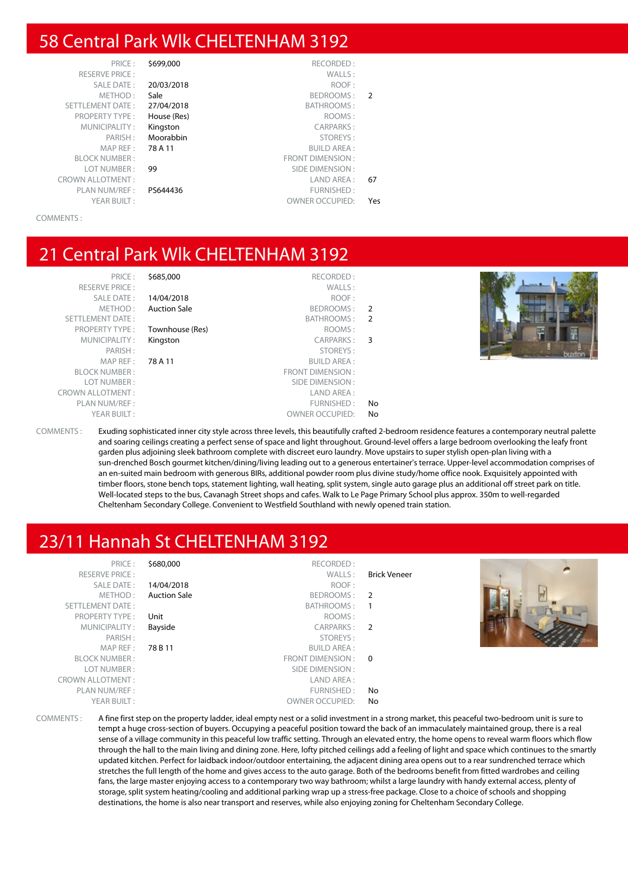#### 58 Central Park Wlk CHELTENHAM 3192

|               | RECORDED:               | \$699,000   | PRICE:                  |
|---------------|-------------------------|-------------|-------------------------|
|               | WALLS:                  |             | <b>RESERVE PRICE:</b>   |
|               | ROOF:                   | 20/03/2018  | <b>SALE DATE:</b>       |
| $\mathcal{P}$ | BEDROOMS:               | Sale        | METHOD:                 |
|               | BATHROOMS:              | 27/04/2018  | <b>SETTLEMENT DATE:</b> |
|               | ROOMS:                  | House (Res) | <b>PROPERTY TYPE:</b>   |
|               | <b>CARPARKS:</b>        | Kingston    | MUNICIPALITY:           |
|               | STOREYS:                | Moorabbin   | PARISH:                 |
|               | <b>BUILD AREA:</b>      | 78 A 11     | MAP REF:                |
|               | <b>FRONT DIMENSION:</b> |             | <b>BLOCK NUMBER:</b>    |
|               | SIDE DIMENSION:         | 99          | LOT NUMBER:             |
| 67            | LAND AREA:              |             | <b>CROWN ALLOTMENT:</b> |
|               | FURNISHED:              | PS644436    | PLAN NUM/REF:           |
| Yes           | <b>OWNER OCCUPIED:</b>  |             | YEAR BUILT:             |
|               |                         |             |                         |

COMMENTS :

#### 21 Central Park Wlk CHELTENHAM 3192

| PRICE:                |
|-----------------------|
| <b>RESERVE PRICE:</b> |
| <b>SALE DATE:</b>     |
| METHOD:               |
| SETTLEMENT DATE:      |
| <b>PROPERTY TYPE:</b> |
| MUNICIPALITY:         |
| PARISH:               |
| MAP REF:              |
| <b>BLOCK NUMBER:</b>  |
| LOT NUMBER:           |
| ROWN ALLOTMENT:       |
| PLAN NUM/REF:         |
| YEAR BUILT:           |
|                       |

**\$685,000** RECORDED : RESERVE PRICE : WALLS : **14/04/2018** ROOF : Auction Sale **BEDROOMS** : 2 BATHROOMS : 2 **Townhouse (Res)** ROOMS : Kingston CARPARKS : 3 PARISH : STOREYS : **78 A 11** BUILD AREA : FRONT DIMENSION : SIDE DIMENSION : CROWN ALLOTMENT : LAND AREA : FURNISHED: No OWNER OCCUPIED: No



COMMENTS : Exuding sophisticated inner city style across three levels, this beautifully crafted 2-bedroom residence features a contemporary neutral palette and soaring ceilings creating a perfect sense of space and light throughout. Ground-level offers a large bedroom overlooking the leafy front garden plus adjoining sleek bathroom complete with discreet euro laundry. Move upstairs to super stylish open-plan living with a sun-drenched Bosch gourmet kitchen/dining/living leading out to a generous entertainer's terrace. Upper-level accommodation comprises of an en-suited main bedroom with generous BIRs, additional powder room plus divine study/home office nook. Exquisitely appointed with timber floors, stone bench tops, statement lighting, wall heating, split system, single auto garage plus an additional off street park on title. Well-located steps to the bus, Cavanagh Street shops and cafes. Walk to Le Page Primary School plus approx. 350m to well-regarded Cheltenham Secondary College. Convenient to Westfield Southland with newly opened train station.

### 23/11 Hannah St CHELTENHAM 3192

| PRICE:<br><b>RESERVE PRICE:</b><br>SALE DATE:<br>METHOD:<br>SETTLEMENT DATE:<br>PROPERTY TYPE:<br>MUNICIPALITY:<br>PARISH:<br>MAP REF :<br><b>BLOCK NUMBER:</b><br>LOT NUMBER:<br><b>CROWN ALLOTMENT:</b><br>PLAN NUM/REF :<br>YEAR BUILT: | \$680,000<br>14/04/2018<br><b>Auction Sale</b><br>Unit<br>Bayside<br>78 B 11 | RECORDED:<br>WALLS:<br>ROOF:<br>BEDROOMS: 2<br>BATHROOMS: 1<br>ROOMS:<br>CARPARKS: 2<br>STOREYS:<br><b>BUILD AREA:</b><br>FRONT DIMENSION : 0<br>SIDE DIMENSION :<br>LAND AREA:<br>FURNISHED:<br><b>OWNER OCCUPIED:</b> | <b>Brick Veneer</b><br>No.<br>No |  |
|--------------------------------------------------------------------------------------------------------------------------------------------------------------------------------------------------------------------------------------------|------------------------------------------------------------------------------|-------------------------------------------------------------------------------------------------------------------------------------------------------------------------------------------------------------------------|----------------------------------|--|
|                                                                                                                                                                                                                                            |                                                                              |                                                                                                                                                                                                                         |                                  |  |

COMMENTS : A fine first step on the property ladder, ideal empty nest or a solid investment in a strong market, this peaceful two-bedroom unit is sure to tempt a huge cross-section of buyers. Occupying a peaceful position toward the back of an immaculately maintained group, there is a real sense of a village community in this peaceful low traffic setting. Through an elevated entry, the home opens to reveal warm floors which flow through the hall to the main living and dining zone. Here, lofty pitched ceilings add a feeling of light and space which continues to the smartly updated kitchen. Perfect for laidback indoor/outdoor entertaining, the adjacent dining area opens out to a rear sundrenched terrace which stretches the full length of the home and gives access to the auto garage. Both of the bedrooms benefit from fitted wardrobes and ceiling fans, the large master enjoying access to a contemporary two way bathroom; whilst a large laundry with handy external access, plenty of storage, split system heating/cooling and additional parking wrap up a stress-free package. Close to a choice of schools and shopping destinations, the home is also near transport and reserves, while also enjoying zoning for Cheltenham Secondary College.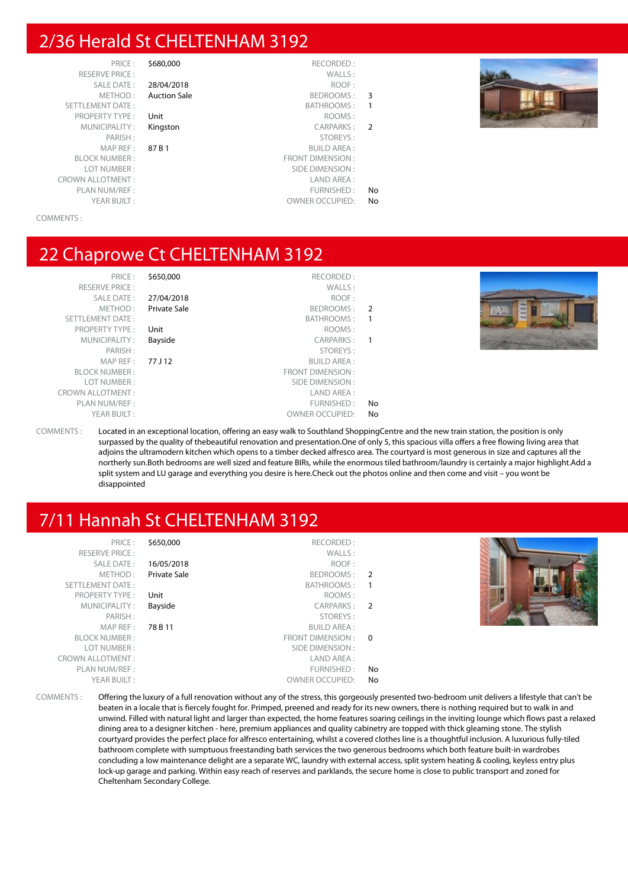#### 2/36 Herald St CHELTENHAM 3192

RESERVE PRICE : CROWN ALLOTMENT : LAND AREA : PLAN NUM/REF :<br>
YEAR BUILT : THE STATE OWNER OCCUPIED: No

- 
- PRICE : \$680,000 RECORDED :<br>PRICE : WALLS : SALE DATE : 28/04/2018 ROOF : METHOD: Auction Sale BEDROOMS: 3 SETTLEMENT DATE : SETTLEMENT DATE : SATHROOMS : 1 PROPERTY TYPE : Unit ROOMS : MUNICIPALITY : **Kingston** CARPARKS : 2 PARISH : STOREYS : STOREYS : STOREYS : STOREYS : STOREYS : STOREYS : STOREYS : SUILD AREA : 87 B 1 BUILD AREA : BLOCK NUMBER : FRONT DIMENSION : SIDE DIMENSION :
	- OWNER OCCUPIED: No



#### COMMENTS :

#### 22 Chaprowe Ct CHELTENHAM 3192

| PRICE:                  | \$650,000    | RECORDED:               |    |
|-------------------------|--------------|-------------------------|----|
| <b>RESERVE PRICE:</b>   |              | WALLS:                  |    |
| <b>SALE DATE:</b>       | 27/04/2018   | ROOF:                   |    |
| METHOD:                 | Private Sale | BEDROOMS:               | -2 |
| <b>SETTLEMENT DATE:</b> |              | BATHROOMS:              |    |
| <b>PROPERTY TYPE:</b>   | Unit         | ROOMS:                  |    |
| MUNICIPALITY:           | Bayside      | CARPARKS:               |    |
| PARISH:                 |              | STOREYS:                |    |
| MAP REF:                | 77 J 12      | <b>BUILD AREA:</b>      |    |
| <b>BLOCK NUMBER:</b>    |              | <b>FRONT DIMENSION:</b> |    |
| LOT NUMBER:             |              | SIDE DIMENSION:         |    |
| <b>CROWN ALLOTMENT:</b> |              | LAND AREA:              |    |
| PLAN NUM/REF:           |              | FURNISHED:              | No |
| YEAR BUILT:             |              | <b>OWNER OCCUPIED:</b>  | No |
|                         |              |                         |    |



COMMENTS : Located in an exceptional location, offering an easy walk to Southland ShoppingCentre and the new train station, the position is only surpassed by the quality of thebeautiful renovation and presentation.One of only 5, this spacious villa offers a free flowing living area that adjoins the ultramodern kitchen which opens to a timber decked alfresco area. The courtyard is most generous in size and captures all the northerly sun.Both bedrooms are well sized and feature BIRs, while the enormous tiled bathroom/laundry is certainly a major highlight.Add a split system and LU garage and everything you desire is here.Check out the photos online and then come and visit – you wont be disappointed

### 7/11 Hannah St CHELTENHAM 3192

| PRICE:                  | \$650,000    | RECORDED:              |                |  |
|-------------------------|--------------|------------------------|----------------|--|
| <b>RESERVE PRICE:</b>   |              | WALLS:                 |                |  |
| SALE DATE:              | 16/05/2018   | ROOF:                  |                |  |
| METHOD:                 | Private Sale | BEDROOMS: 2            |                |  |
| SETTLEMENT DATE:        |              | BATHROOMS:             |                |  |
| <b>PROPERTY TYPE:</b>   | Unit         | ROOMS:                 |                |  |
| MUNICIPALITY:           | Bayside      | CARPARKS:              | $\overline{2}$ |  |
| PARISH:                 |              | STOREYS:               |                |  |
| MAP REF :               | 78 B 11      | <b>BUILD AREA:</b>     |                |  |
| <b>BLOCK NUMBER:</b>    |              | FRONT DIMENSION: 0     |                |  |
| LOT NUMBER:             |              | SIDE DIMENSION :       |                |  |
| <b>CROWN ALLOTMENT:</b> |              | LAND AREA :            |                |  |
| PLAN NUM/REF:           |              | FURNISHED:             | No.            |  |
| YEAR BUILT:             |              | <b>OWNER OCCUPIED:</b> | No.            |  |
|                         |              |                        |                |  |

COMMENTS : Offering the luxury of a full renovation without any of the stress, this gorgeously presented two-bedroom unit delivers a lifestyle that can't be beaten in a locale that is fiercely fought for. Primped, preened and ready for its new owners, there is nothing required but to walk in and unwind. Filled with natural light and larger than expected, the home features soaring ceilings in the inviting lounge which flows past a relaxed dining area to a designer kitchen - here, premium appliances and quality cabinetry are topped with thick gleaming stone. The stylish courtyard provides the perfect place for alfresco entertaining, whilst a covered clothes line is a thoughtful inclusion. A luxurious fully-tiled bathroom complete with sumptuous freestanding bath services the two generous bedrooms which both feature built-in wardrobes concluding a low maintenance delight are a separate WC, laundry with external access, split system heating & cooling, keyless entry plus lock-up garage and parking. Within easy reach of reserves and parklands, the secure home is close to public transport and zoned for Cheltenham Secondary College.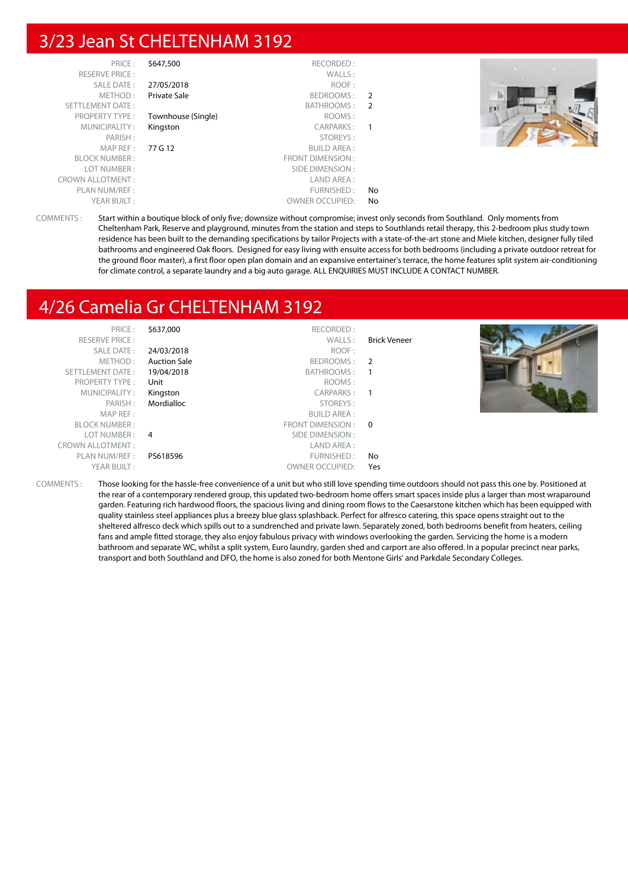#### 3/23 Jean St CHELTENHAM 3192

| PRICE:                  | \$647,500          | RECORDED:               |    |  |
|-------------------------|--------------------|-------------------------|----|--|
| <b>RESERVE PRICE:</b>   |                    | WALLS:                  |    |  |
| SALE DATE:              | 27/05/2018         | ROOF:                   |    |  |
| METHOD:                 | Private Sale       | BEDROOMS:               | -2 |  |
| <b>SETTLEMENT DATE:</b> |                    | BATHROOMS:              | -2 |  |
| <b>PROPERTY TYPE:</b>   | Townhouse (Single) | ROOMS:                  |    |  |
| MUNICIPALITY:           | Kingston           | CARPARKS:               |    |  |
| PARISH:                 |                    | STOREYS:                |    |  |
| MAP REF :               | 77 G 12            | <b>BUILD AREA:</b>      |    |  |
| <b>BLOCK NUMBER:</b>    |                    | <b>FRONT DIMENSION:</b> |    |  |
| LOT NUMBER:             |                    | SIDE DIMENSION:         |    |  |
| <b>CROWN ALLOTMENT:</b> |                    | LAND AREA:              |    |  |
| PLAN NUM/REF:           |                    | FURNISHED:              | No |  |
| YEAR BUILT:             |                    | <b>OWNER OCCUPIED:</b>  | No |  |



COMMENTS : Start within a boutique block of only five; downsize without compromise; invest only seconds from Southland. Only moments from Cheltenham Park, Reserve and playground, minutes from the station and steps to Southlands retail therapy, this 2-bedroom plus study town residence has been built to the demanding specifications by tailor Projects with a state-of-the-art stone and Miele kitchen, designer fully tiled bathrooms and engineered Oak floors. Designed for easy living with ensuite access for both bedrooms (including a private outdoor retreat for the ground floor master), a first floor open plan domain and an expansive entertainer's terrace, the home features split system air-conditioning for climate control, a separate laundry and a big auto garage. ALL ENQUIRIES MUST INCLUDE A CONTACT NUMBER.

#### 4/26 Camelia Gr CHELTENHAM 3192

| PRICE:                  | \$637,000           | RECORDED:              |                     |  |
|-------------------------|---------------------|------------------------|---------------------|--|
| <b>RESERVE PRICE:</b>   |                     | WALLS:                 | <b>Brick Veneer</b> |  |
| SALE DATE:              | 24/03/2018          | ROOF:                  |                     |  |
| METHOD:                 | <b>Auction Sale</b> | BEDROOMS: 2            |                     |  |
| SETTLEMENT DATE:        | 19/04/2018          | BATHROOMS: 1           |                     |  |
| <b>PROPERTY TYPE:</b>   | Unit                | ROOMS:                 |                     |  |
| MUNICIPALITY:           | Kingston            | CARPARKS:              |                     |  |
| PARISH:                 | Mordialloc          | STOREYS:               |                     |  |
| MAP REF:                |                     | <b>BUILD AREA:</b>     |                     |  |
| <b>BLOCK NUMBER:</b>    |                     | FRONT DIMENSION : 0    |                     |  |
| LOT NUMBER :            | $\overline{4}$      | SIDE DIMENSION :       |                     |  |
| <b>CROWN ALLOTMENT:</b> |                     | LAND AREA :            |                     |  |
| PLAN NUM/REF:           | PS618596            | FURNISHED:             | No                  |  |
| YEAR BUILT:             |                     | <b>OWNER OCCUPIED:</b> | Yes                 |  |

COMMENTS : Those looking for the hassle-free convenience of a unit but who still love spending time outdoors should not pass this one by. Positioned at the rear of a contemporary rendered group, this updated two-bedroom home offers smart spaces inside plus a larger than most wraparound garden. Featuring rich hardwood floors, the spacious living and dining room flows to the Caesarstone kitchen which has been equipped with quality stainless steel appliances plus a breezy blue glass splashback. Perfect for alfresco catering, this space opens straight out to the sheltered alfresco deck which spills out to a sundrenched and private lawn. Separately zoned, both bedrooms benefit from heaters, ceiling fans and ample fitted storage, they also enjoy fabulous privacy with windows overlooking the garden. Servicing the home is a modern bathroom and separate WC, whilst a split system, Euro laundry, garden shed and carport are also offered. In a popular precinct near parks, transport and both Southland and DFO, the home is also zoned for both Mentone Girls' and Parkdale Secondary Colleges.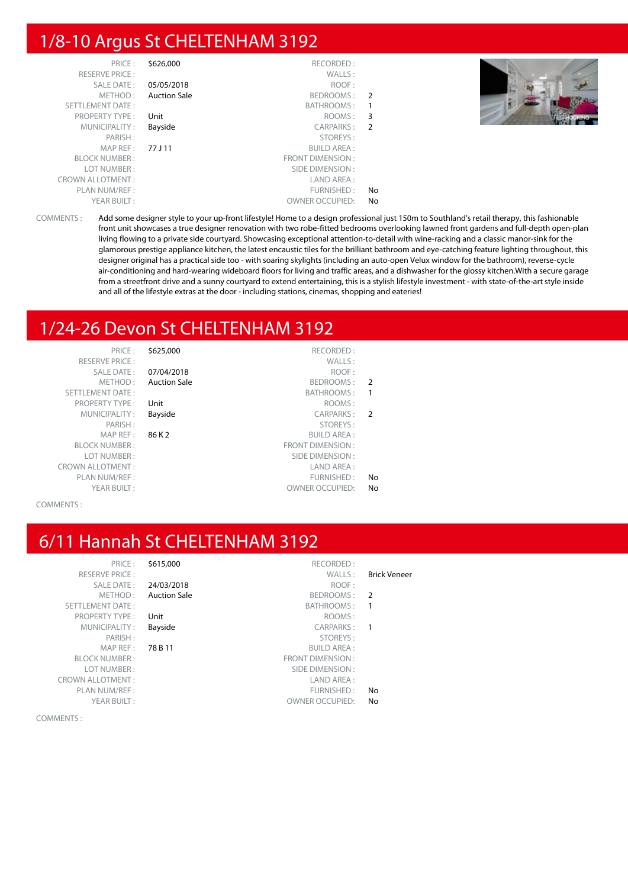#### 1/8-10 Argus St CHELTENHAM 3192

| PRICE:                  | \$626,000           | RECORDED:               |                         |  |
|-------------------------|---------------------|-------------------------|-------------------------|--|
| <b>RESERVE PRICE:</b>   |                     | WALLS:                  |                         |  |
| SALE DATE:              | 05/05/2018          | ROOF:                   |                         |  |
| METHOD:                 | <b>Auction Sale</b> | BEDROOMS: 2             |                         |  |
| SETTLEMENT DATE:        |                     | BATHROOMS:              |                         |  |
| <b>PROPERTY TYPE:</b>   | Unit                | ROOMS:                  | $\overline{\mathbf{3}}$ |  |
| MUNICIPALITY:           | Bayside             | CARPARKS:               | $\overline{2}$          |  |
| PARISH:                 |                     | STOREYS:                |                         |  |
| MAPREF:                 | 77 J 11             | <b>BUILD AREA:</b>      |                         |  |
| <b>BLOCK NUMBER:</b>    |                     | <b>FRONT DIMENSION:</b> |                         |  |
| LOT NUMBER:             |                     | SIDE DIMENSION :        |                         |  |
| <b>CROWN ALLOTMENT:</b> |                     | LAND AREA :             |                         |  |
| PLAN NUM/REF:           |                     | FURNISHED:              | No.                     |  |
| YEAR BUILT:             |                     | <b>OWNER OCCUPIED:</b>  | No                      |  |

COMMENTS : Add some designer style to your up-front lifestyle! Home to a design professional just 150m to Southland's retail therapy, this fashionable front unit showcases a true designer renovation with two robe-fitted bedrooms overlooking lawned front gardens and full-depth open-plan living flowing to a private side courtyard. Showcasing exceptional attention-to-detail with wine-racking and a classic manor-sink for the glamorous prestige appliance kitchen, the latest encaustic tiles for the brilliant bathroom and eye-catching feature lighting throughout, this designer original has a practical side too - with soaring skylights (including an auto-open Velux window for the bathroom), reverse-cycle air-conditioning and hard-wearing wideboard floors for living and traffic areas, and a dishwasher for the glossy kitchen.With a secure garage from a streetfront drive and a sunny courtyard to extend entertaining, this is a stylish lifestyle investment - with state-of-the-art style inside and all of the lifestyle extras at the door - including stations, cinemas, shopping and eateries!

#### 1/24-26 Devon St CHELTENHAM 3192

PRICE : \$625,000 RECORDED : RESERVE PRICE : WALLS : SETTLEMENT DATE : SETTLEMENT DATE : SATHROOMS : 1 PROPERTY TYPE : Unit the company of the company of the company of the company of the company of the company of the company of the company of the company of the company of the company of the company of the company of the co CROWN ALLOTMENT :<br>
PLAN NUM/REF : 
PLAN NUM/REF : YEAR BUILT :  $OWNER$  OWNER OCCUPIED: No

SALE DATE : 07/04/2018 ROOF : METHOD: Auction Sale BEDROOMS: 2

MUNICIPALITY : **Bayside CARPARKS** : **2** PARISH : STOREYS : STOREYS : STOREYS : STOREYS : STOREYS : STOREYS : SUILD AREA : 86 K 2 BUILD AREA : BLOCK NUMBER : FRONT DIMENSION : SIDE DIMENSION : PLAN NUM/REF :  $\blacksquare$ 

COMMENTS :

### 6/11 Hannah St CHELTENHAM 3192

PRICE : \$615,000 RECORDED :<br>PRICE : WALLS : RESERVE PRICE : WALLS : Brick Veneer SALE DATE : 24/03/2018 ROOF :<br>
METHOD : Auction Sale Reproduced by BEDROOMS : Auction Sale **BEDROOMS** : 2 SETTLEMENT DATE : SETTLEMENT DATE : SETTLEMENT DATE : SETTLEMENT DATE : SETTLEMENT DATE : SETTLEMENT DATE : SETTLEMENT DATE : SETTLEMENT DATE : SETTLEMENT DATE : SETTLEMENT DATE : SETTLEMENT DATE : SETTLEMENT DATE : SETTLE PROPERTY TYPE : Unit the state of the company of the ROOMS :<br>MUNICIPALITY : **Bayside** the company of the carparks : MUNICIPALITY : **Bayside CARPARKS** : **1** PARISH : STOREYS : MAP REF : 78 B 11 BUILD AREA : BLOCK NUMBER : THE SERVICE OF STRAIN SERVICE OF SERVICE OF SERVICE OF SERVICE OF SERVICE OF SERVICE OF SERVICE OF SERVICE OF SERVICE OF SERVICE OF SERVICE OF SERVICE OF SERVICE OF SERVICE OF SERVICE OF SERVICE OF SERVICE O LOT NUMBER : SIDE DIMENSION : CROWN ALLOTMENT :<br>PLAN NUM/REF : LAND AREA : LAND AREA : PLAN NUM/REF :  $\blacksquare$ YEAR BUILT :  $OWNER$  OWNER OCCUPIED: No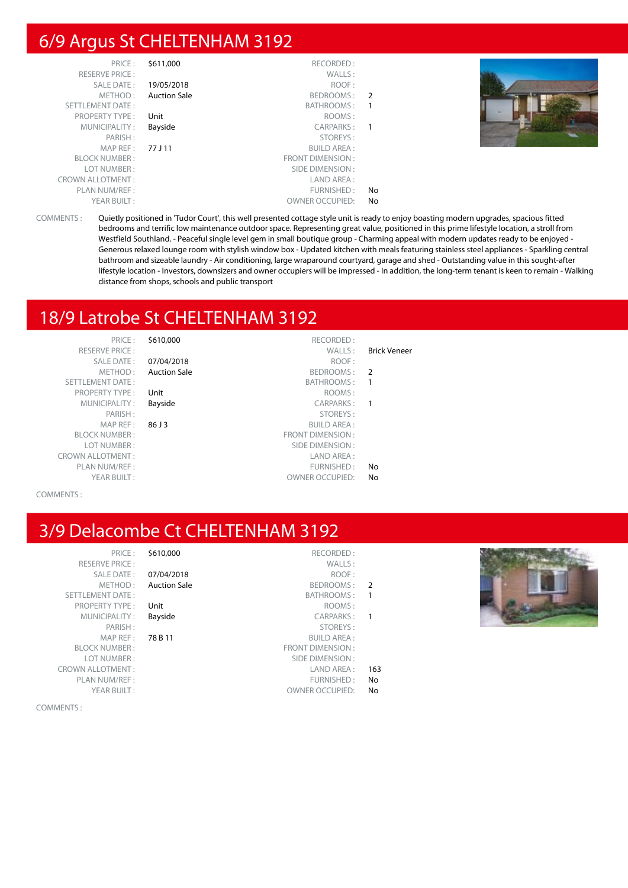#### 6/9 Argus St CHELTENHAM 3192

| PRICE:                  | \$611,000           | RECORDED:               |               |
|-------------------------|---------------------|-------------------------|---------------|
| <b>RESERVE PRICE:</b>   |                     | WALLS:                  |               |
| <b>SALE DATE:</b>       | 19/05/2018          | ROOF:                   |               |
| METHOD:                 | <b>Auction Sale</b> | BEDROOMS:               | $\mathcal{L}$ |
| <b>SETTLEMENT DATE:</b> |                     | BATHROOMS:              |               |
| <b>PROPERTY TYPE:</b>   | Unit                | ROOMS:                  |               |
| MUNICIPALITY:           | Bayside             | CARPARKS:               |               |
| PARISH:                 |                     | STOREYS:                |               |
| MAP REF:                | 77 J 11             | <b>BUILD AREA:</b>      |               |
| <b>BLOCK NUMBER:</b>    |                     | <b>FRONT DIMENSION:</b> |               |
| LOT NUMBER:             |                     | SIDE DIMENSION:         |               |
| <b>CROWN ALLOTMENT:</b> |                     | LAND AREA:              |               |
| PLAN NUM/REF :          |                     | FURNISHED:              | No            |
| YEAR BUILT:             |                     | <b>OWNER OCCUPIED:</b>  | No            |



COMMENTS : Quietly positioned in 'Tudor Court', this well presented cottage style unit is ready to enjoy boasting modern upgrades, spacious fitted bedrooms and terrific low maintenance outdoor space. Representing great value, positioned in this prime lifestyle location, a stroll from Westfield Southland. - Peaceful single level gem in small boutique group - Charming appeal with modern updates ready to be enjoyed - Generous relaxed lounge room with stylish window box - Updated kitchen with meals featuring stainless steel appliances - Sparkling central bathroom and sizeable laundry - Air conditioning, large wraparound courtyard, garage and shed - Outstanding value in this sought-after lifestyle location - Investors, downsizers and owner occupiers will be impressed - In addition, the long-term tenant is keen to remain - Walking distance from shops, schools and public transport

## 18/9 Latrobe St CHELTENHAM 3192

PRICE : \$610,000 RECORDED : RESERVE PRICE : WALLS : Brick Veneer METHOD : **Auction Sale BEDROOMS : 2**<br>
BATHROOMS : 1 SETTLEMENT DATE : SETTLEMENT DATE : SETTLEMENT DATE : SETTLEMENT DATE : SETTLEMENT DATE : SETTLEMENT DATE : SETTLEMENT DATE : SETTLEMENT DATE : SETTLEMENT DATE : SETTLEMENT DATE : SETTLEMENT DATE : SETTLEMENT DATE : SETTLE PROPERTY TYPE : Unit MUNICIPALITY : Bayside PARISH:  $MAP REF : 86J3$ BLOCK NUMBER : LOT NUMBER: CROWN ALLOTMENT:

07/04/2018 ROOF:

- 
- 

|    | ROOMS:                  | <b>PROPERTY TYPE:</b><br>Unit |
|----|-------------------------|-------------------------------|
|    | CARPARKS:               | Bayside<br>MUNICIPALITY:      |
|    | STOREYS:                | PARISH:                       |
|    | <b>BUILD AREA:</b>      | MAP REF:<br>86 J 3            |
|    | <b>FRONT DIMENSION:</b> | <b>BLOCK NUMBER:</b>          |
|    | SIDE DIMENSION:         | LOT NUMBER :                  |
|    | LAND AREA:              | WN ALLOTMENT :                |
| No | FURNISHED:              | PLAN NUM/REF:                 |
| No | <b>OWNER OCCUPIED:</b>  | YEAR BUILT:                   |

COMMENTS :

### 3/9 Delacombe Ct CHELTENHAM 3192

| \$610,000        | PRICE:                 |
|------------------|------------------------|
|                  | <b>RESERVE PRICE:</b>  |
| 07/04/20         | <b>SALE DATE:</b>      |
| <b>Auction S</b> | MFTHOD:                |
|                  | SETTLEMENT DATE:       |
| Unit             | <b>PROPERTY TYPE:</b>  |
| Bayside          | MUNICIPALITY:          |
|                  | PARISH:                |
| 78 B 11          | MAP RFF:               |
|                  | <b>BLOCK NUMBER:</b>   |
|                  | LOT NUMBER:            |
|                  | <b>ROWN ALLOTMENT:</b> |
|                  | PLAN NUM/REF :         |
|                  | YFAR BUILT:            |
|                  |                        |

|               | \$610,000<br>RECORDED:           | PRICE:                  |
|---------------|----------------------------------|-------------------------|
|               | WALLS:                           | <b>RESERVE PRICE:</b>   |
|               | 07/04/2018<br>ROOF:              | <b>SALE DATE:</b>       |
| $\mathcal{P}$ | <b>Auction Sale</b><br>BEDROOMS: | METHOD:                 |
|               | <b>BATHROOMS:</b>                | <b>SETTLEMENT DATE:</b> |
|               | ROOMS:<br>Unit                   | <b>PROPERTY TYPE:</b>   |
|               | Bayside<br>CARPARKS:             | MUNICIPALITY:           |
|               | STOREYS:                         | PARISH:                 |
|               | 78 B 11<br><b>BUILD AREA:</b>    | MAP REF:                |
|               | <b>FRONT DIMENSION:</b>          | <b>BLOCK NUMBER:</b>    |
|               | SIDE DIMENSION:                  | LOT NUMBER:             |
| 163           | LAND AREA:                       | <b>CROWN ALLOTMENT:</b> |
| No            | FURNISHED:                       | PLAN NUM/REF :          |
| No            | <b>OWNER OCCUPIED:</b>           | YEAR BUILT:             |
|               |                                  |                         |

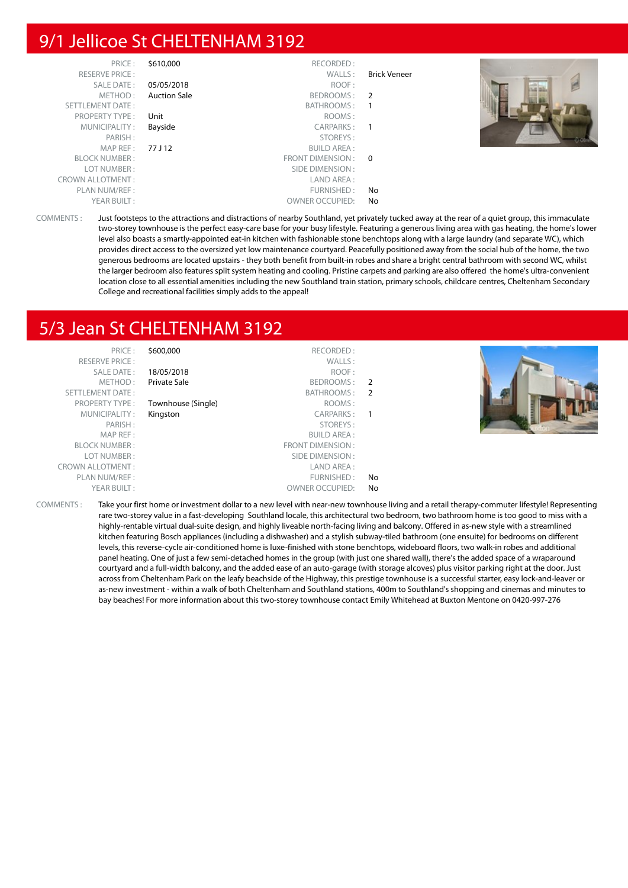### 9/1 Jellicoe St CHELTENHAM 3192

| PRICE:                  | \$610,000           | RECORDED:              |              |  |
|-------------------------|---------------------|------------------------|--------------|--|
| <b>RESERVE PRICE:</b>   |                     | WALLS:                 | Brick Veneer |  |
| SALE DATE:              | 05/05/2018          | ROOF:                  |              |  |
| METHOD:                 | <b>Auction Sale</b> | BEDROOMS: 2            |              |  |
| SETTLEMENT DATE:        |                     | BATHROOMS:             |              |  |
| <b>PROPERTY TYPE:</b>   | Unit                | ROOMS:                 |              |  |
| MUNICIPALITY:           | Bayside             | CARPARKS:              |              |  |
| PARISH:                 |                     | STOREYS:               |              |  |
| MAPREF:                 | 77 J 12             | <b>BUILD AREA:</b>     |              |  |
| <b>BLOCK NUMBER:</b>    |                     | FRONT DIMENSION: 0     |              |  |
| LOT NUMBER:             |                     | SIDE DIMENSION :       |              |  |
| <b>CROWN ALLOTMENT:</b> |                     | LAND AREA:             |              |  |
| PLAN NUM/REF :          |                     | FURNISHED:             | No           |  |
| YEAR BUILT:             |                     | <b>OWNER OCCUPIED:</b> | No           |  |

COMMENTS : Just footsteps to the attractions and distractions of nearby Southland, yet privately tucked away at the rear of a quiet group, this immaculate two-storey townhouse is the perfect easy-care base for your busy lifestyle. Featuring a generous living area with gas heating, the home's lower level also boasts a smartly-appointed eat-in kitchen with fashionable stone benchtops along with a large laundry (and separate WC), which provides direct access to the oversized yet low maintenance courtyard. Peacefully positioned away from the social hub of the home, the two generous bedrooms are located upstairs - they both benefit from built-in robes and share a bright central bathroom with second WC, whilst the larger bedroom also features split system heating and cooling. Pristine carpets and parking are also offered the home's ultra-convenient location close to all essential amenities including the new Southland train station, primary schools, childcare centres, Cheltenham Secondary College and recreational facilities simply adds to the appeal!

#### 5/3 Jean St CHELTENHAM 3192

| PRICE:                  | \$600,000          | RECORDED:              |     |                                                                                                                                                        |
|-------------------------|--------------------|------------------------|-----|--------------------------------------------------------------------------------------------------------------------------------------------------------|
| <b>RESERVE PRICE:</b>   |                    | WALLS:                 |     |                                                                                                                                                        |
| SALE DATE:              | 18/05/2018         | ROOF:                  |     |                                                                                                                                                        |
| METHOD:                 | Private Sale       | BEDROOMS: 2            |     |                                                                                                                                                        |
| SETTLEMENT DATE:        |                    | BATHROOMS: 2           |     |                                                                                                                                                        |
| <b>PROPERTY TYPE:</b>   | Townhouse (Single) | ROOMS:                 |     |                                                                                                                                                        |
| MUNICIPALITY:           | Kingston           | CARPARKS: 1            |     |                                                                                                                                                        |
| PARISH:                 |                    | STOREYS:               |     |                                                                                                                                                        |
| MAP REF:                |                    | <b>BUILD AREA:</b>     |     |                                                                                                                                                        |
| <b>BLOCK NUMBER:</b>    |                    | FRONT DIMENSION :      |     |                                                                                                                                                        |
| LOT NUMBER:             |                    | SIDE DIMENSION:        |     |                                                                                                                                                        |
| <b>CROWN ALLOTMENT:</b> |                    | LAND AREA :            |     |                                                                                                                                                        |
| PLAN NUM/REF :          |                    | FURNISHED:             | No. |                                                                                                                                                        |
| YEAR BUILT:             |                    | <b>OWNER OCCUPIED:</b> | No  |                                                                                                                                                        |
|                         |                    |                        |     | COMMENTE, Take your first hama as investment dellaste a now lovel with near now townhouse living and a setail therapy commutes lifestuled Depresenting |

COMMENTS : Take your first home or investment dollar to a new level with near-new townhouse living and a retail therapy-commuter lifestyle! Representing rare two-storey value in a fast-developing Southland locale, this architectural two bedroom, two bathroom home is too good to miss with a highly-rentable virtual dual-suite design, and highly liveable north-facing living and balcony. Offered in as-new style with a streamlined kitchen featuring Bosch appliances (including a dishwasher) and a stylish subway-tiled bathroom (one ensuite) for bedrooms on different levels, this reverse-cycle air-conditioned home is luxe-finished with stone benchtops, wideboard floors, two walk-in robes and additional panel heating. One of just a few semi-detached homes in the group (with just one shared wall), there's the added space of a wraparound courtyard and a full-width balcony, and the added ease of an auto-garage (with storage alcoves) plus visitor parking right at the door. Just across from Cheltenham Park on the leafy beachside of the Highway, this prestige townhouse is a successful starter, easy lock-and-leaver or as-new investment - within a walk of both Cheltenham and Southland stations, 400m to Southland's shopping and cinemas and minutes to bay beaches! For more information about this two-storey townhouse contact Emily Whitehead at Buxton Mentone on 0420-997-276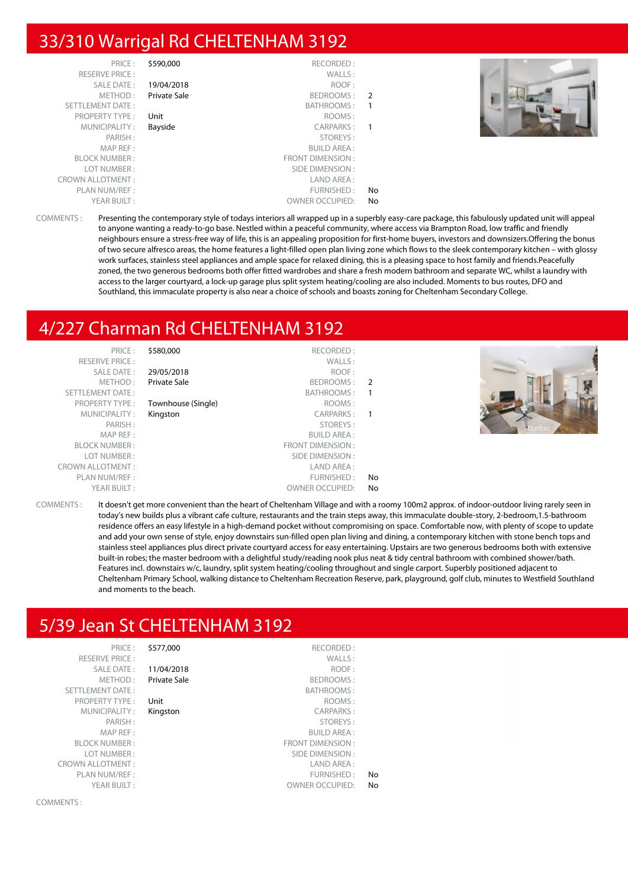#### 33/310 Warrigal Rd CHELTENHAM 3192

| PRICE:                  | \$590,000    | RECORDED:               |               |
|-------------------------|--------------|-------------------------|---------------|
| <b>RESERVE PRICE:</b>   |              | WALLS:                  |               |
| SALE DATE:              | 19/04/2018   | ROOF:                   |               |
| METHOD:                 | Private Sale | BEDROOMS:               | $\mathcal{P}$ |
| <b>SETTLEMENT DATE:</b> |              | BATHROOMS:              | 1             |
| <b>PROPERTY TYPE:</b>   | Unit         | ROOMS:                  |               |
| MUNICIPALITY:           | Bayside      | CARPARKS:               | 1             |
| PARISH:                 |              | STOREYS:                |               |
| MAP REF:                |              | <b>BUILD AREA:</b>      |               |
| <b>BLOCK NUMBER:</b>    |              | <b>FRONT DIMENSION:</b> |               |
| LOT NUMBER:             |              | SIDE DIMENSION:         |               |
| <b>CROWN ALLOTMENT:</b> |              | LAND AREA:              |               |
| PLAN NUM/REF:           |              | FURNISHED:              | No            |
| YEAR BUILT:             |              | <b>OWNER OCCUPIED:</b>  | No            |



COMMENTS : Presenting the contemporary style of todays interiors all wrapped up in a superbly easy-care package, this fabulously updated unit will appeal to anyone wanting a ready-to-go base. Nestled within a peaceful community, where access via Brampton Road, low traffic and friendly neighbours ensure a stress-free way of life, this is an appealing proposition for first-home buyers, investors and downsizers.Offering the bonus of two secure alfresco areas, the home features a light-filled open plan living zone which flows to the sleek contemporary kitchen – with glossy work surfaces, stainless steel appliances and ample space for relaxed dining, this is a pleasing space to host family and friends.Peacefully zoned, the two generous bedrooms both offer fitted wardrobes and share a fresh modern bathroom and separate WC, whilst a laundry with access to the larger courtyard, a lock-up garage plus split system heating/cooling are also included. Moments to bus routes, DFO and Southland, this immaculate property is also near a choice of schools and boasts zoning for Cheltenham Secondary College.

#### 4/227 Charman Rd CHELTENHAM 3192

| PRICE:                  | \$580,000           | RECORDED:              |                          |                                                                                                                                            |
|-------------------------|---------------------|------------------------|--------------------------|--------------------------------------------------------------------------------------------------------------------------------------------|
| <b>RESERVE PRICE:</b>   |                     | WALLS:                 |                          |                                                                                                                                            |
| <b>SALE DATE:</b>       | 29/05/2018          | ROOF:                  |                          |                                                                                                                                            |
| METHOD:                 | <b>Private Sale</b> | BEDROOMS: 2            |                          |                                                                                                                                            |
| SETTLEMENT DATE:        |                     | BATHROOMS:             | - 1                      |                                                                                                                                            |
| <b>PROPERTY TYPE:</b>   | Townhouse (Single)  | ROOMS:                 |                          |                                                                                                                                            |
| MUNICIPALITY:           | Kingston            | CARPARKS:              | $\overline{\phantom{0}}$ |                                                                                                                                            |
| PARISH:                 |                     | STOREYS:               |                          |                                                                                                                                            |
| MAP REF:                |                     | <b>BUILD AREA:</b>     |                          |                                                                                                                                            |
| <b>BLOCK NUMBER:</b>    |                     | FRONT DIMENSION:       |                          |                                                                                                                                            |
| LOT NUMBER:             |                     | SIDE DIMENSION :       |                          |                                                                                                                                            |
| <b>CROWN ALLOTMENT:</b> |                     | LAND AREA :            |                          |                                                                                                                                            |
| PLAN NUM/REF :          |                     | FURNISHED:             | No                       |                                                                                                                                            |
| YEAR BUILT:             |                     | <b>OWNER OCCUPIED:</b> | No                       |                                                                                                                                            |
| COMMENTS :              |                     |                        |                          | It doesn't get more convenient than the heart of Cheltenham Village and with a roomy 100m2 approx, of indoor-outdoor living rarely seen in |

COMMENTS : It doesn't get more convenient than the heart of Cheltenham Village and with a roomy 100m2 approx. of indoor-outdoor living rarely seen in today's new builds plus a vibrant cafe culture, restaurants and the train steps away, this immaculate double-story, 2-bedroom,1.5-bathroom residence offers an easy lifestyle in a high-demand pocket without compromising on space. Comfortable now, with plenty of scope to update and add your own sense of style, enjoy downstairs sun-filled open plan living and dining, a contemporary kitchen with stone bench tops and stainless steel appliances plus direct private courtyard access for easy entertaining. Upstairs are two generous bedrooms both with extensive built-in robes; the master bedroom with a delightful study/reading nook plus neat & tidy central bathroom with combined shower/bath. Features incl. downstairs w/c, laundry, split system heating/cooling throughout and single carport. Superbly positioned adjacent to Cheltenham Primary School, walking distance to Cheltenham Recreation Reserve, park, playground, golf club, minutes to Westfield Southland and moments to the beach.

### 5/39 Jean St CHELTENHAM 3192

| PRICE:                  | \$577,000    | RECORDED:               |                |
|-------------------------|--------------|-------------------------|----------------|
| <b>RESERVE PRICE:</b>   |              | WALLS:                  |                |
| <b>SALE DATE:</b>       | 11/04/2018   | ROOF:                   |                |
| METHOD:                 | Private Sale | BEDROOMS:               |                |
| <b>SETTLEMENT DATE:</b> |              | BATHROOMS:              |                |
| <b>PROPERTY TYPE:</b>   | Unit         | ROOMS:                  |                |
| MUNICIPALITY:           | Kingston     | <b>CARPARKS:</b>        |                |
| PARISH:                 |              | STOREYS:                |                |
| MAP REF:                |              | <b>BUILD AREA:</b>      |                |
| <b>BLOCK NUMBER:</b>    |              | <b>FRONT DIMENSION:</b> |                |
| LOT NUMBER:             |              | SIDE DIMENSION:         |                |
| <b>CROWN ALLOTMENT:</b> |              | LAND AREA:              |                |
| PLAN NUM/REF :          |              | FURNISHED:              | N <sub>o</sub> |
| YEAR BUILT:             |              | <b>OWNER OCCUPIED:</b>  | No             |
|                         |              |                         |                |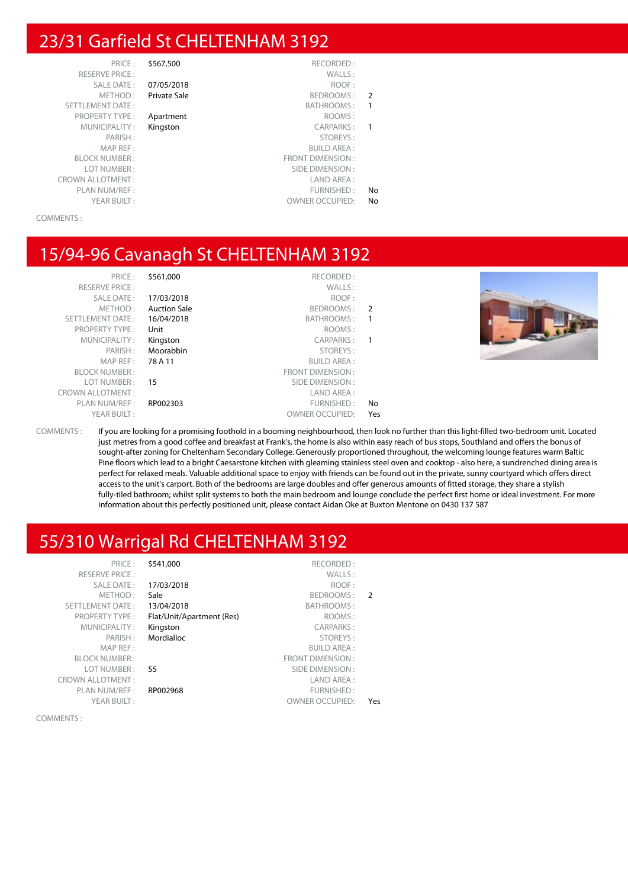#### 23/31 Garfield St CHELTENHAM 3192

PRICE : \$567,500 RECORDED : RESERVE PRICE : PROPERTY TYPE : **Apartment** MAP REF : BLOCK NUMBER : LOT NUMBER: CROWN ALLOTMENT:

|               | WALLS:                  |              | <b>RESERVE PRICE:</b>   |
|---------------|-------------------------|--------------|-------------------------|
|               | ROOF:                   | 07/05/2018   | <b>SALE DATE:</b>       |
| $\mathcal{P}$ | BEDROOMS:               | Private Sale | METHOD:                 |
|               | BATHROOMS:              |              | <b>SETTLEMENT DATE:</b> |
|               | ROOMS:                  | Apartment    | <b>PROPERTY TYPE:</b>   |
|               | CARPARKS:               | Kingston     | MUNICIPALITY:           |
|               | STOREYS:                |              | PARISH:                 |
|               | <b>BUILD AREA:</b>      |              | MAP REF:                |
|               | <b>FRONT DIMENSION:</b> |              | <b>BLOCK NUMBER:</b>    |
|               | SIDE DIMENSION:         |              | LOT NUMBER:             |
|               | LAND AREA:              |              | ROWN ALLOTMENT :        |
| No            | FURNISHED:              |              | PLAN NUM/REF:           |
| No            | <b>OWNER OCCUPIED:</b>  |              | YEAR BUILT:             |
|               |                         |              |                         |

COMMENTS :

#### 15/94-96 Cavanagh St CHELTENHAM 3192

| PRICE:<br><b>RESERVE PRICE:</b><br><b>SALE DATE:</b><br>METHOD:<br>SETTLEMENT DATE:<br><b>PROPERTY TYPE:</b><br>MUNICIPALITY:<br>PARISH:<br>MAP REF :<br><b>BLOCK NUMBER:</b><br>LOT NUMBER :<br><b>CROWN ALLOTMENT:</b> | \$561,000<br>17/03/2018<br><b>Auction Sale</b><br>16/04/2018<br>Unit<br>Kingston<br>Moorabbin<br>78 A 11<br>15 | RECORDED:<br>WALLS:<br>ROOF:<br>BEDROOMS:<br>BATHROOMS:<br>ROOMS:<br>CARPARKS:<br>STOREYS:<br><b>BUILD AREA:</b><br>FRONT DIMENSION:<br>SIDE DIMENSION :<br>LAND AREA: | $\overline{2}$ |  |
|--------------------------------------------------------------------------------------------------------------------------------------------------------------------------------------------------------------------------|----------------------------------------------------------------------------------------------------------------|------------------------------------------------------------------------------------------------------------------------------------------------------------------------|----------------|--|
| PLAN NUM/REF :                                                                                                                                                                                                           | RP002303                                                                                                       | FURNISHED:                                                                                                                                                             | No             |  |
| YEAR BUILT:                                                                                                                                                                                                              |                                                                                                                | <b>OWNER OCCUPIED:</b>                                                                                                                                                 | Yes            |  |

COMMENTS : If you are looking for a promising foothold in a booming neighbourhood, then look no further than this light-filled two-bedroom unit. Located just metres from a good coffee and breakfast at Frank's, the home is also within easy reach of bus stops, Southland and offers the bonus of sought-after zoning for Cheltenham Secondary College. Generously proportioned throughout, the welcoming lounge features warm Baltic Pine floors which lead to a bright Caesarstone kitchen with gleaming stainless steel oven and cooktop - also here, a sundrenched dining area is perfect for relaxed meals. Valuable additional space to enjoy with friends can be found out in the private, sunny courtyard which offers direct access to the unit's carport. Both of the bedrooms are large doubles and offer generous amounts of fitted storage, they share a stylish fully-tiled bathroom; whilst split systems to both the main bedroom and lounge conclude the perfect first home or ideal investment. For more information about this perfectly positioned unit, please contact Aidan Oke at Buxton Mentone on 0430 137 587

#### 55/310 Warrigal Rd CHELTENHAM 3192

RESERVE PRICE METHOD SETTLEMENT DATE PROPERTY TYPE **MUNICIPALITY** MAP REF **BLOCK NUMBER** LOT NUMBER CROWN ALLOTMENT : PLAN NUM/REF

| PRICE:              | \$541,000                 | RECORDED:               |     |
|---------------------|---------------------------|-------------------------|-----|
| <b>SERVE PRICE:</b> |                           | WALLS:                  |     |
| SALE DATE:          | 17/03/2018                | ROOF:                   |     |
| METHOD:             | Sale                      | BEDROOMS:               | 2   |
| MENT DATE:          | 13/04/2018                | BATHROOMS:              |     |
| PERTY TYPE:         | Flat/Unit/Apartment (Res) | ROOMS:                  |     |
| JNICIPALITY:        | Kingston                  | <b>CARPARKS:</b>        |     |
| PARISH:             | Mordialloc                | STOREYS:                |     |
| MAP REF :           |                           | <b>BUILD AREA:</b>      |     |
| CK NUMBER :         |                           | <b>FRONT DIMENSION:</b> |     |
| OT NUMBER :         | 55                        | SIDE DIMENSION:         |     |
| ALLOTMENT:          |                           | LAND AREA:              |     |
| N NUM/REF :         | RP002968                  | FURNISHED:              |     |
| YEAR BUILT:         |                           | <b>OWNER OCCUPIED:</b>  | Yes |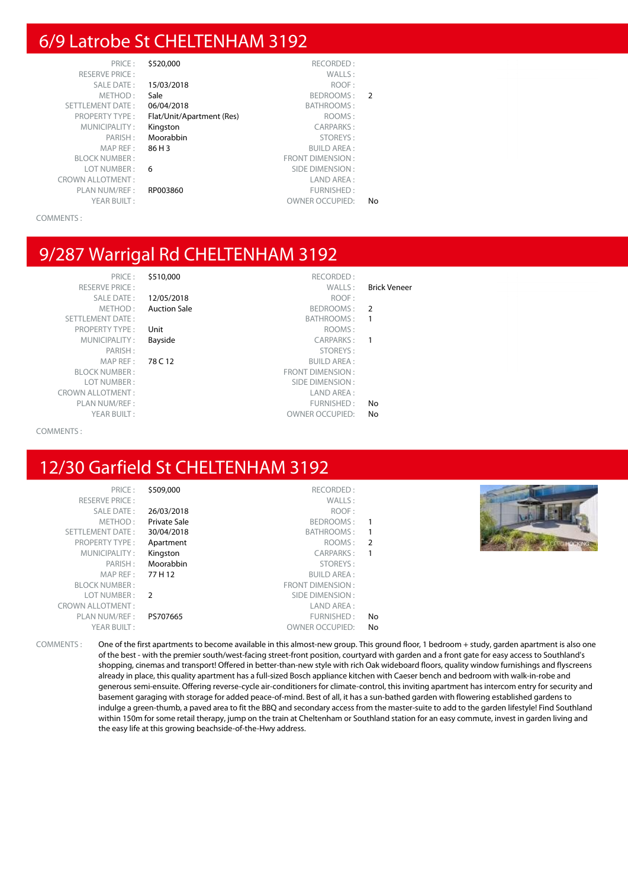#### 6/9 Latrobe St CHELTENHAM 3192

| PRICE:                  | \$520,000                 | RECORDED:               |               |
|-------------------------|---------------------------|-------------------------|---------------|
| RESERVE PRICE :         |                           | WALLS:                  |               |
| <b>SALE DATE:</b>       | 15/03/2018                | ROOF:                   |               |
| METHOD:                 | Sale                      | BEDROOMS:               | $\mathcal{P}$ |
| <b>SETTLEMENT DATE:</b> | 06/04/2018                | <b>BATHROOMS:</b>       |               |
| <b>PROPERTY TYPE:</b>   | Flat/Unit/Apartment (Res) | ROOMS:                  |               |
| MUNICIPALITY:           | Kingston                  | <b>CARPARKS:</b>        |               |
| PARISH:                 | Moorabbin                 | STOREYS:                |               |
| MAP REF:                | 86 H 3                    | <b>BUILD AREA:</b>      |               |
| <b>BLOCK NUMBER:</b>    |                           | <b>FRONT DIMENSION:</b> |               |
| LOT NUMBER:             | 6                         | SIDE DIMENSION:         |               |
| <b>CROWN ALLOTMENT:</b> |                           | LAND AREA:              |               |
| PLAN NUM/REF:           | RP003860                  | FURNISHED:              |               |
| YEAR BUILT:             |                           | <b>OWNER OCCUPIED:</b>  | No            |
|                         |                           |                         |               |

COMMENTS :

#### 9/287 Warrigal Rd CHELTENHAM 3192

RESERVE PRICE : WALLS : Brick Veneer SETTLEMENT DATE : SETTLEMENT DATE : SATHROOMS : 1 PROPERTY TYPE : Unit the state of the company of the ROOMS :<br>MUNICIPALITY : **Bayside** the company of the carp of the carp of the company of the state of the carp of the state of the state of the state of the state of the s MUNICIPALITY : **Bayside CARPARKS** : **1** PARISH : STOREYS : STOREYS : STOREYS : STOREYS : STOREYS : STOREYS : STOREYS : SUILD AREA : BLOCK NUMBER : FRONT DIMENSION : LOT NUMBER : SIDE DIMENSION : CROWN ALLOTMENT : LAND AREA : PLAN NUM/REF :  $\blacksquare$ 

PRICE : \$510,000 RECORDED : SALE DATE : **12/05/2018** ROOF :<br>METHOD : **Auction Sale** Reproduction Base Reproduction Sale Auction Sale **BEDROOMS** : 2

**78 C 12** BUILD AREA :

- 
- 

YEAR BUILT :  $OWNER$  OWNER OCCUPIED: No

#### COMMENTS :

### 12/30 Garfield St CHELTENHAM 3192

| PRICE:                  | \$509,000     | RECORDED:               |                |
|-------------------------|---------------|-------------------------|----------------|
| <b>RESERVE PRICE:</b>   |               | WALLS:                  |                |
| <b>SALE DATE:</b>       | 26/03/2018    | ROOF:                   |                |
| METHOD:                 | Private Sale  | BEDROOMS:               |                |
| <b>SETTLEMENT DATE:</b> | 30/04/2018    | BATHROOMS:              |                |
| <b>PROPERTY TYPE:</b>   | Apartment     | ROOMS:                  | $\overline{2}$ |
| MUNICIPALITY:           | Kingston      | CARPARKS:               |                |
| PARISH:                 | Moorabbin     | STOREYS:                |                |
| MAP REF:                | 77 H 12       | <b>BUILD AREA:</b>      |                |
| <b>BLOCK NUMBER:</b>    |               | <b>FRONT DIMENSION:</b> |                |
| LOT NUMBER:             | $\mathcal{P}$ | SIDE DIMENSION:         |                |
| <b>CROWN ALLOTMENT:</b> |               | LAND AREA:              |                |
| PLAN NUM/REF:           | PS707665      | FURNISHED:              | No             |
| YEAR BUILT:             |               | <b>OWNER OCCUPIED:</b>  | No             |



COMMENTS : One of the first apartments to become available in this almost-new group. This ground floor, 1 bedroom + study, garden apartment is also one of the best - with the premier south/west-facing street-front position, courtyard with garden and a front gate for easy access to Southland's shopping, cinemas and transport! Offered in better-than-new style with rich Oak wideboard floors, quality window furnishings and flyscreens already in place, this quality apartment has a full-sized Bosch appliance kitchen with Caeser bench and bedroom with walk-in-robe and generous semi-ensuite. Offering reverse-cycle air-conditioners for climate-control, this inviting apartment has intercom entry for security and basement garaging with storage for added peace-of-mind. Best of all, it has a sun-bathed garden with flowering established gardens to indulge a green-thumb, a paved area to fit the BBQ and secondary access from the master-suite to add to the garden lifestyle! Find Southland within 150m for some retail therapy, jump on the train at Cheltenham or Southland station for an easy commute, invest in garden living and the easy life at this growing beachside-of-the-Hwy address.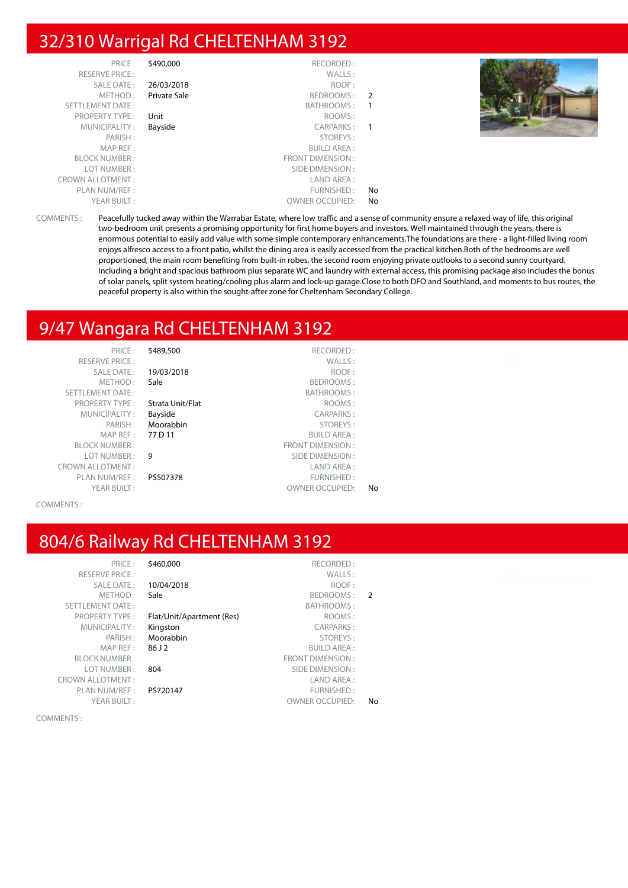#### 32/310 Warrigal Rd CHELTENHAM 3192

| PRICE:                  | \$490,000           | RECORDED:              |                |  |
|-------------------------|---------------------|------------------------|----------------|--|
| <b>RESERVE PRICE:</b>   |                     | WALLS:                 |                |  |
| SALE DATE:              | 26/03/2018          | ROOF:                  |                |  |
| METHOD:                 | <b>Private Sale</b> | BEDROOMS: 2            |                |  |
| SETTLEMENT DATE:        |                     | BATHROOMS :            | $\overline{1}$ |  |
| <b>PROPERTY TYPE:</b>   | Unit                | ROOMS:                 |                |  |
| MUNICIPALITY:           | Bayside             | CARPARKS: 1            |                |  |
| PARISH:                 |                     | STOREYS:               |                |  |
| MAP REF :               |                     | BUILD AREA :           |                |  |
| <b>BLOCK NUMBER:</b>    |                     | FRONT DIMENSION :      |                |  |
| LOT NUMBER:             |                     | SIDE DIMENSION :       |                |  |
| <b>CROWN ALLOTMENT:</b> |                     | LAND AREA :            |                |  |
| PLAN NUM/REF :          |                     | FURNISHED:             | No             |  |
| YEAR BUILT:             |                     | <b>OWNER OCCUPIED:</b> | No             |  |

COMMENTS : Peacefully tucked away within the Warrabar Estate, where low traffic and a sense of community ensure a relaxed way of life, this original two-bedroom unit presents a promising opportunity for first home buyers and investors. Well maintained through the years, there is enormous potential to easily add value with some simple contemporary enhancements.The foundations are there - a light-filled living room enjoys alfresco access to a front patio, whilst the dining area is easily accessed from the practical kitchen.Both of the bedrooms are well proportioned, the main room benefiting from built-in robes, the second room enjoying private outlooks to a second sunny courtyard. Including a bright and spacious bathroom plus separate WC and laundry with external access, this promising package also includes the bonus of solar panels, split system heating/cooling plus alarm and lock-up garage.Close to both DFO and Southland, and moments to bus routes, the peaceful property is also within the sought-after zone for Cheltenham Secondary College.

#### 9/47 Wangara Rd CHELTENHAM 3192

| PRICE:                  | \$489,500        | RECORDED:               |    |
|-------------------------|------------------|-------------------------|----|
| <b>RESERVE PRICE:</b>   |                  | WALLS:                  |    |
| <b>SALE DATE:</b>       | 19/03/2018       | ROOF:                   |    |
| METHOD:                 | Sale             | BEDROOMS:               |    |
| <b>SETTLEMENT DATE:</b> |                  | BATHROOMS:              |    |
| <b>PROPERTY TYPE:</b>   | Strata Unit/Flat | ROOMS:                  |    |
| MUNICIPALITY:           | Bayside          | <b>CARPARKS:</b>        |    |
| PARISH:                 | Moorabbin        | STOREYS:                |    |
| MAP REF:                | 77 D 11          | <b>BUILD AREA:</b>      |    |
| <b>BLOCK NUMBER:</b>    |                  | <b>FRONT DIMENSION:</b> |    |
| LOT NUMBER:             | 9                | SIDE DIMENSION:         |    |
| <b>CROWN ALLOTMENT:</b> |                  | LAND AREA:              |    |
| PLAN NUM/REF:           | PS507378         | FURNISHED:              |    |
| YEAR BUILT:             |                  | <b>OWNER OCCUPIED:</b>  | No |

COMMENTS :

#### 804/6 Railway Rd CHELTENHAM 3192

| PRICE:                  | \$460,000                 | RECORDED:               |               |
|-------------------------|---------------------------|-------------------------|---------------|
| <b>RESERVE PRICE:</b>   |                           | WALLS:                  |               |
| <b>SALE DATE:</b>       | 10/04/2018                | ROOF:                   |               |
| METHOD:                 | Sale                      | BEDROOMS:               | $\mathcal{P}$ |
| <b>SETTLEMENT DATE:</b> |                           | BATHROOMS:              |               |
| <b>PROPERTY TYPE:</b>   | Flat/Unit/Apartment (Res) | ROOMS:                  |               |
| MUNICIPALITY:           | Kingston                  | <b>CARPARKS:</b>        |               |
| PARISH:                 | Moorabbin                 | STOREYS:                |               |
| MAP REF:                | 86 J 2                    | <b>BUILD AREA:</b>      |               |
| <b>BLOCK NUMBER:</b>    |                           | <b>FRONT DIMENSION:</b> |               |
| LOT NUMBER:             | 804                       | SIDE DIMENSION:         |               |
| <b>CROWN ALLOTMENT:</b> |                           | LAND AREA:              |               |
| PLAN NUM/REF :          | PS720147                  | FURNISHED:              |               |
| YEAR BUILT:             |                           | <b>OWNER OCCUPIED:</b>  | No            |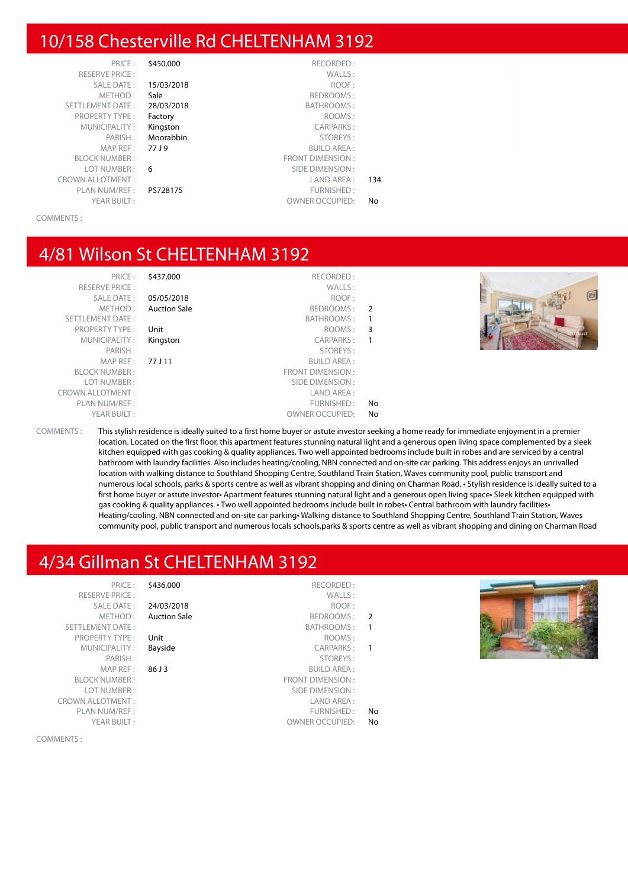#### 10/158 Chesterville Rd CHELTENHAM 3192

| PRICE:                  | \$450,000  | RECORDED:              |     |
|-------------------------|------------|------------------------|-----|
| <b>RESERVE PRICE:</b>   |            | WALLS:                 |     |
| <b>SALE DATE:</b>       | 15/03/2018 | ROOF:                  |     |
| METHOD:                 | Sale       | BEDROOMS:              |     |
| <b>SETTLEMENT DATE:</b> | 28/03/2018 | BATHROOMS:             |     |
| <b>PROPERTY TYPE:</b>   | Factory    | ROOMS:                 |     |
| MUNICIPALITY:           | Kingston   | CARPARKS:              |     |
| PARISH:                 | Moorabbin  | STOREYS:               |     |
| MAP REF:                | 77 J 9     | <b>BUILD AREA:</b>     |     |
| <b>BLOCK NUMBER:</b>    |            | FRONT DIMENSION:       |     |
| LOT NUMBER:             | 6          | SIDE DIMENSION:        |     |
| <b>CROWN ALLOTMENT:</b> |            | LAND AREA:             | 134 |
| PLAN NUM/REF :          | PS728175   | FURNISHED:             |     |
| YEAR BUILT:             |            | <b>OWNER OCCUPIED:</b> | No. |
|                         |            |                        |     |

COMMENTS :

#### 4/81 Wilson St CHELTENHAM 3192

PRICE : \$437,000 RECORDED : RESERVE PRICE : WALLS : SALE DATE : **05/05/2018** ROOF :<br>METHOD : **Auction Sale** METHOD : **Auction Sale** Auction Sale **BEDROOMS** : 2 SETTLEMENT DATE : SETTLEMENT DATE : SATHROOMS : 1 PROPERTY TYPE : Unit the state of the company of the ROOMS : 3<br>MUNICIPALITY : Kingston the care of the care care care of the care of the care of the care of the care of the c MUNICIPALITY : Kingston CARPARKS : 1 PARISH : STOREYS : MAP REF : 77 J 11 BUILD AREA : BLOCK NUMBER : FRONT DIMENSION : LOT NUMBER : SIDE DIMENSION : CROWN ALLOTMENT : LAND AREA : PLAN NUM/REF :  $\blacksquare$ YEAR BUILT :  $OWNER$  OWNER OCCUPIED: No



COMMENTS : This stylish residence is ideally suited to a first home buyer or astute investor seeking a home ready for immediate enjoyment in a premier location. Located on the first floor, this apartment features stunning natural light and a generous open living space complemented by a sleek kitchen equipped with gas cooking & quality appliances. Two well appointed bedrooms include built in robes and are serviced by a central bathroom with laundry facilities. Also includes heating/cooling, NBN connected and on-site car parking. This address enjoys an unrivalled location with walking distance to Southland Shopping Centre, Southland Train Station, Waves community pool, public transport and numerous local schools, parks & sports centre as well as vibrant shopping and dining on Charman Road. • Stylish residence is ideally suited to a first home buyer or astute investor• Apartment features stunning natural light and a generous open living space• Sleek kitchen equipped with gas cooking & quality appliances. • Two well appointed bedrooms include built in robes• Central bathroom with laundry facilities• Heating/cooling, NBN connected and on-site car parking• Walking distance to Southland Shopping Centre, Southland Train Station, Waves community pool, public transport and numerous locals schools,parks & sports centre as well as vibrant shopping and dining on Charman Road

## 4/34 Gillman St CHELTENHAM 3192

| PRICE:                  | \$436,000           | RECORDED:              |                          |  |
|-------------------------|---------------------|------------------------|--------------------------|--|
| <b>RESERVE PRICE:</b>   |                     | WALLS:                 |                          |  |
| SALE DATE:              | 24/03/2018          | ROOF:                  |                          |  |
| METHOD:                 | <b>Auction Sale</b> | BEDROOMS:              | $\overline{2}$           |  |
| SETTLEMENT DATE:        |                     | BATHROOMS:             | $\overline{\phantom{1}}$ |  |
| PROPERTY TYPE:          | Unit                | ROOMS:                 |                          |  |
| MUNICIPALITY:           | Bayside             | CARPARKS:              | $\overline{1}$           |  |
| PARISH:                 |                     | STOREYS:               |                          |  |
| MAPREF:                 | 86 J 3              | <b>BUILD AREA:</b>     |                          |  |
| <b>BLOCK NUMBER:</b>    |                     | FRONT DIMENSION:       |                          |  |
| LOT NUMBER:             |                     | SIDE DIMENSION :       |                          |  |
| <b>CROWN ALLOTMENT:</b> |                     | LAND AREA:             |                          |  |
| PLAN NUM/REF :          |                     | FURNISHED:             | No                       |  |
| YEAR BUILT:             |                     | <b>OWNER OCCUPIED:</b> | No                       |  |
|                         |                     |                        |                          |  |